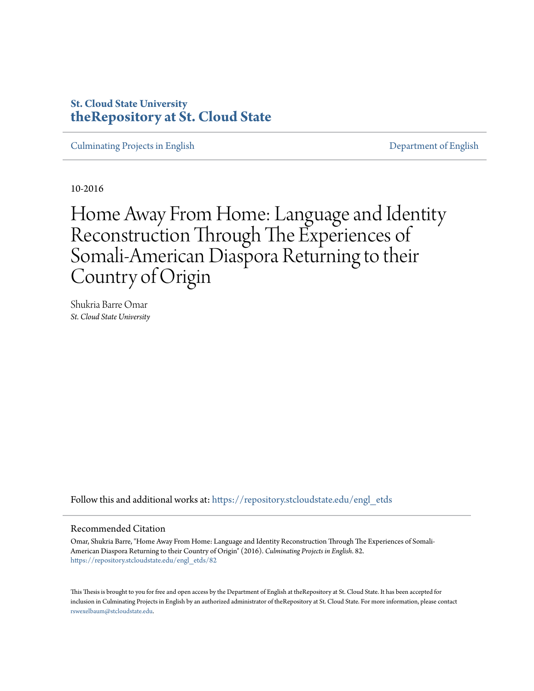# **St. Cloud State University [theRepository at St. Cloud State](https://repository.stcloudstate.edu?utm_source=repository.stcloudstate.edu%2Fengl_etds%2F82&utm_medium=PDF&utm_campaign=PDFCoverPages)**

[Culminating Projects in English](https://repository.stcloudstate.edu/engl_etds?utm_source=repository.stcloudstate.edu%2Fengl_etds%2F82&utm_medium=PDF&utm_campaign=PDFCoverPages) [Department of English](https://repository.stcloudstate.edu/engl?utm_source=repository.stcloudstate.edu%2Fengl_etds%2F82&utm_medium=PDF&utm_campaign=PDFCoverPages)

10-2016

Home Away From Home: Language and Identity Reconstruction Through The Experiences of Somali-American Diaspora Returning to their Country of Origin

Shukria Barre Omar *St. Cloud State University*

Follow this and additional works at: [https://repository.stcloudstate.edu/engl\\_etds](https://repository.stcloudstate.edu/engl_etds?utm_source=repository.stcloudstate.edu%2Fengl_etds%2F82&utm_medium=PDF&utm_campaign=PDFCoverPages)

#### Recommended Citation

Omar, Shukria Barre, "Home Away From Home: Language and Identity Reconstruction Through The Experiences of Somali-American Diaspora Returning to their Country of Origin" (2016). *Culminating Projects in English*. 82. [https://repository.stcloudstate.edu/engl\\_etds/82](https://repository.stcloudstate.edu/engl_etds/82?utm_source=repository.stcloudstate.edu%2Fengl_etds%2F82&utm_medium=PDF&utm_campaign=PDFCoverPages)

This Thesis is brought to you for free and open access by the Department of English at theRepository at St. Cloud State. It has been accepted for inclusion in Culminating Projects in English by an authorized administrator of theRepository at St. Cloud State. For more information, please contact [rswexelbaum@stcloudstate.edu](mailto:rswexelbaum@stcloudstate.edu).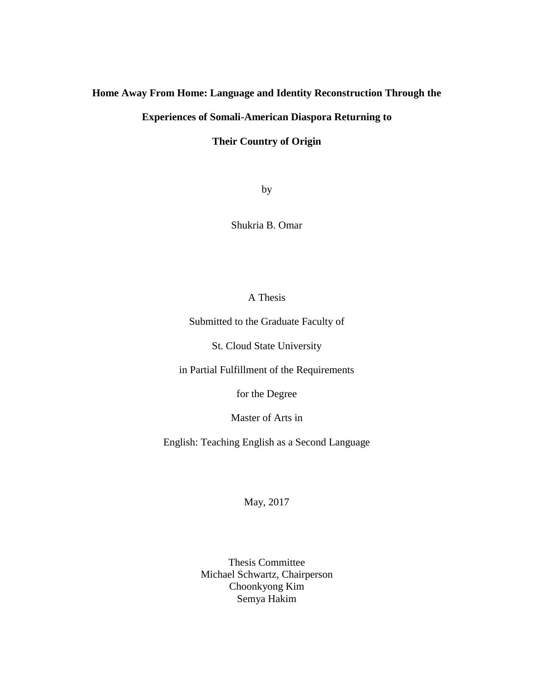# **Home Away From Home: Language and Identity Reconstruction Through the**

# **Experiences of Somali-American Diaspora Returning to**

## **Their Country of Origin**

by

Shukria B. Omar

# A Thesis

Submitted to the Graduate Faculty of

St. Cloud State University

in Partial Fulfillment of the Requirements

for the Degree

Master of Arts in

English: Teaching English as a Second Language

May, 2017

Thesis Committee Michael Schwartz, Chairperson Choonkyong Kim Semya Hakim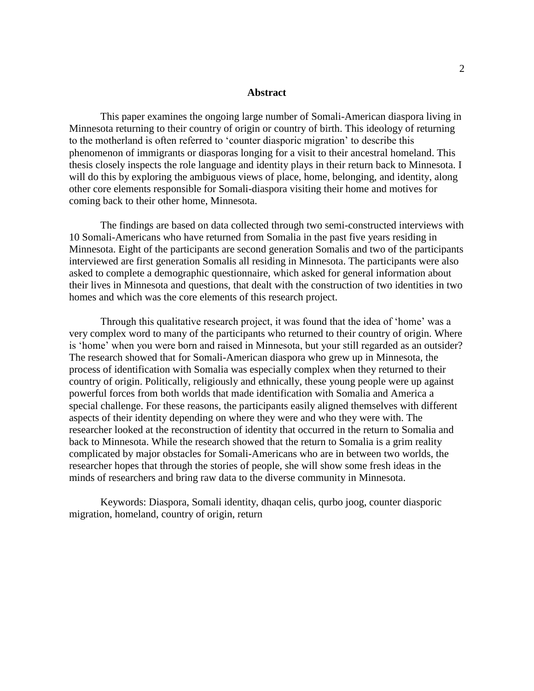#### **Abstract**

This paper examines the ongoing large number of Somali-American diaspora living in Minnesota returning to their country of origin or country of birth. This ideology of returning to the motherland is often referred to 'counter diasporic migration' to describe this phenomenon of immigrants or diasporas longing for a visit to their ancestral homeland. This thesis closely inspects the role language and identity plays in their return back to Minnesota. I will do this by exploring the ambiguous views of place, home, belonging, and identity, along other core elements responsible for Somali-diaspora visiting their home and motives for coming back to their other home, Minnesota.

The findings are based on data collected through two semi-constructed interviews with 10 Somali-Americans who have returned from Somalia in the past five years residing in Minnesota. Eight of the participants are second generation Somalis and two of the participants interviewed are first generation Somalis all residing in Minnesota. The participants were also asked to complete a demographic questionnaire, which asked for general information about their lives in Minnesota and questions, that dealt with the construction of two identities in two homes and which was the core elements of this research project.

Through this qualitative research project, it was found that the idea of 'home' was a very complex word to many of the participants who returned to their country of origin. Where is 'home' when you were born and raised in Minnesota, but your still regarded as an outsider? The research showed that for Somali-American diaspora who grew up in Minnesota, the process of identification with Somalia was especially complex when they returned to their country of origin. Politically, religiously and ethnically, these young people were up against powerful forces from both worlds that made identification with Somalia and America a special challenge. For these reasons, the participants easily aligned themselves with different aspects of their identity depending on where they were and who they were with. The researcher looked at the reconstruction of identity that occurred in the return to Somalia and back to Minnesota. While the research showed that the return to Somalia is a grim reality complicated by major obstacles for Somali-Americans who are in between two worlds, the researcher hopes that through the stories of people, she will show some fresh ideas in the minds of researchers and bring raw data to the diverse community in Minnesota.

Keywords: Diaspora, Somali identity, dhaqan celis, qurbo joog, counter diasporic migration, homeland, country of origin, return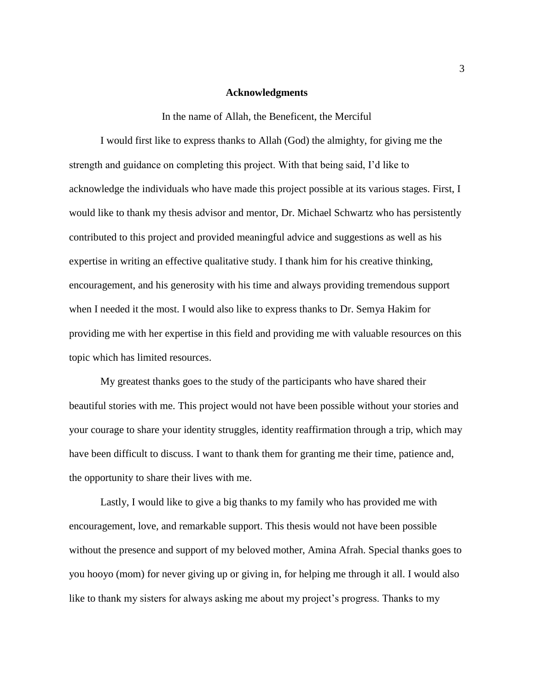#### **Acknowledgments**

In the name of Allah, the Beneficent, the Merciful

I would first like to express thanks to Allah (God) the almighty, for giving me the strength and guidance on completing this project. With that being said, I'd like to acknowledge the individuals who have made this project possible at its various stages. First, I would like to thank my thesis advisor and mentor, Dr. Michael Schwartz who has persistently contributed to this project and provided meaningful advice and suggestions as well as his expertise in writing an effective qualitative study. I thank him for his creative thinking, encouragement, and his generosity with his time and always providing tremendous support when I needed it the most. I would also like to express thanks to Dr. Semya Hakim for providing me with her expertise in this field and providing me with valuable resources on this topic which has limited resources.

My greatest thanks goes to the study of the participants who have shared their beautiful stories with me. This project would not have been possible without your stories and your courage to share your identity struggles, identity reaffirmation through a trip, which may have been difficult to discuss. I want to thank them for granting me their time, patience and, the opportunity to share their lives with me.

Lastly, I would like to give a big thanks to my family who has provided me with encouragement, love, and remarkable support. This thesis would not have been possible without the presence and support of my beloved mother, Amina Afrah. Special thanks goes to you hooyo (mom) for never giving up or giving in, for helping me through it all. I would also like to thank my sisters for always asking me about my project's progress. Thanks to my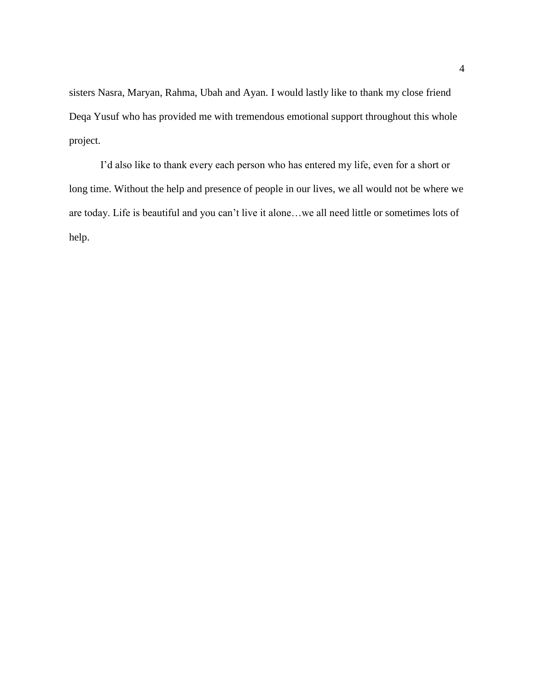sisters Nasra, Maryan, Rahma, Ubah and Ayan. I would lastly like to thank my close friend Deqa Yusuf who has provided me with tremendous emotional support throughout this whole project.

I'd also like to thank every each person who has entered my life, even for a short or long time. Without the help and presence of people in our lives, we all would not be where we are today. Life is beautiful and you can't live it alone…we all need little or sometimes lots of help.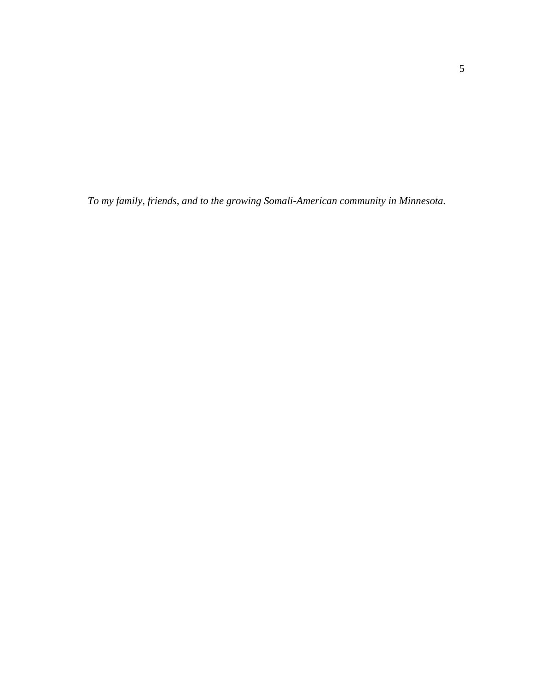*To my family, friends, and to the growing Somali-American community in Minnesota.*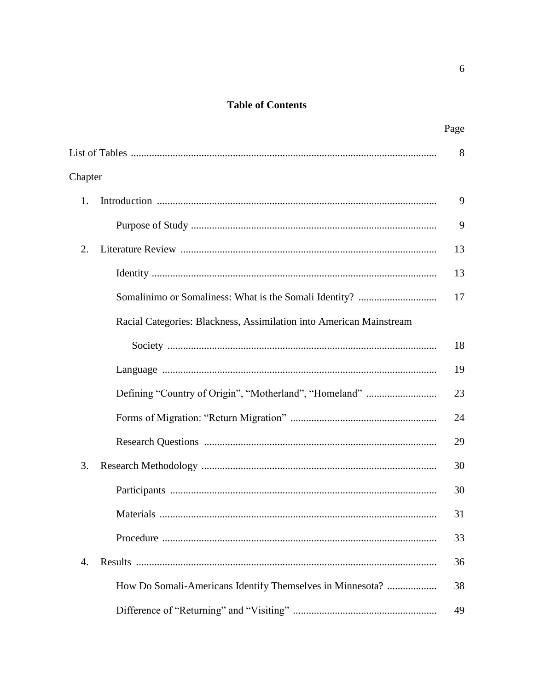# **Table of Contents**

|                                                                     | Page |
|---------------------------------------------------------------------|------|
|                                                                     | 8    |
| Chapter                                                             |      |
| 1.                                                                  | 9    |
|                                                                     | 9    |
| 2.                                                                  | 13   |
|                                                                     | 13   |
|                                                                     | 17   |
| Racial Categories: Blackness, Assimilation into American Mainstream |      |
|                                                                     | 18   |
|                                                                     | 19   |
|                                                                     | 23   |
|                                                                     | 24   |
|                                                                     | 29   |
| 3.                                                                  | 30   |
|                                                                     | 30   |
|                                                                     | 31   |
|                                                                     | 33   |
| 4.                                                                  | 36   |
| How Do Somali-Americans Identify Themselves in Minnesota?           | 38   |
|                                                                     | 49   |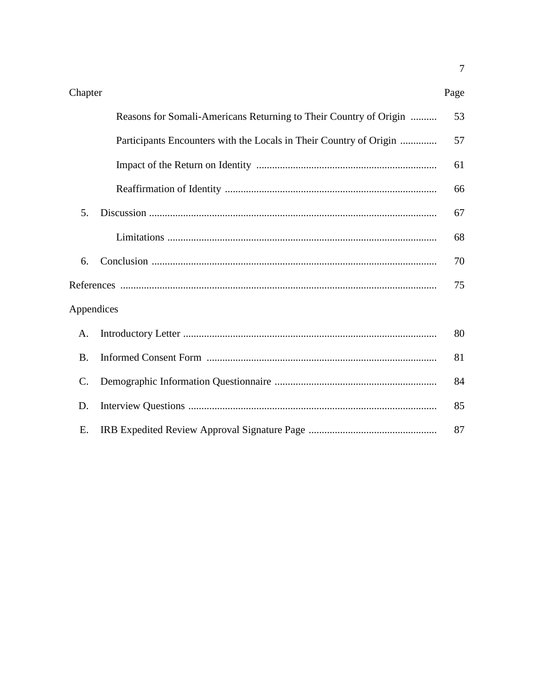Page

|                 | Reasons for Somali-Americans Returning to Their Country of Origin  | 53 |
|-----------------|--------------------------------------------------------------------|----|
|                 | Participants Encounters with the Locals in Their Country of Origin | 57 |
|                 |                                                                    | 61 |
|                 |                                                                    | 66 |
| 5.              |                                                                    | 67 |
|                 |                                                                    | 68 |
| 6.              |                                                                    | 70 |
|                 |                                                                    | 75 |
| Appendices      |                                                                    |    |
| Α.              |                                                                    | 80 |
| <b>B.</b>       |                                                                    | 81 |
| $\mathcal{C}$ . |                                                                    | 84 |
| D.              |                                                                    | 85 |
| E.              |                                                                    | 87 |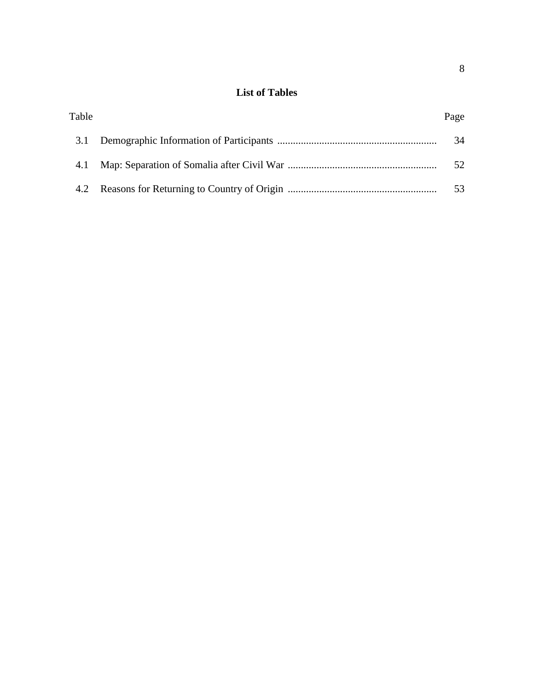# **List of Tables**

| Table | Page |
|-------|------|
|       | 34   |
| 4.1   | 52.  |
|       |      |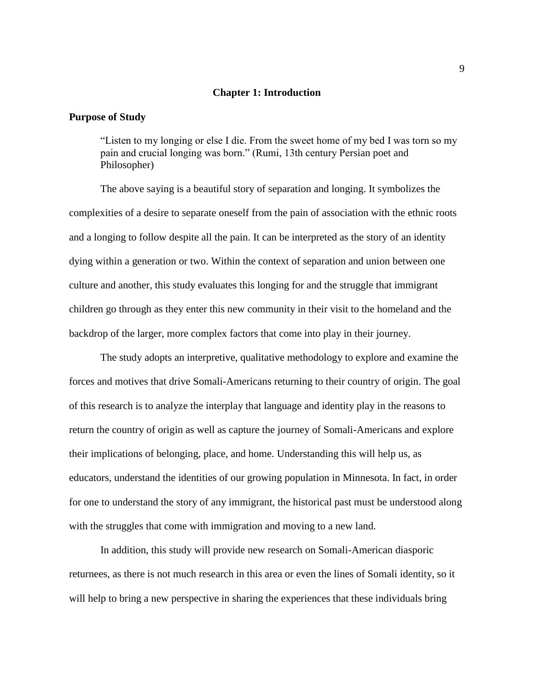#### **Chapter 1: Introduction**

### **Purpose of Study**

"Listen to my longing or else I die. From the sweet home of my bed I was torn so my pain and crucial longing was born." (Rumi, 13th century Persian poet and Philosopher)

The above saying is a beautiful story of separation and longing. It symbolizes the complexities of a desire to separate oneself from the pain of association with the ethnic roots and a longing to follow despite all the pain. It can be interpreted as the story of an identity dying within a generation or two. Within the context of separation and union between one culture and another, this study evaluates this longing for and the struggle that immigrant children go through as they enter this new community in their visit to the homeland and the backdrop of the larger, more complex factors that come into play in their journey.

The study adopts an interpretive, qualitative methodology to explore and examine the forces and motives that drive Somali-Americans returning to their country of origin. The goal of this research is to analyze the interplay that language and identity play in the reasons to return the country of origin as well as capture the journey of Somali-Americans and explore their implications of belonging, place, and home. Understanding this will help us, as educators, understand the identities of our growing population in Minnesota. In fact, in order for one to understand the story of any immigrant, the historical past must be understood along with the struggles that come with immigration and moving to a new land.

In addition, this study will provide new research on Somali-American diasporic returnees, as there is not much research in this area or even the lines of Somali identity, so it will help to bring a new perspective in sharing the experiences that these individuals bring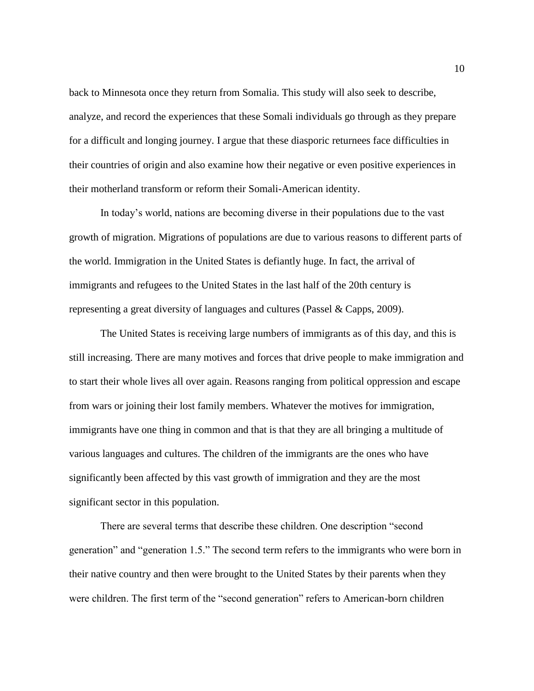back to Minnesota once they return from Somalia. This study will also seek to describe, analyze, and record the experiences that these Somali individuals go through as they prepare for a difficult and longing journey. I argue that these diasporic returnees face difficulties in their countries of origin and also examine how their negative or even positive experiences in their motherland transform or reform their Somali-American identity.

In today's world, nations are becoming diverse in their populations due to the vast growth of migration. Migrations of populations are due to various reasons to different parts of the world. Immigration in the United States is defiantly huge. In fact, the arrival of immigrants and refugees to the United States in the last half of the 20th century is representing a great diversity of languages and cultures (Passel & Capps, 2009).

The United States is receiving large numbers of immigrants as of this day, and this is still increasing. There are many motives and forces that drive people to make immigration and to start their whole lives all over again. Reasons ranging from political oppression and escape from wars or joining their lost family members. Whatever the motives for immigration, immigrants have one thing in common and that is that they are all bringing a multitude of various languages and cultures. The children of the immigrants are the ones who have significantly been affected by this vast growth of immigration and they are the most significant sector in this population.

There are several terms that describe these children. One description "second generation" and "generation 1.5." The second term refers to the immigrants who were born in their native country and then were brought to the United States by their parents when they were children. The first term of the "second generation" refers to American-born children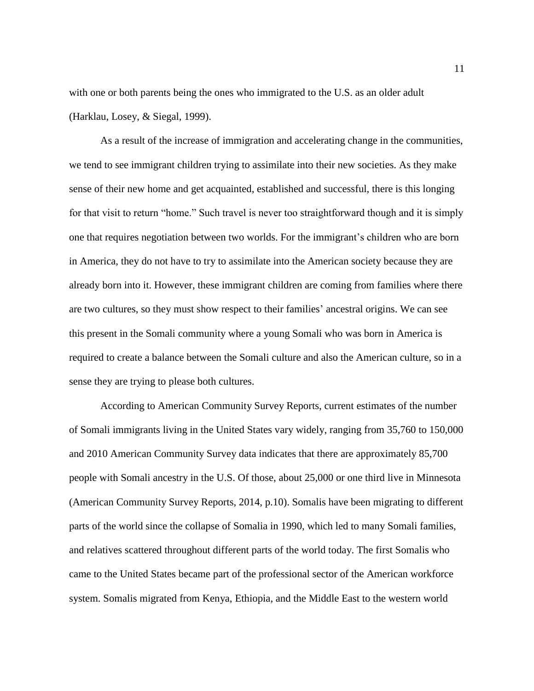with one or both parents being the ones who immigrated to the U.S. as an older adult (Harklau, Losey, & Siegal, 1999).

As a result of the increase of immigration and accelerating change in the communities, we tend to see immigrant children trying to assimilate into their new societies. As they make sense of their new home and get acquainted, established and successful, there is this longing for that visit to return "home." Such travel is never too straightforward though and it is simply one that requires negotiation between two worlds. For the immigrant's children who are born in America, they do not have to try to assimilate into the American society because they are already born into it. However, these immigrant children are coming from families where there are two cultures, so they must show respect to their families' ancestral origins. We can see this present in the Somali community where a young Somali who was born in America is required to create a balance between the Somali culture and also the American culture, so in a sense they are trying to please both cultures.

According to American Community Survey Reports, current estimates of the number of Somali immigrants living in the United States vary widely, ranging from 35,760 to 150,000 and 2010 American Community Survey data indicates that there are approximately 85,700 people with Somali ancestry in the U.S. Of those, about 25,000 or one third live in Minnesota (American Community Survey Reports, 2014, p.10). Somalis have been migrating to different parts of the world since the collapse of Somalia in 1990, which led to many Somali families, and relatives scattered throughout different parts of the world today. The first Somalis who came to the United States became part of the professional sector of the American workforce system. Somalis migrated from Kenya, Ethiopia, and the Middle East to the western world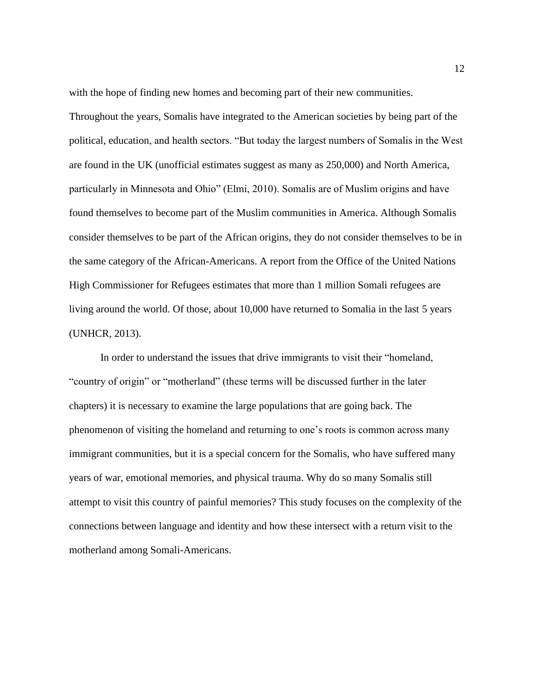with the hope of finding new homes and becoming part of their new communities.

Throughout the years, Somalis have integrated to the American societies by being part of the political, education, and health sectors. "But today the largest numbers of Somalis in the West are found in the UK (unofficial estimates suggest as many as 250,000) and North America, particularly in Minnesota and Ohio" (Elmi, 2010). Somalis are of Muslim origins and have found themselves to become part of the Muslim communities in America. Although Somalis consider themselves to be part of the African origins, they do not consider themselves to be in the same category of the African-Americans. A report from the Office of the United Nations High Commissioner for Refugees estimates that more than 1 million Somali refugees are living around the world. Of those, about 10,000 have returned to Somalia in the last 5 years (UNHCR, 2013).

In order to understand the issues that drive immigrants to visit their "homeland, "country of origin" or "motherland" (these terms will be discussed further in the later chapters) it is necessary to examine the large populations that are going back. The phenomenon of visiting the homeland and returning to one's roots is common across many immigrant communities, but it is a special concern for the Somalis, who have suffered many years of war, emotional memories, and physical trauma. Why do so many Somalis still attempt to visit this country of painful memories? This study focuses on the complexity of the connections between language and identity and how these intersect with a return visit to the motherland among Somali-Americans.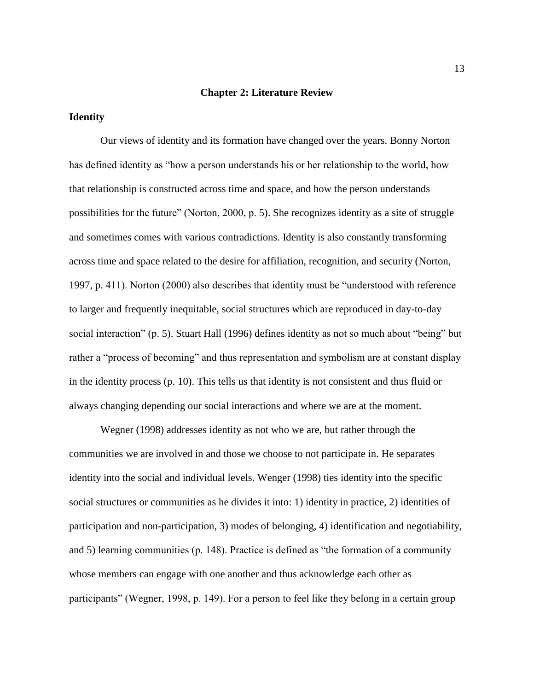#### **Chapter 2: Literature Review**

#### **Identity**

Our views of identity and its formation have changed over the years. Bonny Norton has defined identity as "how a person understands his or her relationship to the world, how that relationship is constructed across time and space, and how the person understands possibilities for the future" (Norton, 2000, p. 5). She recognizes identity as a site of struggle and sometimes comes with various contradictions. Identity is also constantly transforming across time and space related to the desire for affiliation, recognition, and security (Norton, 1997, p. 411). Norton (2000) also describes that identity must be "understood with reference to larger and frequently inequitable, social structures which are reproduced in day-to-day social interaction" (p. 5). Stuart Hall (1996) defines identity as not so much about "being" but rather a "process of becoming" and thus representation and symbolism are at constant display in the identity process (p. 10). This tells us that identity is not consistent and thus fluid or always changing depending our social interactions and where we are at the moment.

Wegner (1998) addresses identity as not who we are, but rather through the communities we are involved in and those we choose to not participate in. He separates identity into the social and individual levels. Wenger (1998) ties identity into the specific social structures or communities as he divides it into: 1) identity in practice, 2) identities of participation and non-participation, 3) modes of belonging, 4) identification and negotiability, and 5) learning communities (p. 148). Practice is defined as "the formation of a community whose members can engage with one another and thus acknowledge each other as participants" (Wegner, 1998, p. 149). For a person to feel like they belong in a certain group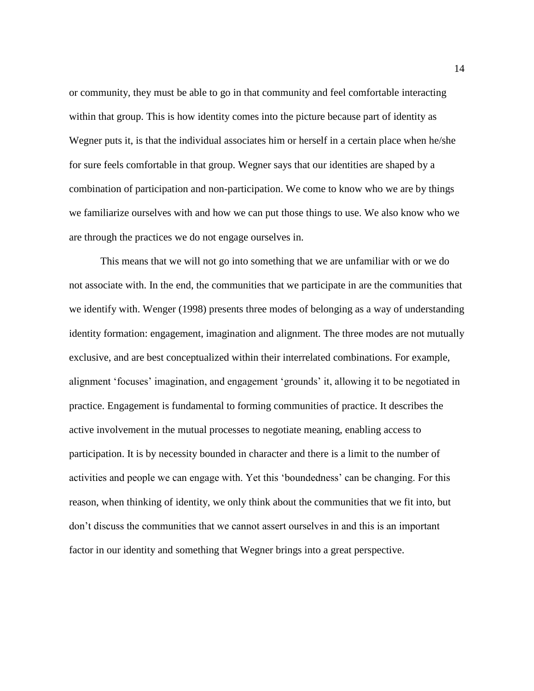or community, they must be able to go in that community and feel comfortable interacting within that group. This is how identity comes into the picture because part of identity as Wegner puts it, is that the individual associates him or herself in a certain place when he/she for sure feels comfortable in that group. Wegner says that our identities are shaped by a combination of participation and non-participation. We come to know who we are by things we familiarize ourselves with and how we can put those things to use. We also know who we are through the practices we do not engage ourselves in.

This means that we will not go into something that we are unfamiliar with or we do not associate with. In the end, the communities that we participate in are the communities that we identify with. Wenger (1998) presents three modes of belonging as a way of understanding identity formation: engagement, imagination and alignment. The three modes are not mutually exclusive, and are best conceptualized within their interrelated combinations. For example, alignment 'focuses' imagination, and engagement 'grounds' it, allowing it to be negotiated in practice. Engagement is fundamental to forming communities of practice. It describes the active involvement in the mutual processes to negotiate meaning, enabling access to participation. It is by necessity bounded in character and there is a limit to the number of activities and people we can engage with. Yet this 'boundedness' can be changing. For this reason, when thinking of identity, we only think about the communities that we fit into, but don't discuss the communities that we cannot assert ourselves in and this is an important factor in our identity and something that Wegner brings into a great perspective.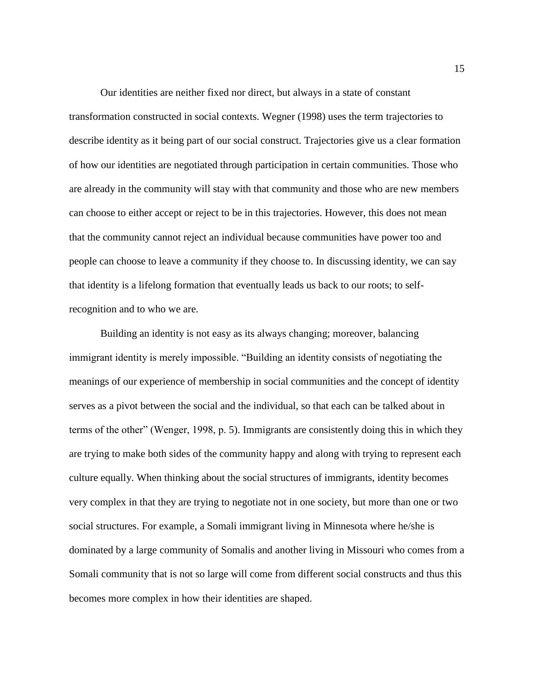Our identities are neither fixed nor direct, but always in a state of constant transformation constructed in social contexts. Wegner (1998) uses the term trajectories to describe identity as it being part of our social construct. Trajectories give us a clear formation of how our identities are negotiated through participation in certain communities. Those who are already in the community will stay with that community and those who are new members can choose to either accept or reject to be in this trajectories. However, this does not mean that the community cannot reject an individual because communities have power too and people can choose to leave a community if they choose to. In discussing identity, we can say that identity is a lifelong formation that eventually leads us back to our roots; to selfrecognition and to who we are.

Building an identity is not easy as its always changing; moreover, balancing immigrant identity is merely impossible. "Building an identity consists of negotiating the meanings of our experience of membership in social communities and the concept of identity serves as a pivot between the social and the individual, so that each can be talked about in terms of the other" (Wenger, 1998, p. 5). Immigrants are consistently doing this in which they are trying to make both sides of the community happy and along with trying to represent each culture equally. When thinking about the social structures of immigrants, identity becomes very complex in that they are trying to negotiate not in one society, but more than one or two social structures. For example, a Somali immigrant living in Minnesota where he/she is dominated by a large community of Somalis and another living in Missouri who comes from a Somali community that is not so large will come from different social constructs and thus this becomes more complex in how their identities are shaped.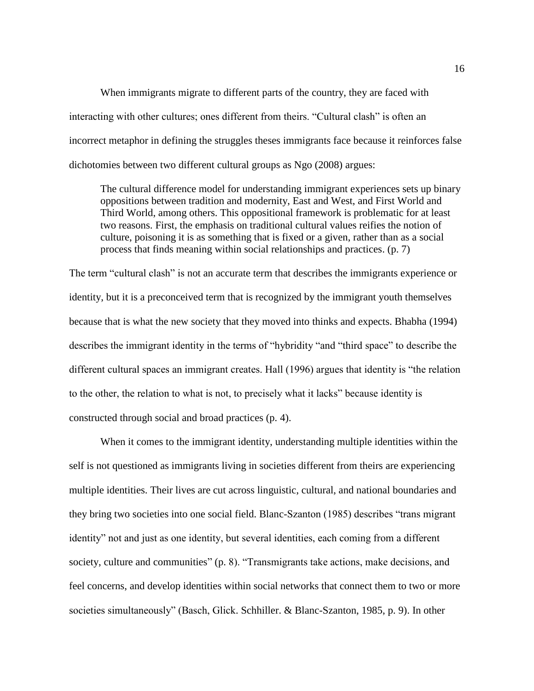When immigrants migrate to different parts of the country, they are faced with interacting with other cultures; ones different from theirs. "Cultural clash" is often an incorrect metaphor in defining the struggles theses immigrants face because it reinforces false dichotomies between two different cultural groups as Ngo (2008) argues:

The cultural difference model for understanding immigrant experiences sets up binary oppositions between tradition and modernity, East and West, and First World and Third World, among others. This oppositional framework is problematic for at least two reasons. First, the emphasis on traditional cultural values reifies the notion of culture, poisoning it is as something that is fixed or a given, rather than as a social process that finds meaning within social relationships and practices. (p. 7)

The term "cultural clash" is not an accurate term that describes the immigrants experience or identity, but it is a preconceived term that is recognized by the immigrant youth themselves because that is what the new society that they moved into thinks and expects. Bhabha (1994) describes the immigrant identity in the terms of "hybridity "and "third space" to describe the different cultural spaces an immigrant creates. Hall (1996) argues that identity is "the relation to the other, the relation to what is not, to precisely what it lacks" because identity is constructed through social and broad practices (p. 4).

When it comes to the immigrant identity, understanding multiple identities within the self is not questioned as immigrants living in societies different from theirs are experiencing multiple identities. Their lives are cut across linguistic, cultural, and national boundaries and they bring two societies into one social field. Blanc-Szanton (1985) describes "trans migrant identity" not and just as one identity, but several identities, each coming from a different society, culture and communities" (p. 8). "Transmigrants take actions, make decisions, and feel concerns, and develop identities within social networks that connect them to two or more societies simultaneously" (Basch, Glick. Schhiller. & Blanc-Szanton, 1985, p. 9). In other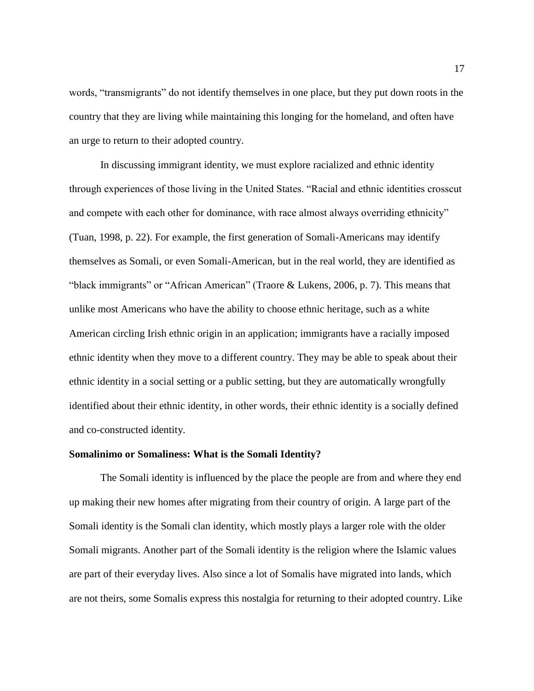words, "transmigrants" do not identify themselves in one place, but they put down roots in the country that they are living while maintaining this longing for the homeland, and often have an urge to return to their adopted country.

In discussing immigrant identity, we must explore racialized and ethnic identity through experiences of those living in the United States. "Racial and ethnic identities crosscut and compete with each other for dominance, with race almost always overriding ethnicity" (Tuan, 1998, p. 22). For example, the first generation of Somali-Americans may identify themselves as Somali, or even Somali-American, but in the real world, they are identified as "black immigrants" or "African American" (Traore & Lukens, 2006, p. 7). This means that unlike most Americans who have the ability to choose ethnic heritage, such as a white American circling Irish ethnic origin in an application; immigrants have a racially imposed ethnic identity when they move to a different country. They may be able to speak about their ethnic identity in a social setting or a public setting, but they are automatically wrongfully identified about their ethnic identity, in other words, their ethnic identity is a socially defined and co-constructed identity.

#### **Somalinimo or Somaliness: What is the Somali Identity?**

The Somali identity is influenced by the place the people are from and where they end up making their new homes after migrating from their country of origin. A large part of the Somali identity is the Somali clan identity, which mostly plays a larger role with the older Somali migrants. Another part of the Somali identity is the religion where the Islamic values are part of their everyday lives. Also since a lot of Somalis have migrated into lands, which are not theirs, some Somalis express this nostalgia for returning to their adopted country. Like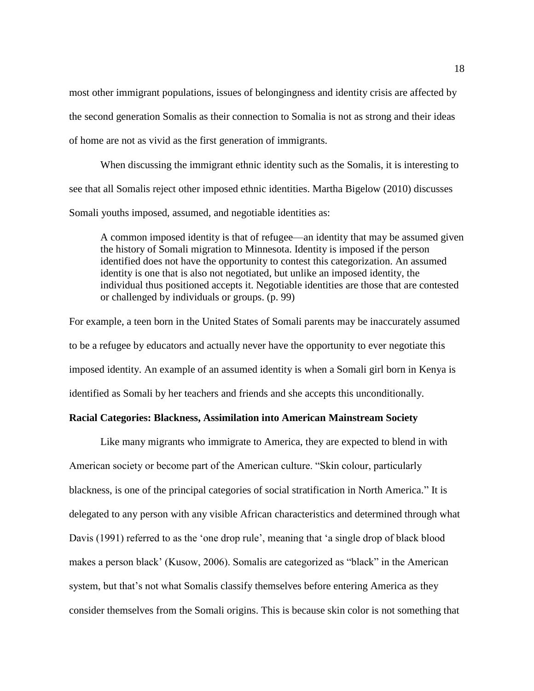most other immigrant populations, issues of belongingness and identity crisis are affected by the second generation Somalis as their connection to Somalia is not as strong and their ideas of home are not as vivid as the first generation of immigrants.

When discussing the immigrant ethnic identity such as the Somalis, it is interesting to see that all Somalis reject other imposed ethnic identities. Martha Bigelow (2010) discusses Somali youths imposed, assumed, and negotiable identities as:

A common imposed identity is that of refugee—an identity that may be assumed given the history of Somali migration to Minnesota. Identity is imposed if the person identified does not have the opportunity to contest this categorization. An assumed identity is one that is also not negotiated, but unlike an imposed identity, the individual thus positioned accepts it. Negotiable identities are those that are contested or challenged by individuals or groups. (p. 99)

For example, a teen born in the United States of Somali parents may be inaccurately assumed to be a refugee by educators and actually never have the opportunity to ever negotiate this imposed identity. An example of an assumed identity is when a Somali girl born in Kenya is identified as Somali by her teachers and friends and she accepts this unconditionally.

## **Racial Categories: Blackness, Assimilation into American Mainstream Society**

Like many migrants who immigrate to America, they are expected to blend in with American society or become part of the American culture. "Skin colour, particularly blackness, is one of the principal categories of social stratification in North America." It is delegated to any person with any visible African characteristics and determined through what Davis (1991) referred to as the 'one drop rule', meaning that 'a single drop of black blood makes a person black' (Kusow, 2006). Somalis are categorized as "black" in the American system, but that's not what Somalis classify themselves before entering America as they consider themselves from the Somali origins. This is because skin color is not something that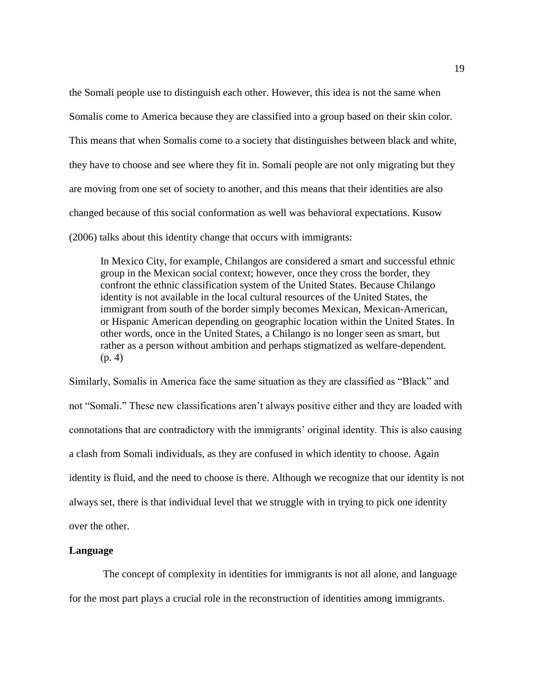the Somali people use to distinguish each other. However, this idea is not the same when Somalis come to America because they are classified into a group based on their skin color. This means that when Somalis come to a society that distinguishes between black and white, they have to choose and see where they fit in. Somali people are not only migrating but they are moving from one set of society to another, and this means that their identities are also changed because of this social conformation as well was behavioral expectations. Kusow (2006) talks about this identity change that occurs with immigrants:

In Mexico City, for example, Chilangos are considered a smart and successful ethnic group in the Mexican social context; however, once they cross the border, they confront the ethnic classification system of the United States. Because Chilango identity is not available in the local cultural resources of the United States, the immigrant from south of the border simply becomes Mexican, Mexican-American, or Hispanic American depending on geographic location within the United States. In other words, once in the United States, a Chilango is no longer seen as smart, but rather as a person without ambition and perhaps stigmatized as welfare-dependent. (p. 4)

Similarly, Somalis in America face the same situation as they are classified as "Black" and not "Somali." These new classifications aren't always positive either and they are loaded with connotations that are contradictory with the immigrants' original identity. This is also causing a clash from Somali individuals, as they are confused in which identity to choose. Again identity is fluid, and the need to choose is there. Although we recognize that our identity is not always set, there is that individual level that we struggle with in trying to pick one identity over the other.

#### **Language**

The concept of complexity in identities for immigrants is not all alone, and language for the most part plays a crucial role in the reconstruction of identities among immigrants.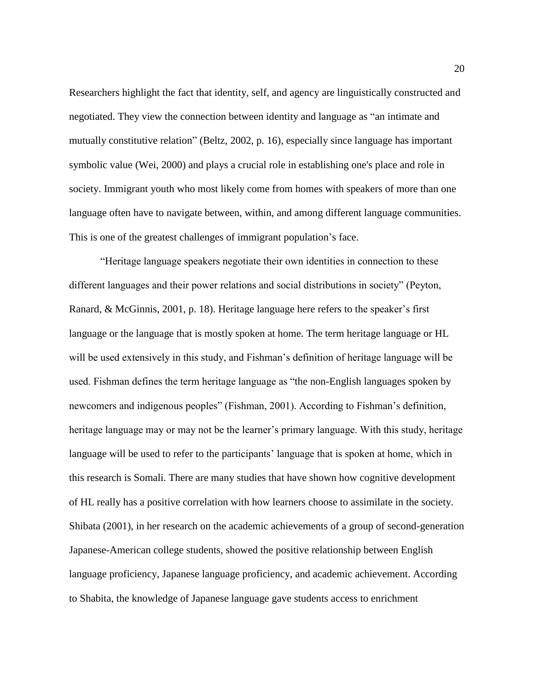Researchers highlight the fact that identity, self, and agency are linguistically constructed and negotiated. They view the connection between identity and language as "an intimate and mutually constitutive relation" (Beltz, 2002, p. 16), especially since language has important symbolic value (Wei, 2000) and plays a crucial role in establishing one's place and role in society. Immigrant youth who most likely come from homes with speakers of more than one language often have to navigate between, within, and among different language communities. This is one of the greatest challenges of immigrant population's face.

"Heritage language speakers negotiate their own identities in connection to these different languages and their power relations and social distributions in society" (Peyton, Ranard, & McGinnis, 2001, p. 18). Heritage language here refers to the speaker's first language or the language that is mostly spoken at home. The term heritage language or HL will be used extensively in this study, and Fishman's definition of heritage language will be used. Fishman defines the term heritage language as "the non-English languages spoken by newcomers and indigenous peoples" (Fishman, 2001). According to Fishman's definition, heritage language may or may not be the learner's primary language. With this study, heritage language will be used to refer to the participants' language that is spoken at home, which in this research is Somali. There are many studies that have shown how cognitive development of HL really has a positive correlation with how learners choose to assimilate in the society. Shibata (2001), in her research on the academic achievements of a group of second-generation Japanese-American college students, showed the positive relationship between English language proficiency, Japanese language proficiency, and academic achievement. According to Shabita, the knowledge of Japanese language gave students access to enrichment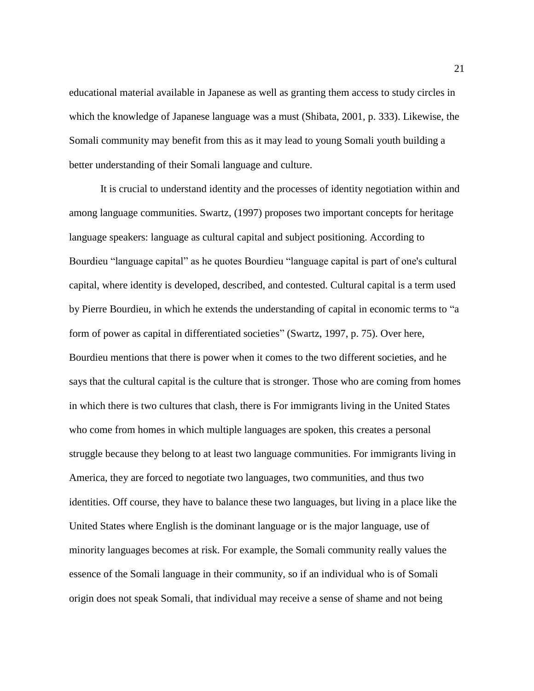educational material available in Japanese as well as granting them access to study circles in which the knowledge of Japanese language was a must (Shibata, 2001, p. 333). Likewise, the Somali community may benefit from this as it may lead to young Somali youth building a better understanding of their Somali language and culture.

It is crucial to understand identity and the processes of identity negotiation within and among language communities. Swartz, (1997) proposes two important concepts for heritage language speakers: language as cultural capital and subject positioning. According to Bourdieu "language capital" as he quotes Bourdieu "language capital is part of one's cultural capital, where identity is developed, described, and contested. Cultural capital is a term used by Pierre Bourdieu, in which he extends the understanding of capital in economic terms to "a form of power as capital in differentiated societies" (Swartz, 1997, p. 75). Over here, Bourdieu mentions that there is power when it comes to the two different societies, and he says that the cultural capital is the culture that is stronger. Those who are coming from homes in which there is two cultures that clash, there is For immigrants living in the United States who come from homes in which multiple languages are spoken, this creates a personal struggle because they belong to at least two language communities. For immigrants living in America, they are forced to negotiate two languages, two communities, and thus two identities. Off course, they have to balance these two languages, but living in a place like the United States where English is the dominant language or is the major language, use of minority languages becomes at risk. For example, the Somali community really values the essence of the Somali language in their community, so if an individual who is of Somali origin does not speak Somali, that individual may receive a sense of shame and not being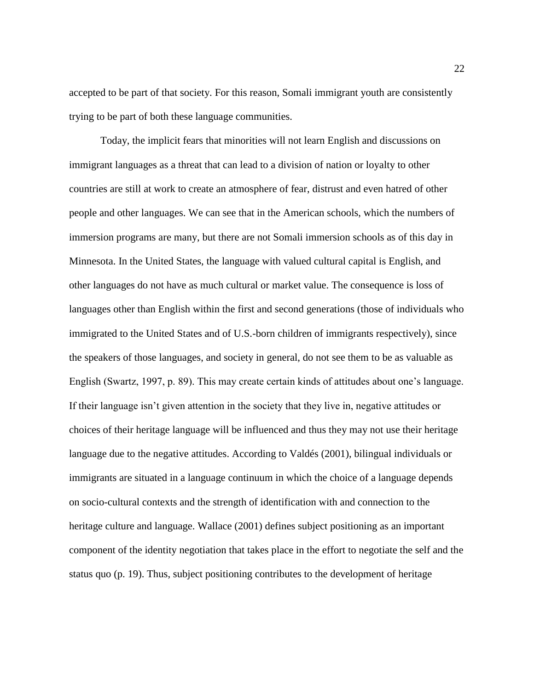accepted to be part of that society. For this reason, Somali immigrant youth are consistently trying to be part of both these language communities.

Today, the implicit fears that minorities will not learn English and discussions on immigrant languages as a threat that can lead to a division of nation or loyalty to other countries are still at work to create an atmosphere of fear, distrust and even hatred of other people and other languages. We can see that in the American schools, which the numbers of immersion programs are many, but there are not Somali immersion schools as of this day in Minnesota. In the United States, the language with valued cultural capital is English, and other languages do not have as much cultural or market value. The consequence is loss of languages other than English within the first and second generations (those of individuals who immigrated to the United States and of U.S.-born children of immigrants respectively), since the speakers of those languages, and society in general, do not see them to be as valuable as English (Swartz, 1997, p. 89). This may create certain kinds of attitudes about one's language. If their language isn't given attention in the society that they live in, negative attitudes or choices of their heritage language will be influenced and thus they may not use their heritage language due to the negative attitudes. According to Valdés (2001), bilingual individuals or immigrants are situated in a language continuum in which the choice of a language depends on socio-cultural contexts and the strength of identification with and connection to the heritage culture and language. Wallace (2001) defines subject positioning as an important component of the identity negotiation that takes place in the effort to negotiate the self and the status quo (p. 19). Thus, subject positioning contributes to the development of heritage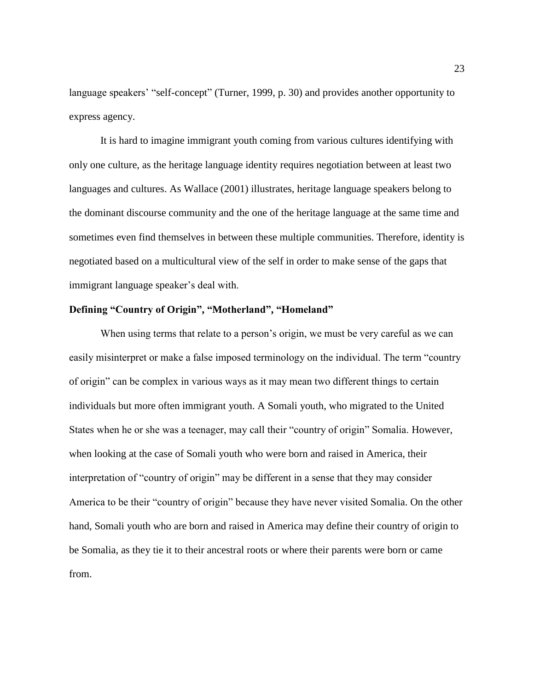language speakers' "self-concept" (Turner, 1999, p. 30) and provides another opportunity to express agency.

It is hard to imagine immigrant youth coming from various cultures identifying with only one culture, as the heritage language identity requires negotiation between at least two languages and cultures. As Wallace (2001) illustrates, heritage language speakers belong to the dominant discourse community and the one of the heritage language at the same time and sometimes even find themselves in between these multiple communities. Therefore, identity is negotiated based on a multicultural view of the self in order to make sense of the gaps that immigrant language speaker's deal with.

#### **Defining "Country of Origin", "Motherland", "Homeland"**

When using terms that relate to a person's origin, we must be very careful as we can easily misinterpret or make a false imposed terminology on the individual. The term "country of origin" can be complex in various ways as it may mean two different things to certain individuals but more often immigrant youth. A Somali youth, who migrated to the United States when he or she was a teenager, may call their "country of origin" Somalia. However, when looking at the case of Somali youth who were born and raised in America, their interpretation of "country of origin" may be different in a sense that they may consider America to be their "country of origin" because they have never visited Somalia. On the other hand, Somali youth who are born and raised in America may define their country of origin to be Somalia, as they tie it to their ancestral roots or where their parents were born or came from.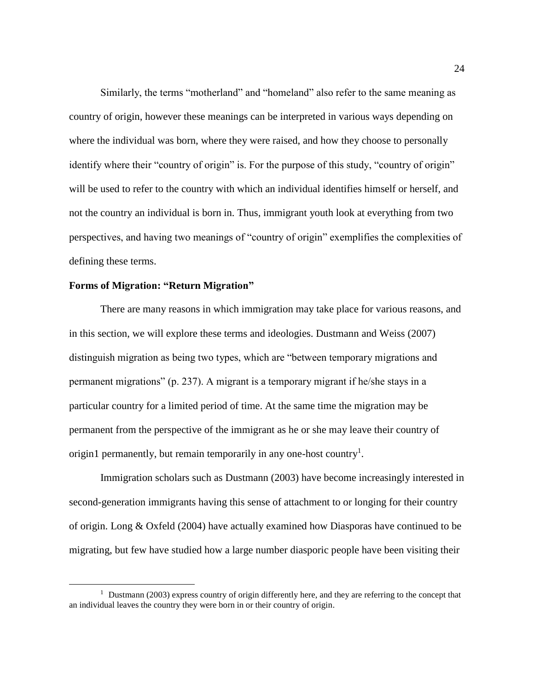Similarly, the terms "motherland" and "homeland" also refer to the same meaning as country of origin, however these meanings can be interpreted in various ways depending on where the individual was born, where they were raised, and how they choose to personally identify where their "country of origin" is. For the purpose of this study, "country of origin" will be used to refer to the country with which an individual identifies himself or herself, and not the country an individual is born in. Thus, immigrant youth look at everything from two perspectives, and having two meanings of "country of origin" exemplifies the complexities of defining these terms.

## **Forms of Migration: "Return Migration"**

 $\overline{\phantom{a}}$ 

There are many reasons in which immigration may take place for various reasons, and in this section, we will explore these terms and ideologies. Dustmann and Weiss (2007) distinguish migration as being two types, which are "between temporary migrations and permanent migrations" (p. 237). A migrant is a temporary migrant if he/she stays in a particular country for a limited period of time. At the same time the migration may be permanent from the perspective of the immigrant as he or she may leave their country of origin1 permanently, but remain temporarily in any one-host country<sup>1</sup>.

Immigration scholars such as Dustmann (2003) have become increasingly interested in second-generation immigrants having this sense of attachment to or longing for their country of origin. Long & Oxfeld (2004) have actually examined how Diasporas have continued to be migrating, but few have studied how a large number diasporic people have been visiting their

<sup>&</sup>lt;sup>1</sup> Dustmann (2003) express country of origin differently here, and they are referring to the concept that an individual leaves the country they were born in or their country of origin.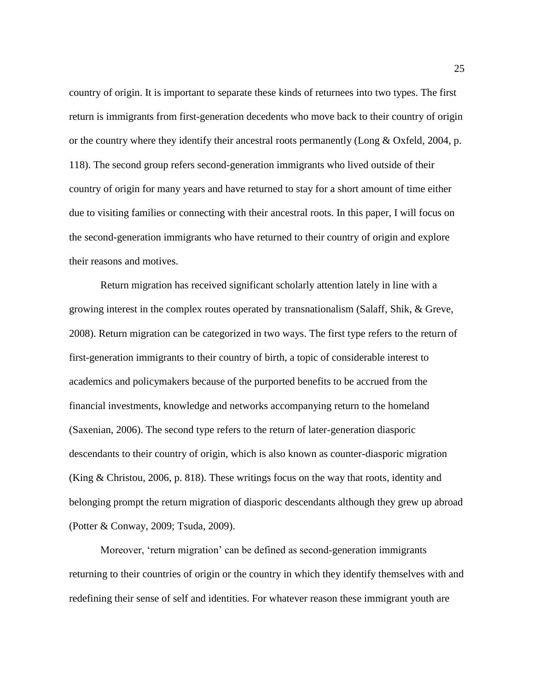country of origin. It is important to separate these kinds of returnees into two types. The first return is immigrants from first-generation decedents who move back to their country of origin or the country where they identify their ancestral roots permanently (Long & Oxfeld, 2004, p. 118). The second group refers second-generation immigrants who lived outside of their country of origin for many years and have returned to stay for a short amount of time either due to visiting families or connecting with their ancestral roots. In this paper, I will focus on the second-generation immigrants who have returned to their country of origin and explore their reasons and motives.

Return migration has received significant scholarly attention lately in line with a growing interest in the complex routes operated by transnationalism (Salaff, Shik, & Greve, 2008). Return migration can be categorized in two ways. The first type refers to the return of first-generation immigrants to their country of birth, a topic of considerable interest to academics and policymakers because of the purported benefits to be accrued from the financial investments, knowledge and networks accompanying return to the homeland (Saxenian, 2006). The second type refers to the return of later-generation diasporic descendants to their country of origin, which is also known as counter-diasporic migration (King & Christou, 2006, p. 818). These writings focus on the way that roots, identity and belonging prompt the return migration of diasporic descendants although they grew up abroad (Potter & Conway, 2009; Tsuda, 2009).

Moreover, 'return migration' can be defined as second-generation immigrants returning to their countries of origin or the country in which they identify themselves with and redefining their sense of self and identities. For whatever reason these immigrant youth are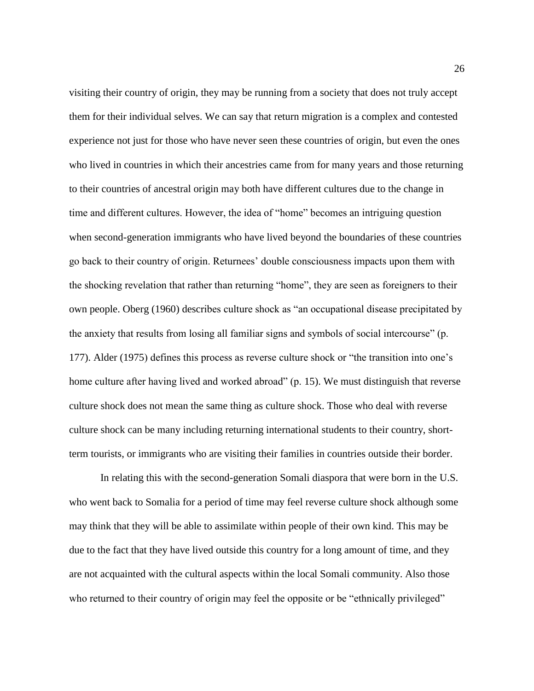visiting their country of origin, they may be running from a society that does not truly accept them for their individual selves. We can say that return migration is a complex and contested experience not just for those who have never seen these countries of origin, but even the ones who lived in countries in which their ancestries came from for many years and those returning to their countries of ancestral origin may both have different cultures due to the change in time and different cultures. However, the idea of "home" becomes an intriguing question when second-generation immigrants who have lived beyond the boundaries of these countries go back to their country of origin. Returnees' double consciousness impacts upon them with the shocking revelation that rather than returning "home", they are seen as foreigners to their own people. Oberg (1960) describes culture shock as "an occupational disease precipitated by the anxiety that results from losing all familiar signs and symbols of social intercourse" (p. 177). Alder (1975) defines this process as reverse culture shock or "the transition into one's home culture after having lived and worked abroad" (p. 15). We must distinguish that reverse culture shock does not mean the same thing as culture shock. Those who deal with reverse culture shock can be many including returning international students to their country, shortterm tourists, or immigrants who are visiting their families in countries outside their border.

In relating this with the second-generation Somali diaspora that were born in the U.S. who went back to Somalia for a period of time may feel reverse culture shock although some may think that they will be able to assimilate within people of their own kind. This may be due to the fact that they have lived outside this country for a long amount of time, and they are not acquainted with the cultural aspects within the local Somali community. Also those who returned to their country of origin may feel the opposite or be "ethnically privileged"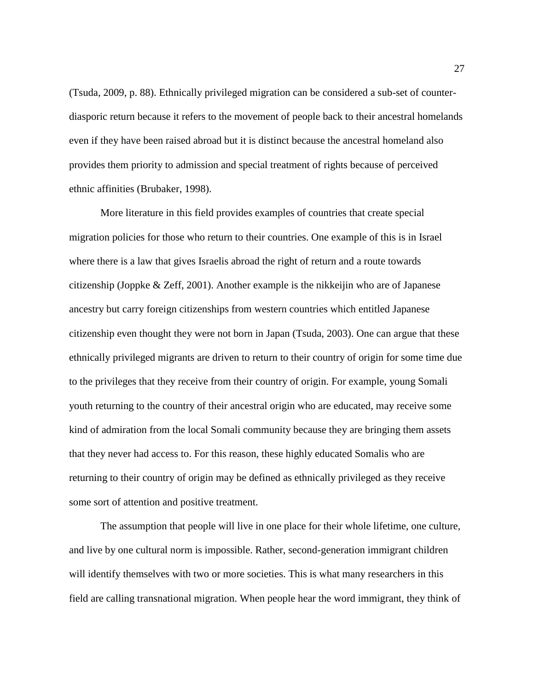(Tsuda, 2009, p. 88). Ethnically privileged migration can be considered a sub-set of counterdiasporic return because it refers to the movement of people back to their ancestral homelands even if they have been raised abroad but it is distinct because the ancestral homeland also provides them priority to admission and special treatment of rights because of perceived ethnic affinities (Brubaker, 1998).

More literature in this field provides examples of countries that create special migration policies for those who return to their countries. One example of this is in Israel where there is a law that gives Israelis abroad the right of return and a route towards citizenship (Joppke  $\&$  Zeff, 2001). Another example is the nikkeijin who are of Japanese ancestry but carry foreign citizenships from western countries which entitled Japanese citizenship even thought they were not born in Japan (Tsuda, 2003). One can argue that these ethnically privileged migrants are driven to return to their country of origin for some time due to the privileges that they receive from their country of origin. For example, young Somali youth returning to the country of their ancestral origin who are educated, may receive some kind of admiration from the local Somali community because they are bringing them assets that they never had access to. For this reason, these highly educated Somalis who are returning to their country of origin may be defined as ethnically privileged as they receive some sort of attention and positive treatment.

The assumption that people will live in one place for their whole lifetime, one culture, and live by one cultural norm is impossible. Rather, second-generation immigrant children will identify themselves with two or more societies. This is what many researchers in this field are calling transnational migration. When people hear the word immigrant, they think of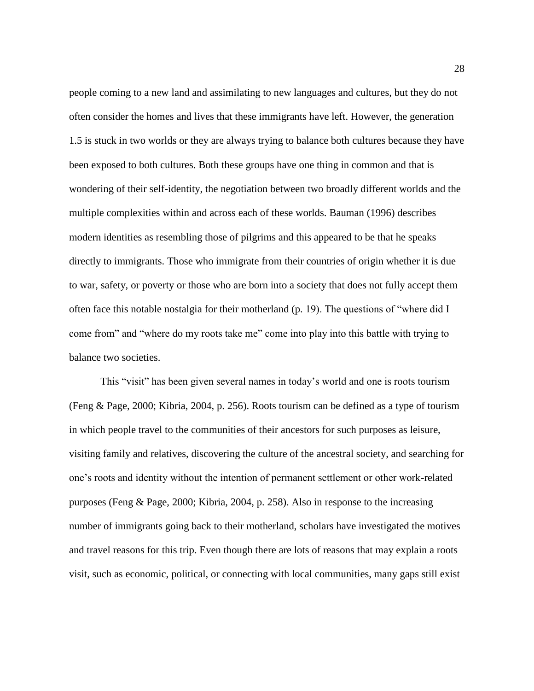people coming to a new land and assimilating to new languages and cultures, but they do not often consider the homes and lives that these immigrants have left. However, the generation 1.5 is stuck in two worlds or they are always trying to balance both cultures because they have been exposed to both cultures. Both these groups have one thing in common and that is wondering of their self-identity, the negotiation between two broadly different worlds and the multiple complexities within and across each of these worlds. Bauman (1996) describes modern identities as resembling those of pilgrims and this appeared to be that he speaks directly to immigrants. Those who immigrate from their countries of origin whether it is due to war, safety, or poverty or those who are born into a society that does not fully accept them often face this notable nostalgia for their motherland (p. 19). The questions of "where did I come from" and "where do my roots take me" come into play into this battle with trying to balance two societies.

This "visit" has been given several names in today's world and one is roots tourism (Feng & Page, 2000; Kibria, 2004, p. 256). Roots tourism can be defined as a type of tourism in which people travel to the communities of their ancestors for such purposes as leisure, visiting family and relatives, discovering the culture of the ancestral society, and searching for one's roots and identity without the intention of permanent settlement or other work-related purposes (Feng & Page, 2000; Kibria, 2004, p. 258). Also in response to the increasing number of immigrants going back to their motherland, scholars have investigated the motives and travel reasons for this trip. Even though there are lots of reasons that may explain a roots visit, such as economic, political, or connecting with local communities, many gaps still exist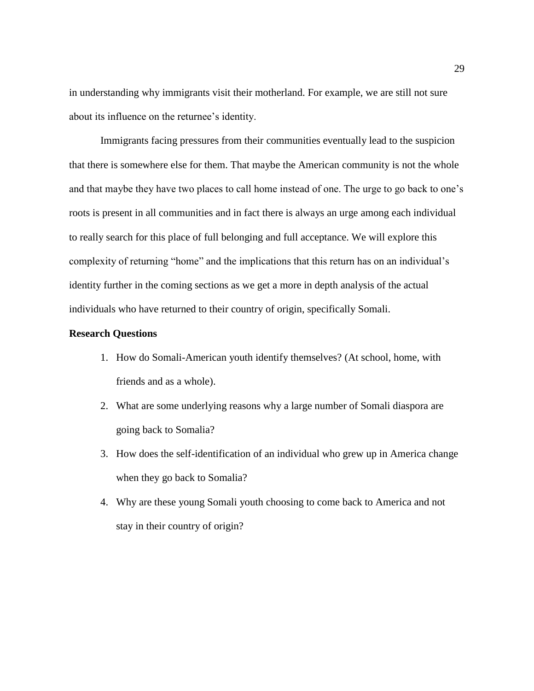in understanding why immigrants visit their motherland. For example, we are still not sure about its influence on the returnee's identity.

Immigrants facing pressures from their communities eventually lead to the suspicion that there is somewhere else for them. That maybe the American community is not the whole and that maybe they have two places to call home instead of one. The urge to go back to one's roots is present in all communities and in fact there is always an urge among each individual to really search for this place of full belonging and full acceptance. We will explore this complexity of returning "home" and the implications that this return has on an individual's identity further in the coming sections as we get a more in depth analysis of the actual individuals who have returned to their country of origin, specifically Somali.

#### **Research Questions**

- 1. How do Somali-American youth identify themselves? (At school, home, with friends and as a whole).
- 2. What are some underlying reasons why a large number of Somali diaspora are going back to Somalia?
- 3. How does the self-identification of an individual who grew up in America change when they go back to Somalia?
- 4. Why are these young Somali youth choosing to come back to America and not stay in their country of origin?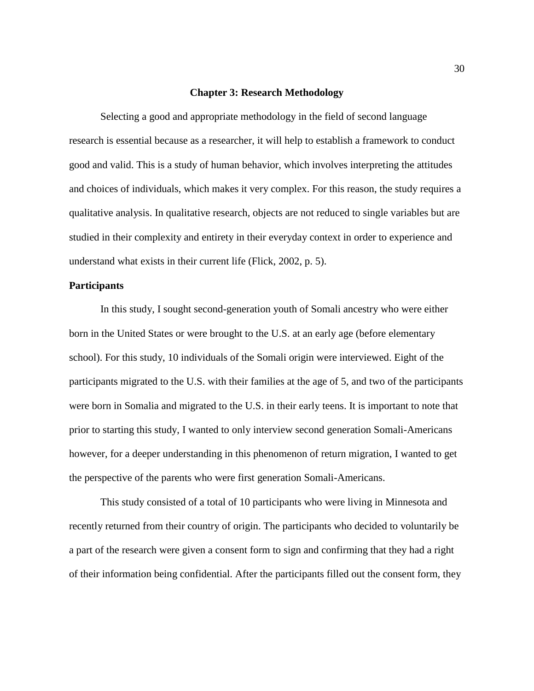#### **Chapter 3: Research Methodology**

Selecting a good and appropriate methodology in the field of second language research is essential because as a researcher, it will help to establish a framework to conduct good and valid. This is a study of human behavior, which involves interpreting the attitudes and choices of individuals, which makes it very complex. For this reason, the study requires a qualitative analysis. In qualitative research, objects are not reduced to single variables but are studied in their complexity and entirety in their everyday context in order to experience and understand what exists in their current life (Flick, 2002, p. 5).

#### **Participants**

In this study, I sought second-generation youth of Somali ancestry who were either born in the United States or were brought to the U.S. at an early age (before elementary school). For this study, 10 individuals of the Somali origin were interviewed. Eight of the participants migrated to the U.S. with their families at the age of 5, and two of the participants were born in Somalia and migrated to the U.S. in their early teens. It is important to note that prior to starting this study, I wanted to only interview second generation Somali-Americans however, for a deeper understanding in this phenomenon of return migration, I wanted to get the perspective of the parents who were first generation Somali-Americans.

This study consisted of a total of 10 participants who were living in Minnesota and recently returned from their country of origin. The participants who decided to voluntarily be a part of the research were given a consent form to sign and confirming that they had a right of their information being confidential. After the participants filled out the consent form, they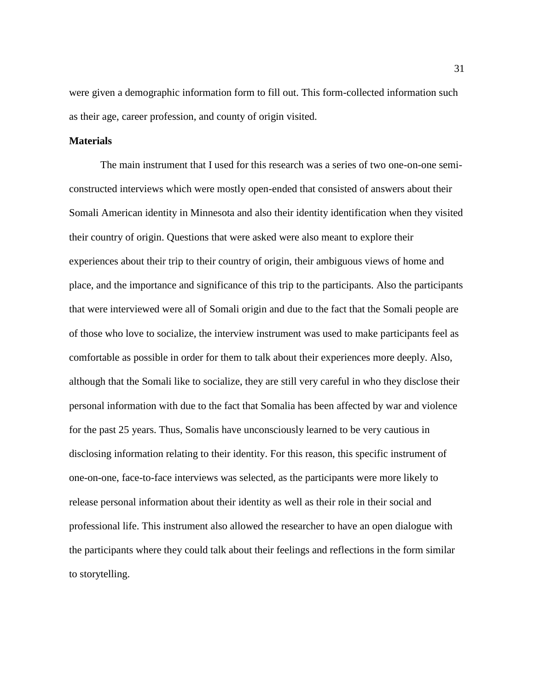were given a demographic information form to fill out. This form-collected information such as their age, career profession, and county of origin visited.

#### **Materials**

The main instrument that I used for this research was a series of two one-on-one semiconstructed interviews which were mostly open-ended that consisted of answers about their Somali American identity in Minnesota and also their identity identification when they visited their country of origin. Questions that were asked were also meant to explore their experiences about their trip to their country of origin, their ambiguous views of home and place, and the importance and significance of this trip to the participants. Also the participants that were interviewed were all of Somali origin and due to the fact that the Somali people are of those who love to socialize, the interview instrument was used to make participants feel as comfortable as possible in order for them to talk about their experiences more deeply. Also, although that the Somali like to socialize, they are still very careful in who they disclose their personal information with due to the fact that Somalia has been affected by war and violence for the past 25 years. Thus, Somalis have unconsciously learned to be very cautious in disclosing information relating to their identity. For this reason, this specific instrument of one-on-one, face-to-face interviews was selected, as the participants were more likely to release personal information about their identity as well as their role in their social and professional life. This instrument also allowed the researcher to have an open dialogue with the participants where they could talk about their feelings and reflections in the form similar to storytelling.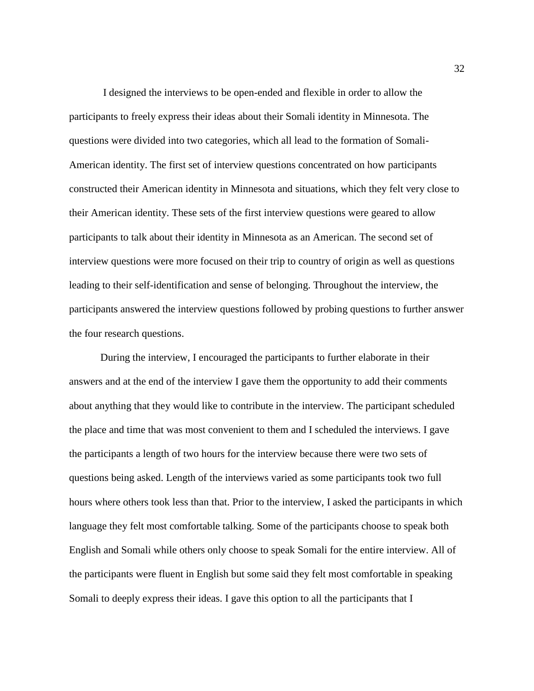I designed the interviews to be open-ended and flexible in order to allow the participants to freely express their ideas about their Somali identity in Minnesota. The questions were divided into two categories, which all lead to the formation of Somali-American identity. The first set of interview questions concentrated on how participants constructed their American identity in Minnesota and situations, which they felt very close to their American identity. These sets of the first interview questions were geared to allow participants to talk about their identity in Minnesota as an American. The second set of interview questions were more focused on their trip to country of origin as well as questions leading to their self-identification and sense of belonging. Throughout the interview, the participants answered the interview questions followed by probing questions to further answer the four research questions.

During the interview, I encouraged the participants to further elaborate in their answers and at the end of the interview I gave them the opportunity to add their comments about anything that they would like to contribute in the interview. The participant scheduled the place and time that was most convenient to them and I scheduled the interviews. I gave the participants a length of two hours for the interview because there were two sets of questions being asked. Length of the interviews varied as some participants took two full hours where others took less than that. Prior to the interview, I asked the participants in which language they felt most comfortable talking. Some of the participants choose to speak both English and Somali while others only choose to speak Somali for the entire interview. All of the participants were fluent in English but some said they felt most comfortable in speaking Somali to deeply express their ideas. I gave this option to all the participants that I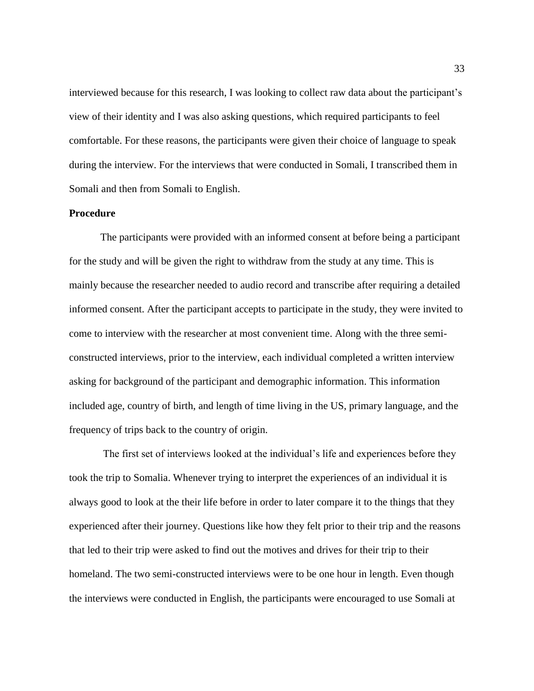interviewed because for this research, I was looking to collect raw data about the participant's view of their identity and I was also asking questions, which required participants to feel comfortable. For these reasons, the participants were given their choice of language to speak during the interview. For the interviews that were conducted in Somali, I transcribed them in Somali and then from Somali to English.

## **Procedure**

The participants were provided with an informed consent at before being a participant for the study and will be given the right to withdraw from the study at any time. This is mainly because the researcher needed to audio record and transcribe after requiring a detailed informed consent. After the participant accepts to participate in the study, they were invited to come to interview with the researcher at most convenient time. Along with the three semiconstructed interviews, prior to the interview, each individual completed a written interview asking for background of the participant and demographic information. This information included age, country of birth, and length of time living in the US, primary language, and the frequency of trips back to the country of origin.

The first set of interviews looked at the individual's life and experiences before they took the trip to Somalia. Whenever trying to interpret the experiences of an individual it is always good to look at the their life before in order to later compare it to the things that they experienced after their journey. Questions like how they felt prior to their trip and the reasons that led to their trip were asked to find out the motives and drives for their trip to their homeland. The two semi-constructed interviews were to be one hour in length. Even though the interviews were conducted in English, the participants were encouraged to use Somali at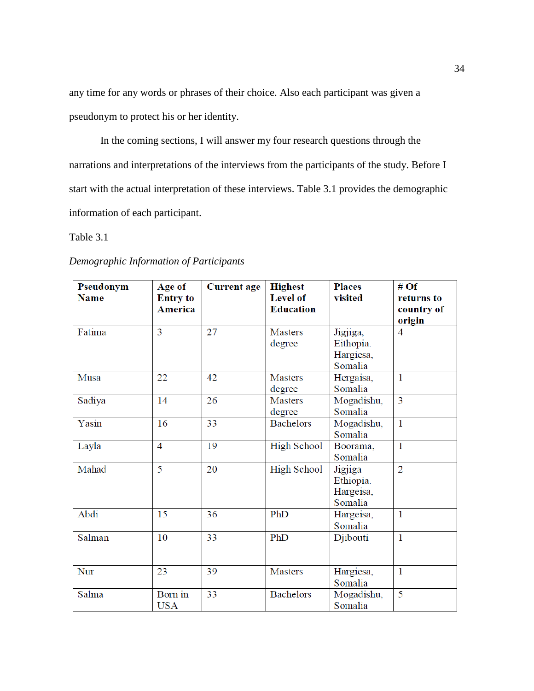any time for any words or phrases of their choice. Also each participant was given a pseudonym to protect his or her identity.

In the coming sections, I will answer my four research questions through the narrations and interpretations of the interviews from the participants of the study. Before I start with the actual interpretation of these interviews. Table 3.1 provides the demographic information of each participant.

## Table 3.1

|  |  | Demographic Information of Participants |
|--|--|-----------------------------------------|
|--|--|-----------------------------------------|

| Pseudonym   |                                             | <b>Current age</b> | <b>Highest</b>                      | <b>Places</b>                                 | # $Of$                             |
|-------------|---------------------------------------------|--------------------|-------------------------------------|-----------------------------------------------|------------------------------------|
| <b>Name</b> | Age of<br><b>Entry to</b><br><b>America</b> |                    | <b>Level of</b><br><b>Education</b> | visited                                       | returns to<br>country of<br>origin |
| Fatima      | 3                                           | 27                 | <b>Masters</b><br>degree            | Jigjiga,<br>Eithopia.<br>Hargiesa,<br>Somalia | $\overline{4}$                     |
| Musa        | 22                                          | 42                 | <b>Masters</b><br>degree            | Hergaisa,<br>Somalia                          | $\mathbf{1}$                       |
| Sadiya      | 14                                          | 26                 | <b>Masters</b><br>degree            | Mogadishu,<br>Somalia                         | $\overline{3}$                     |
| Yasin       | 16                                          | 33                 | <b>Bachelors</b>                    | Mogadishu,<br>Somalia                         | $\mathbf{1}$                       |
| Layla       | $\overline{4}$                              | 19                 | <b>High School</b>                  | Boorama,<br>Somalia                           | $\mathbf{1}$                       |
| Mahad       | $\overline{\mathbf{5}}$                     | 20                 | <b>High School</b>                  | Jigjiga<br>Ethiopia.<br>Hargeisa,<br>Somalia  | $\overline{2}$                     |
| Abdi        | 15                                          | 36                 | PhD                                 | Hargeisa,<br>Somalia                          | $\mathbf{1}$                       |
| Salman      | 10                                          | 33                 | PhD                                 | Djibouti                                      | $\mathbf{1}$                       |
| Nur         | 23                                          | 39                 | <b>Masters</b>                      | Hargiesa,<br>Somalia                          | $\mathbf{1}$                       |
| Salma       | Born in<br><b>USA</b>                       | 33                 | <b>Bachelors</b>                    | Mogadishu,<br>Somalia                         | 5                                  |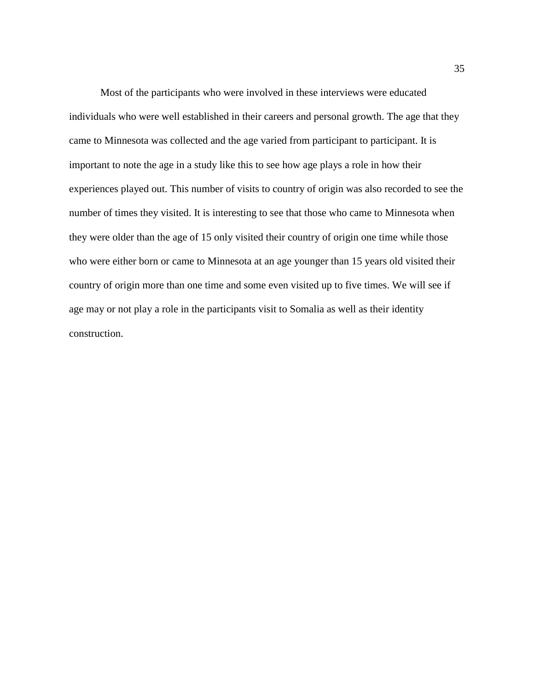Most of the participants who were involved in these interviews were educated individuals who were well established in their careers and personal growth. The age that they came to Minnesota was collected and the age varied from participant to participant. It is important to note the age in a study like this to see how age plays a role in how their experiences played out. This number of visits to country of origin was also recorded to see the number of times they visited. It is interesting to see that those who came to Minnesota when they were older than the age of 15 only visited their country of origin one time while those who were either born or came to Minnesota at an age younger than 15 years old visited their country of origin more than one time and some even visited up to five times. We will see if age may or not play a role in the participants visit to Somalia as well as their identity construction.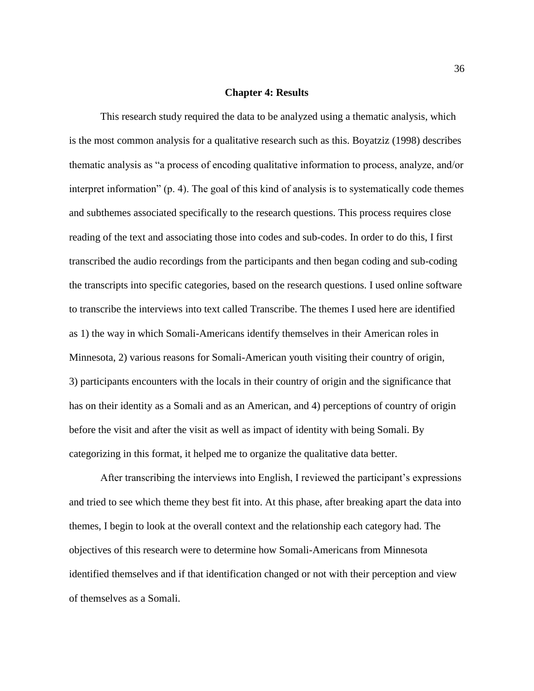#### **Chapter 4: Results**

This research study required the data to be analyzed using a thematic analysis, which is the most common analysis for a qualitative research such as this. Boyatziz (1998) describes thematic analysis as "a process of encoding qualitative information to process, analyze, and/or interpret information" (p. 4). The goal of this kind of analysis is to systematically code themes and subthemes associated specifically to the research questions. This process requires close reading of the text and associating those into codes and sub-codes. In order to do this, I first transcribed the audio recordings from the participants and then began coding and sub-coding the transcripts into specific categories, based on the research questions. I used online software to transcribe the interviews into text called Transcribe. The themes I used here are identified as 1) the way in which Somali-Americans identify themselves in their American roles in Minnesota, 2) various reasons for Somali-American youth visiting their country of origin, 3) participants encounters with the locals in their country of origin and the significance that has on their identity as a Somali and as an American, and 4) perceptions of country of origin before the visit and after the visit as well as impact of identity with being Somali. By categorizing in this format, it helped me to organize the qualitative data better.

After transcribing the interviews into English, I reviewed the participant's expressions and tried to see which theme they best fit into. At this phase, after breaking apart the data into themes, I begin to look at the overall context and the relationship each category had. The objectives of this research were to determine how Somali-Americans from Minnesota identified themselves and if that identification changed or not with their perception and view of themselves as a Somali.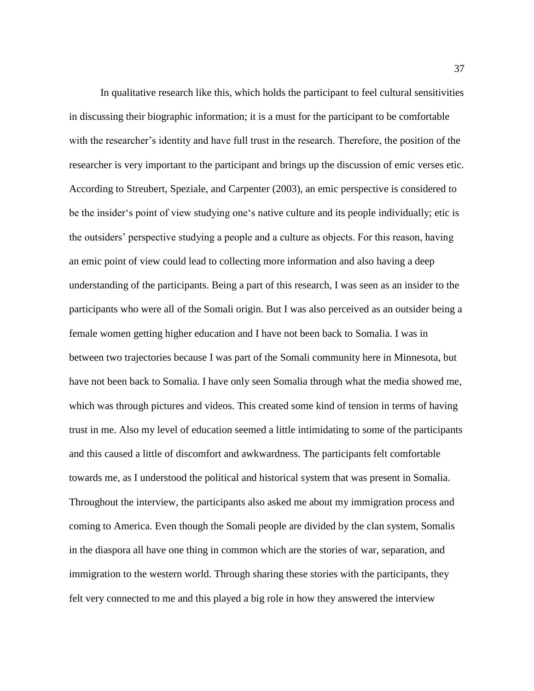In qualitative research like this, which holds the participant to feel cultural sensitivities in discussing their biographic information; it is a must for the participant to be comfortable with the researcher's identity and have full trust in the research. Therefore, the position of the researcher is very important to the participant and brings up the discussion of emic verses etic. According to Streubert, Speziale, and Carpenter (2003), an emic perspective is considered to be the insider's point of view studying one's native culture and its people individually; etic is the outsiders' perspective studying a people and a culture as objects. For this reason, having an emic point of view could lead to collecting more information and also having a deep understanding of the participants. Being a part of this research, I was seen as an insider to the participants who were all of the Somali origin. But I was also perceived as an outsider being a female women getting higher education and I have not been back to Somalia. I was in between two trajectories because I was part of the Somali community here in Minnesota, but have not been back to Somalia. I have only seen Somalia through what the media showed me, which was through pictures and videos. This created some kind of tension in terms of having trust in me. Also my level of education seemed a little intimidating to some of the participants and this caused a little of discomfort and awkwardness. The participants felt comfortable towards me, as I understood the political and historical system that was present in Somalia. Throughout the interview, the participants also asked me about my immigration process and coming to America. Even though the Somali people are divided by the clan system, Somalis in the diaspora all have one thing in common which are the stories of war, separation, and immigration to the western world. Through sharing these stories with the participants, they felt very connected to me and this played a big role in how they answered the interview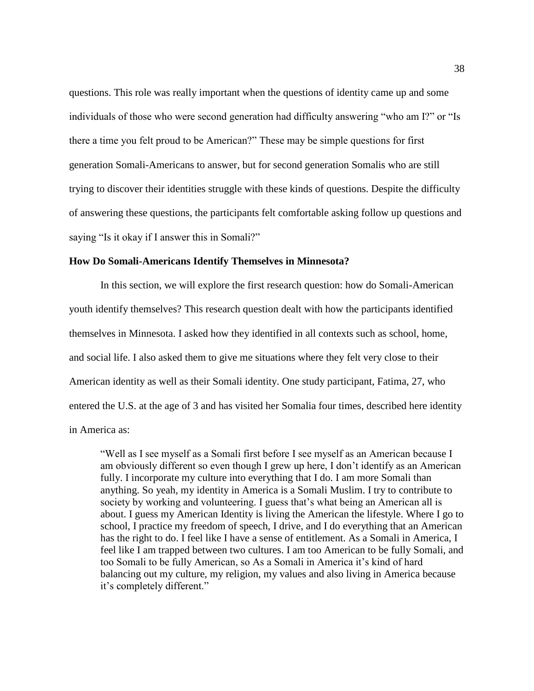questions. This role was really important when the questions of identity came up and some individuals of those who were second generation had difficulty answering "who am I?" or "Is there a time you felt proud to be American?" These may be simple questions for first generation Somali-Americans to answer, but for second generation Somalis who are still trying to discover their identities struggle with these kinds of questions. Despite the difficulty of answering these questions, the participants felt comfortable asking follow up questions and saying "Is it okay if I answer this in Somali?"

#### **How Do Somali-Americans Identify Themselves in Minnesota?**

In this section, we will explore the first research question: how do Somali-American youth identify themselves? This research question dealt with how the participants identified themselves in Minnesota. I asked how they identified in all contexts such as school, home, and social life. I also asked them to give me situations where they felt very close to their American identity as well as their Somali identity. One study participant, Fatima, 27, who entered the U.S. at the age of 3 and has visited her Somalia four times, described here identity in America as:

"Well as I see myself as a Somali first before I see myself as an American because I am obviously different so even though I grew up here, I don't identify as an American fully. I incorporate my culture into everything that I do. I am more Somali than anything. So yeah, my identity in America is a Somali Muslim. I try to contribute to society by working and volunteering. I guess that's what being an American all is about. I guess my American Identity is living the American the lifestyle. Where I go to school, I practice my freedom of speech, I drive, and I do everything that an American has the right to do. I feel like I have a sense of entitlement. As a Somali in America, I feel like I am trapped between two cultures. I am too American to be fully Somali, and too Somali to be fully American, so As a Somali in America it's kind of hard balancing out my culture, my religion, my values and also living in America because it's completely different."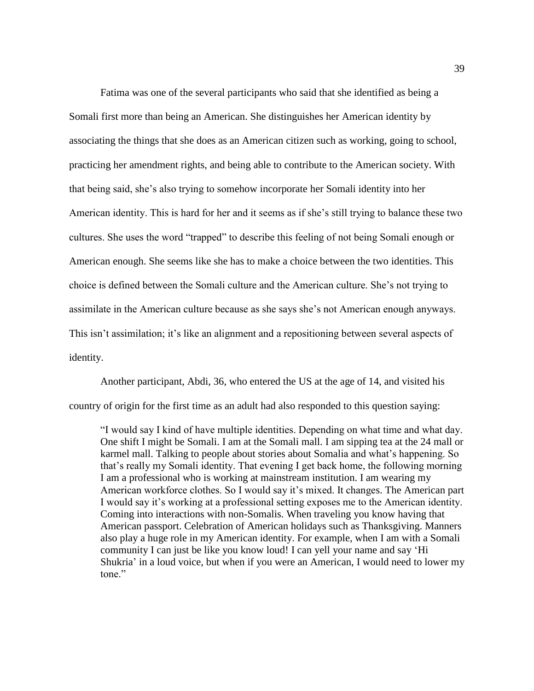Fatima was one of the several participants who said that she identified as being a Somali first more than being an American. She distinguishes her American identity by associating the things that she does as an American citizen such as working, going to school, practicing her amendment rights, and being able to contribute to the American society. With that being said, she's also trying to somehow incorporate her Somali identity into her American identity. This is hard for her and it seems as if she's still trying to balance these two cultures. She uses the word "trapped" to describe this feeling of not being Somali enough or American enough. She seems like she has to make a choice between the two identities. This choice is defined between the Somali culture and the American culture. She's not trying to assimilate in the American culture because as she says she's not American enough anyways. This isn't assimilation; it's like an alignment and a repositioning between several aspects of identity.

Another participant, Abdi, 36, who entered the US at the age of 14, and visited his country of origin for the first time as an adult had also responded to this question saying:

"I would say I kind of have multiple identities. Depending on what time and what day. One shift I might be Somali. I am at the Somali mall. I am sipping tea at the 24 mall or karmel mall. Talking to people about stories about Somalia and what's happening. So that's really my Somali identity. That evening I get back home, the following morning I am a professional who is working at mainstream institution. I am wearing my American workforce clothes. So I would say it's mixed. It changes. The American part I would say it's working at a professional setting exposes me to the American identity. Coming into interactions with non-Somalis. When traveling you know having that American passport. Celebration of American holidays such as Thanksgiving. Manners also play a huge role in my American identity. For example, when I am with a Somali community I can just be like you know loud! I can yell your name and say 'Hi Shukria' in a loud voice, but when if you were an American, I would need to lower my tone."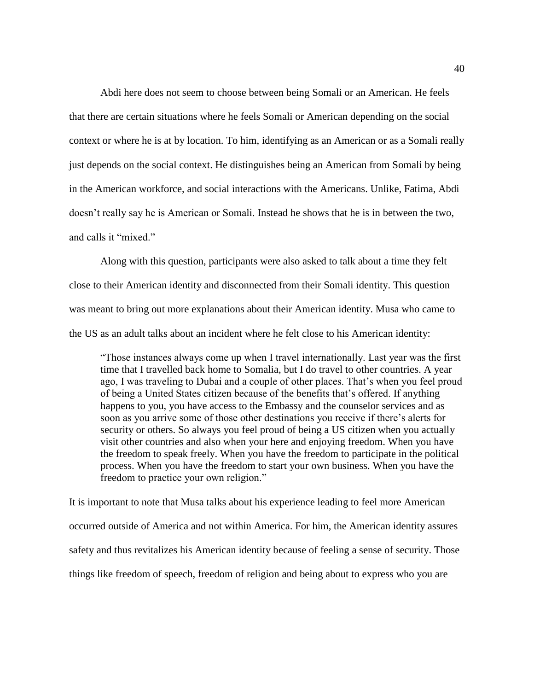Abdi here does not seem to choose between being Somali or an American. He feels that there are certain situations where he feels Somali or American depending on the social context or where he is at by location. To him, identifying as an American or as a Somali really just depends on the social context. He distinguishes being an American from Somali by being in the American workforce, and social interactions with the Americans. Unlike, Fatima, Abdi doesn't really say he is American or Somali. Instead he shows that he is in between the two, and calls it "mixed."

Along with this question, participants were also asked to talk about a time they felt close to their American identity and disconnected from their Somali identity. This question was meant to bring out more explanations about their American identity. Musa who came to the US as an adult talks about an incident where he felt close to his American identity:

"Those instances always come up when I travel internationally. Last year was the first time that I travelled back home to Somalia, but I do travel to other countries. A year ago, I was traveling to Dubai and a couple of other places. That's when you feel proud of being a United States citizen because of the benefits that's offered. If anything happens to you, you have access to the Embassy and the counselor services and as soon as you arrive some of those other destinations you receive if there's alerts for security or others. So always you feel proud of being a US citizen when you actually visit other countries and also when your here and enjoying freedom. When you have the freedom to speak freely. When you have the freedom to participate in the political process. When you have the freedom to start your own business. When you have the freedom to practice your own religion."

It is important to note that Musa talks about his experience leading to feel more American occurred outside of America and not within America. For him, the American identity assures safety and thus revitalizes his American identity because of feeling a sense of security. Those things like freedom of speech, freedom of religion and being about to express who you are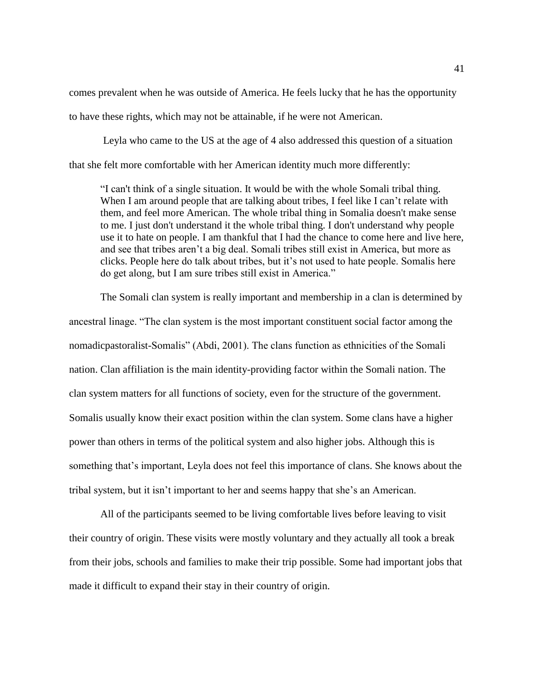comes prevalent when he was outside of America. He feels lucky that he has the opportunity to have these rights, which may not be attainable, if he were not American.

Leyla who came to the US at the age of 4 also addressed this question of a situation that she felt more comfortable with her American identity much more differently:

"I can't think of a single situation. It would be with the whole Somali tribal thing. When I am around people that are talking about tribes, I feel like I can't relate with them, and feel more American. The whole tribal thing in Somalia doesn't make sense to me. I just don't understand it the whole tribal thing. I don't understand why people use it to hate on people. I am thankful that I had the chance to come here and live here, and see that tribes aren't a big deal. Somali tribes still exist in America, but more as clicks. People here do talk about tribes, but it's not used to hate people. Somalis here do get along, but I am sure tribes still exist in America."

The Somali clan system is really important and membership in a clan is determined by ancestral linage. "The clan system is the most important constituent social factor among the nomadicpastoralist-Somalis" (Abdi, 2001). The clans function as ethnicities of the Somali nation. Clan affiliation is the main identity-providing factor within the Somali nation. The clan system matters for all functions of society, even for the structure of the government. Somalis usually know their exact position within the clan system. Some clans have a higher power than others in terms of the political system and also higher jobs. Although this is something that's important, Leyla does not feel this importance of clans. She knows about the tribal system, but it isn't important to her and seems happy that she's an American.

All of the participants seemed to be living comfortable lives before leaving to visit their country of origin. These visits were mostly voluntary and they actually all took a break from their jobs, schools and families to make their trip possible. Some had important jobs that made it difficult to expand their stay in their country of origin.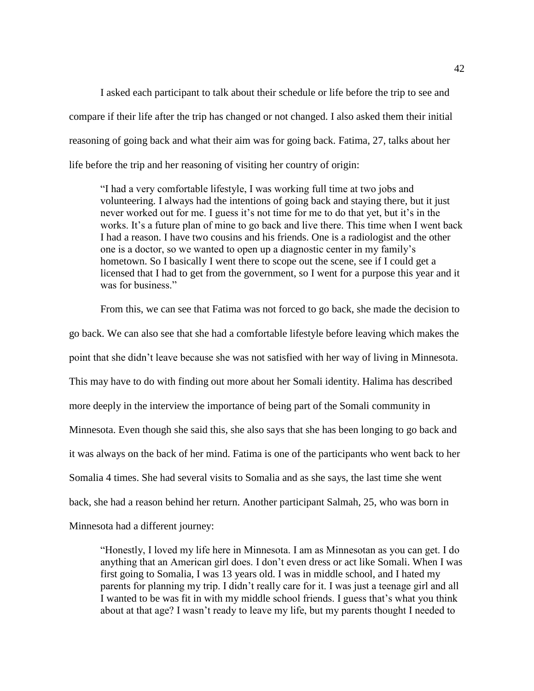I asked each participant to talk about their schedule or life before the trip to see and compare if their life after the trip has changed or not changed. I also asked them their initial reasoning of going back and what their aim was for going back. Fatima, 27, talks about her life before the trip and her reasoning of visiting her country of origin:

"I had a very comfortable lifestyle, I was working full time at two jobs and volunteering. I always had the intentions of going back and staying there, but it just never worked out for me. I guess it's not time for me to do that yet, but it's in the works. It's a future plan of mine to go back and live there. This time when I went back I had a reason. I have two cousins and his friends. One is a radiologist and the other one is a doctor, so we wanted to open up a diagnostic center in my family's hometown. So I basically I went there to scope out the scene, see if I could get a licensed that I had to get from the government, so I went for a purpose this year and it was for business."

From this, we can see that Fatima was not forced to go back, she made the decision to go back. We can also see that she had a comfortable lifestyle before leaving which makes the point that she didn't leave because she was not satisfied with her way of living in Minnesota. This may have to do with finding out more about her Somali identity. Halima has described more deeply in the interview the importance of being part of the Somali community in Minnesota. Even though she said this, she also says that she has been longing to go back and it was always on the back of her mind. Fatima is one of the participants who went back to her Somalia 4 times. She had several visits to Somalia and as she says, the last time she went back, she had a reason behind her return. Another participant Salmah, 25, who was born in Minnesota had a different journey:

"Honestly, I loved my life here in Minnesota. I am as Minnesotan as you can get. I do anything that an American girl does. I don't even dress or act like Somali. When I was first going to Somalia, I was 13 years old. I was in middle school, and I hated my parents for planning my trip. I didn't really care for it. I was just a teenage girl and all I wanted to be was fit in with my middle school friends. I guess that's what you think about at that age? I wasn't ready to leave my life, but my parents thought I needed to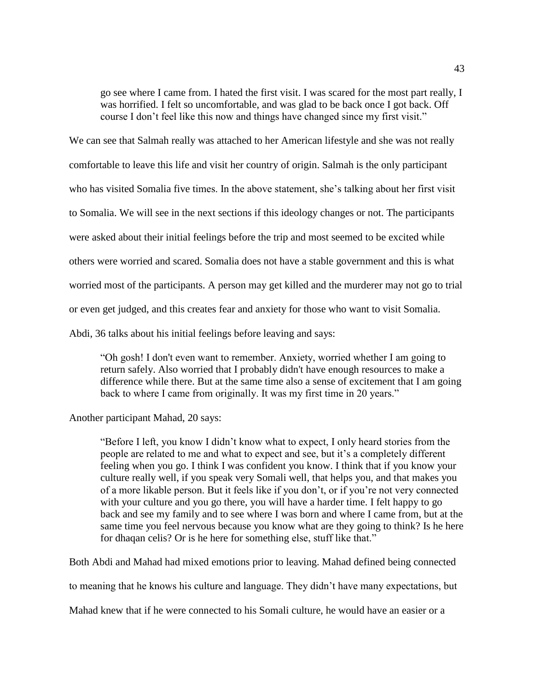go see where I came from. I hated the first visit. I was scared for the most part really, I was horrified. I felt so uncomfortable, and was glad to be back once I got back. Off course I don't feel like this now and things have changed since my first visit."

We can see that Salmah really was attached to her American lifestyle and she was not really

comfortable to leave this life and visit her country of origin. Salmah is the only participant

who has visited Somalia five times. In the above statement, she's talking about her first visit

to Somalia. We will see in the next sections if this ideology changes or not. The participants

were asked about their initial feelings before the trip and most seemed to be excited while

others were worried and scared. Somalia does not have a stable government and this is what

worried most of the participants. A person may get killed and the murderer may not go to trial

or even get judged, and this creates fear and anxiety for those who want to visit Somalia.

Abdi, 36 talks about his initial feelings before leaving and says:

"Oh gosh! I don't even want to remember. Anxiety, worried whether I am going to return safely. Also worried that I probably didn't have enough resources to make a difference while there. But at the same time also a sense of excitement that I am going back to where I came from originally. It was my first time in 20 years."

Another participant Mahad, 20 says:

"Before I left, you know I didn't know what to expect, I only heard stories from the people are related to me and what to expect and see, but it's a completely different feeling when you go. I think I was confident you know. I think that if you know your culture really well, if you speak very Somali well, that helps you, and that makes you of a more likable person. But it feels like if you don't, or if you're not very connected with your culture and you go there, you will have a harder time. I felt happy to go back and see my family and to see where I was born and where I came from, but at the same time you feel nervous because you know what are they going to think? Is he here for dhaqan celis? Or is he here for something else, stuff like that."

Both Abdi and Mahad had mixed emotions prior to leaving. Mahad defined being connected

to meaning that he knows his culture and language. They didn't have many expectations, but

Mahad knew that if he were connected to his Somali culture, he would have an easier or a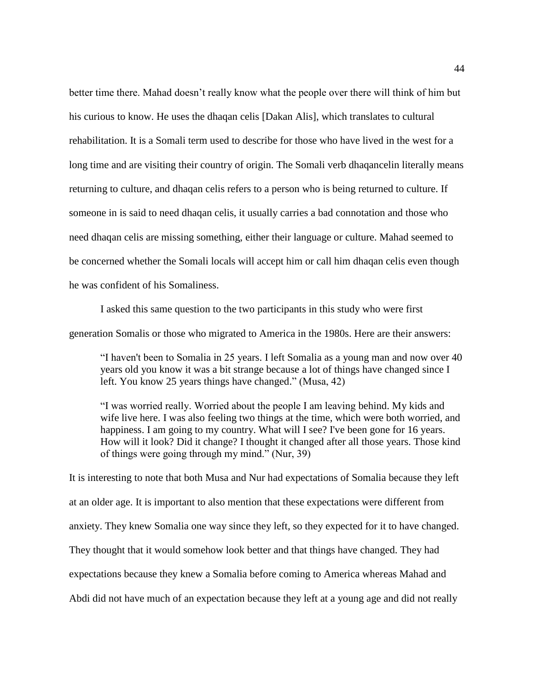better time there. Mahad doesn't really know what the people over there will think of him but his curious to know. He uses the dhaqan celis [Dakan Alis], which translates to cultural rehabilitation. It is a Somali term used to describe for those who have lived in the west for a long time and are visiting their country of origin. The Somali verb dhaqancelin literally means returning to culture, and dhaqan celis refers to a person who is being returned to culture. If someone in is said to need dhaqan celis, it usually carries a bad connotation and those who need dhaqan celis are missing something, either their language or culture. Mahad seemed to be concerned whether the Somali locals will accept him or call him dhaqan celis even though he was confident of his Somaliness.

I asked this same question to the two participants in this study who were first generation Somalis or those who migrated to America in the 1980s. Here are their answers:

"I haven't been to Somalia in 25 years. I left Somalia as a young man and now over 40 years old you know it was a bit strange because a lot of things have changed since I left. You know 25 years things have changed." (Musa, 42)

"I was worried really. Worried about the people I am leaving behind. My kids and wife live here. I was also feeling two things at the time, which were both worried, and happiness. I am going to my country. What will I see? I've been gone for 16 years. How will it look? Did it change? I thought it changed after all those years. Those kind of things were going through my mind." (Nur, 39)

It is interesting to note that both Musa and Nur had expectations of Somalia because they left at an older age. It is important to also mention that these expectations were different from anxiety. They knew Somalia one way since they left, so they expected for it to have changed. They thought that it would somehow look better and that things have changed. They had expectations because they knew a Somalia before coming to America whereas Mahad and Abdi did not have much of an expectation because they left at a young age and did not really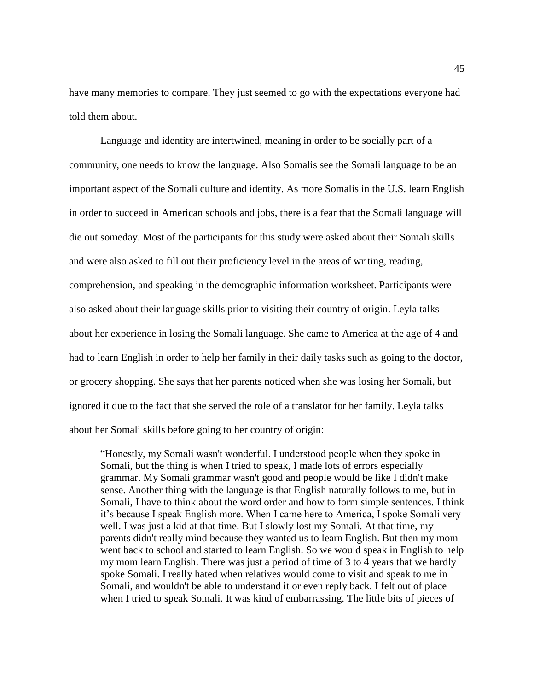have many memories to compare. They just seemed to go with the expectations everyone had told them about.

Language and identity are intertwined, meaning in order to be socially part of a community, one needs to know the language. Also Somalis see the Somali language to be an important aspect of the Somali culture and identity. As more Somalis in the U.S. learn English in order to succeed in American schools and jobs, there is a fear that the Somali language will die out someday. Most of the participants for this study were asked about their Somali skills and were also asked to fill out their proficiency level in the areas of writing, reading, comprehension, and speaking in the demographic information worksheet. Participants were also asked about their language skills prior to visiting their country of origin. Leyla talks about her experience in losing the Somali language. She came to America at the age of 4 and had to learn English in order to help her family in their daily tasks such as going to the doctor, or grocery shopping. She says that her parents noticed when she was losing her Somali, but ignored it due to the fact that she served the role of a translator for her family. Leyla talks about her Somali skills before going to her country of origin:

"Honestly, my Somali wasn't wonderful. I understood people when they spoke in Somali, but the thing is when I tried to speak, I made lots of errors especially grammar. My Somali grammar wasn't good and people would be like I didn't make sense. Another thing with the language is that English naturally follows to me, but in Somali, I have to think about the word order and how to form simple sentences. I think it's because I speak English more. When I came here to America, I spoke Somali very well. I was just a kid at that time. But I slowly lost my Somali. At that time, my parents didn't really mind because they wanted us to learn English. But then my mom went back to school and started to learn English. So we would speak in English to help my mom learn English. There was just a period of time of 3 to 4 years that we hardly spoke Somali. I really hated when relatives would come to visit and speak to me in Somali, and wouldn't be able to understand it or even reply back. I felt out of place when I tried to speak Somali. It was kind of embarrassing. The little bits of pieces of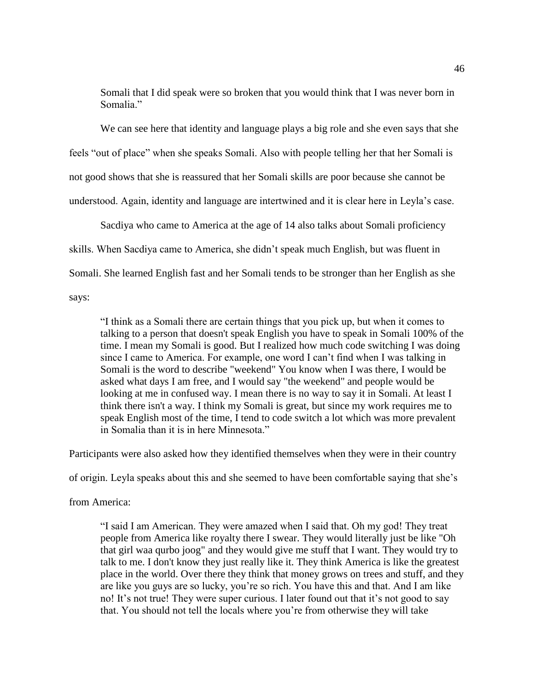Somali that I did speak were so broken that you would think that I was never born in Somalia<sup>"</sup>

We can see here that identity and language plays a big role and she even says that she feels "out of place" when she speaks Somali. Also with people telling her that her Somali is not good shows that she is reassured that her Somali skills are poor because she cannot be understood. Again, identity and language are intertwined and it is clear here in Leyla's case.

Sacdiya who came to America at the age of 14 also talks about Somali proficiency

skills. When Sacdiya came to America, she didn't speak much English, but was fluent in

Somali. She learned English fast and her Somali tends to be stronger than her English as she

says:

"I think as a Somali there are certain things that you pick up, but when it comes to talking to a person that doesn't speak English you have to speak in Somali 100% of the time. I mean my Somali is good. But I realized how much code switching I was doing since I came to America. For example, one word I can't find when I was talking in Somali is the word to describe "weekend" You know when I was there, I would be asked what days I am free, and I would say "the weekend" and people would be looking at me in confused way. I mean there is no way to say it in Somali. At least I think there isn't a way. I think my Somali is great, but since my work requires me to speak English most of the time, I tend to code switch a lot which was more prevalent in Somalia than it is in here Minnesota."

Participants were also asked how they identified themselves when they were in their country

of origin. Leyla speaks about this and she seemed to have been comfortable saying that she's

from America:

"I said I am American. They were amazed when I said that. Oh my god! They treat people from America like royalty there I swear. They would literally just be like "Oh that girl waa qurbo joog" and they would give me stuff that I want. They would try to talk to me. I don't know they just really like it. They think America is like the greatest place in the world. Over there they think that money grows on trees and stuff, and they are like you guys are so lucky, you're so rich. You have this and that. And I am like no! It's not true! They were super curious. I later found out that it's not good to say that. You should not tell the locals where you're from otherwise they will take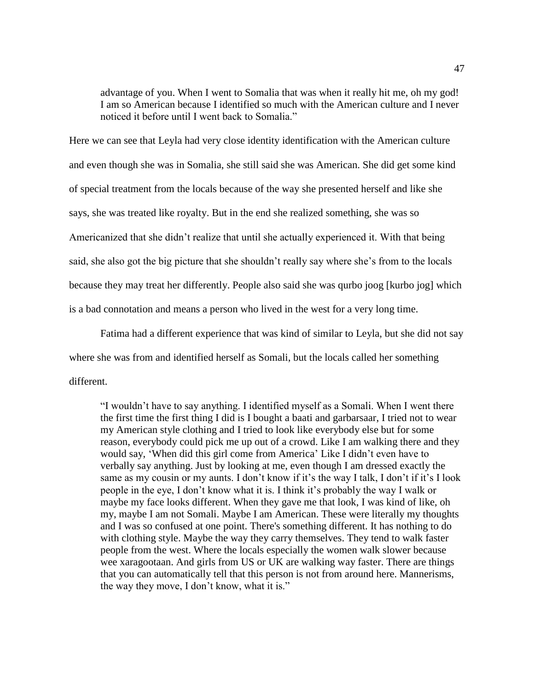advantage of you. When I went to Somalia that was when it really hit me, oh my god! I am so American because I identified so much with the American culture and I never noticed it before until I went back to Somalia."

Here we can see that Leyla had very close identity identification with the American culture and even though she was in Somalia, she still said she was American. She did get some kind of special treatment from the locals because of the way she presented herself and like she says, she was treated like royalty. But in the end she realized something, she was so Americanized that she didn't realize that until she actually experienced it. With that being said, she also got the big picture that she shouldn't really say where she's from to the locals because they may treat her differently. People also said she was qurbo joog [kurbo jog] which is a bad connotation and means a person who lived in the west for a very long time.

Fatima had a different experience that was kind of similar to Leyla, but she did not say where she was from and identified herself as Somali, but the locals called her something different.

"I wouldn't have to say anything. I identified myself as a Somali. When I went there the first time the first thing I did is I bought a baati and garbarsaar, I tried not to wear my American style clothing and I tried to look like everybody else but for some reason, everybody could pick me up out of a crowd. Like I am walking there and they would say, 'When did this girl come from America' Like I didn't even have to verbally say anything. Just by looking at me, even though I am dressed exactly the same as my cousin or my aunts. I don't know if it's the way I talk, I don't if it's I look people in the eye, I don't know what it is. I think it's probably the way I walk or maybe my face looks different. When they gave me that look, I was kind of like, oh my, maybe I am not Somali. Maybe I am American. These were literally my thoughts and I was so confused at one point. There's something different. It has nothing to do with clothing style. Maybe the way they carry themselves. They tend to walk faster people from the west. Where the locals especially the women walk slower because wee xaragootaan. And girls from US or UK are walking way faster. There are things that you can automatically tell that this person is not from around here. Mannerisms, the way they move, I don't know, what it is."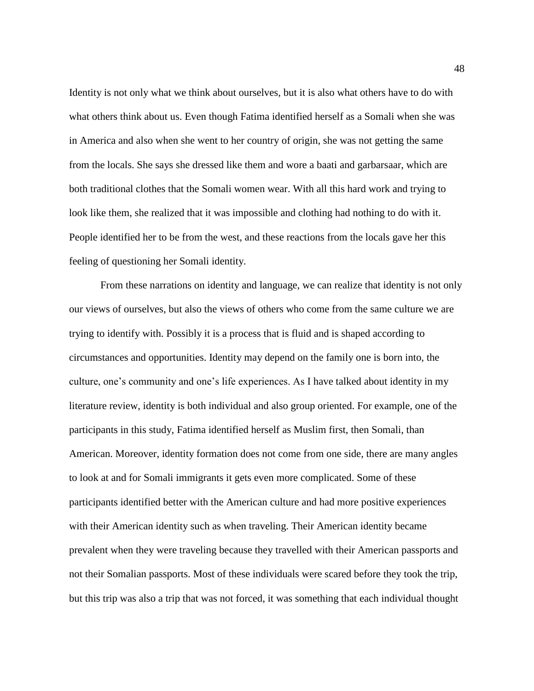Identity is not only what we think about ourselves, but it is also what others have to do with what others think about us. Even though Fatima identified herself as a Somali when she was in America and also when she went to her country of origin, she was not getting the same from the locals. She says she dressed like them and wore a baati and garbarsaar, which are both traditional clothes that the Somali women wear. With all this hard work and trying to look like them, she realized that it was impossible and clothing had nothing to do with it. People identified her to be from the west, and these reactions from the locals gave her this feeling of questioning her Somali identity.

From these narrations on identity and language, we can realize that identity is not only our views of ourselves, but also the views of others who come from the same culture we are trying to identify with. Possibly it is a process that is fluid and is shaped according to circumstances and opportunities. Identity may depend on the family one is born into, the culture, one's community and one's life experiences. As I have talked about identity in my literature review, identity is both individual and also group oriented. For example, one of the participants in this study, Fatima identified herself as Muslim first, then Somali, than American. Moreover, identity formation does not come from one side, there are many angles to look at and for Somali immigrants it gets even more complicated. Some of these participants identified better with the American culture and had more positive experiences with their American identity such as when traveling. Their American identity became prevalent when they were traveling because they travelled with their American passports and not their Somalian passports. Most of these individuals were scared before they took the trip, but this trip was also a trip that was not forced, it was something that each individual thought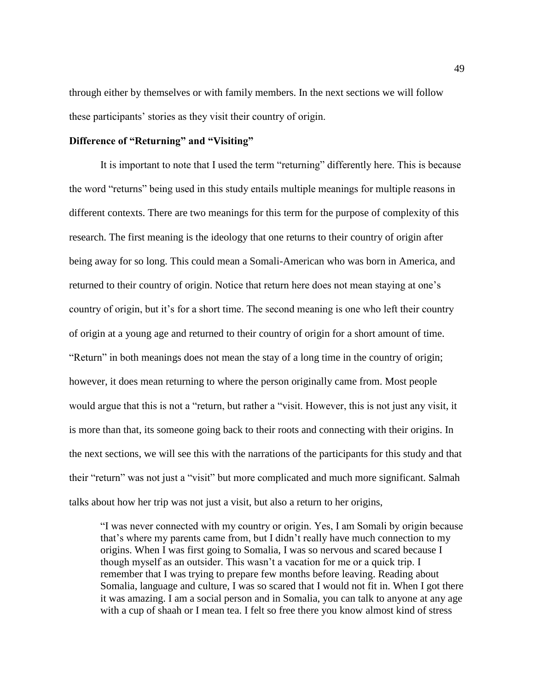through either by themselves or with family members. In the next sections we will follow these participants' stories as they visit their country of origin.

# **Difference of "Returning" and "Visiting"**

It is important to note that I used the term "returning" differently here. This is because the word "returns" being used in this study entails multiple meanings for multiple reasons in different contexts. There are two meanings for this term for the purpose of complexity of this research. The first meaning is the ideology that one returns to their country of origin after being away for so long. This could mean a Somali-American who was born in America, and returned to their country of origin. Notice that return here does not mean staying at one's country of origin, but it's for a short time. The second meaning is one who left their country of origin at a young age and returned to their country of origin for a short amount of time. "Return" in both meanings does not mean the stay of a long time in the country of origin; however, it does mean returning to where the person originally came from. Most people would argue that this is not a "return, but rather a "visit. However, this is not just any visit, it is more than that, its someone going back to their roots and connecting with their origins. In the next sections, we will see this with the narrations of the participants for this study and that their "return" was not just a "visit" but more complicated and much more significant. Salmah talks about how her trip was not just a visit, but also a return to her origins,

"I was never connected with my country or origin. Yes, I am Somali by origin because that's where my parents came from, but I didn't really have much connection to my origins. When I was first going to Somalia, I was so nervous and scared because I though myself as an outsider. This wasn't a vacation for me or a quick trip. I remember that I was trying to prepare few months before leaving. Reading about Somalia, language and culture, I was so scared that I would not fit in. When I got there it was amazing. I am a social person and in Somalia, you can talk to anyone at any age with a cup of shaah or I mean tea. I felt so free there you know almost kind of stress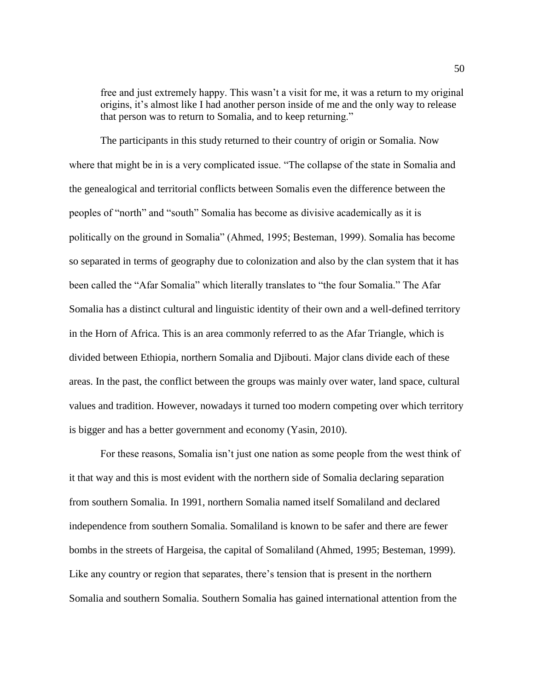free and just extremely happy. This wasn't a visit for me, it was a return to my original origins, it's almost like I had another person inside of me and the only way to release that person was to return to Somalia, and to keep returning."

The participants in this study returned to their country of origin or Somalia. Now where that might be in is a very complicated issue. "The collapse of the state in Somalia and the genealogical and territorial conflicts between Somalis even the difference between the peoples of "north" and "south" Somalia has become as divisive academically as it is politically on the ground in Somalia" (Ahmed, 1995; Besteman, 1999). Somalia has become so separated in terms of geography due to colonization and also by the clan system that it has been called the "Afar Somalia" which literally translates to "the four Somalia." The Afar Somalia has a distinct cultural and linguistic identity of their own and a well-defined territory in the Horn of Africa. This is an area commonly referred to as the Afar Triangle, which is divided between Ethiopia, northern Somalia and Djibouti. Major clans divide each of these areas. In the past, the conflict between the groups was mainly over water, land space, cultural values and tradition. However, nowadays it turned too modern competing over which territory is bigger and has a better government and economy (Yasin, 2010).

For these reasons, Somalia isn't just one nation as some people from the west think of it that way and this is most evident with the northern side of Somalia declaring separation from southern Somalia. In 1991, northern Somalia named itself Somaliland and declared independence from southern Somalia. Somaliland is known to be safer and there are fewer bombs in the streets of Hargeisa, the capital of Somaliland (Ahmed, 1995; Besteman, 1999). Like any country or region that separates, there's tension that is present in the northern Somalia and southern Somalia. Southern Somalia has gained international attention from the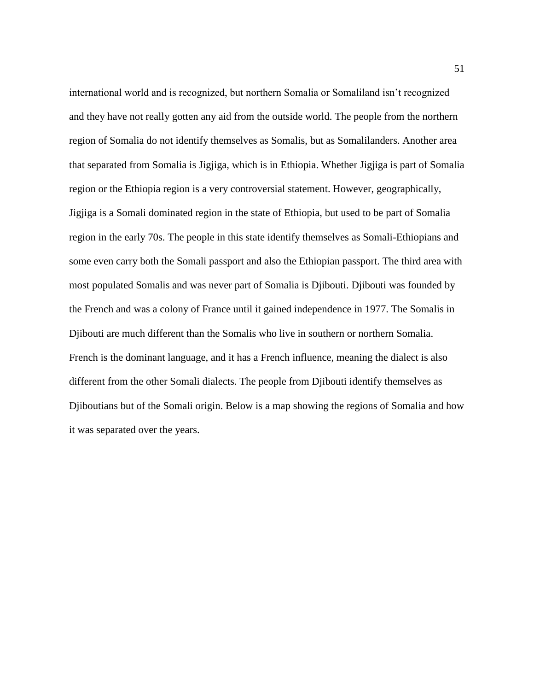international world and is recognized, but northern Somalia or Somaliland isn't recognized and they have not really gotten any aid from the outside world. The people from the northern region of Somalia do not identify themselves as Somalis, but as Somalilanders. Another area that separated from Somalia is Jigjiga, which is in Ethiopia. Whether Jigjiga is part of Somalia region or the Ethiopia region is a very controversial statement. However, geographically, Jigjiga is a Somali dominated region in the state of Ethiopia, but used to be part of Somalia region in the early 70s. The people in this state identify themselves as Somali-Ethiopians and some even carry both the Somali passport and also the Ethiopian passport. The third area with most populated Somalis and was never part of Somalia is Djibouti. Djibouti was founded by the French and was a colony of France until it gained independence in 1977. The Somalis in Djibouti are much different than the Somalis who live in southern or northern Somalia. French is the dominant language, and it has a French influence, meaning the dialect is also different from the other Somali dialects. The people from Djibouti identify themselves as Djiboutians but of the Somali origin. Below is a map showing the regions of Somalia and how it was separated over the years.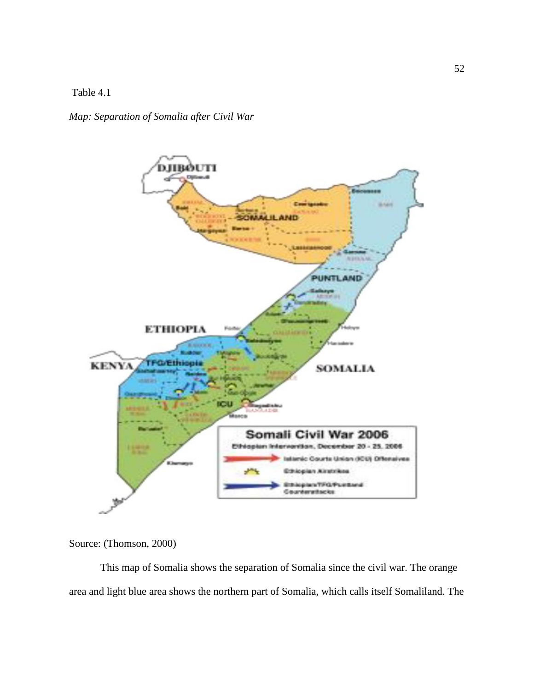Table 4.1

*Map: Separation of Somalia after Civil War* 



Source: (Thomson, 2000)

This map of Somalia shows the separation of Somalia since the civil war. The orange area and light blue area shows the northern part of Somalia, which calls itself Somaliland. The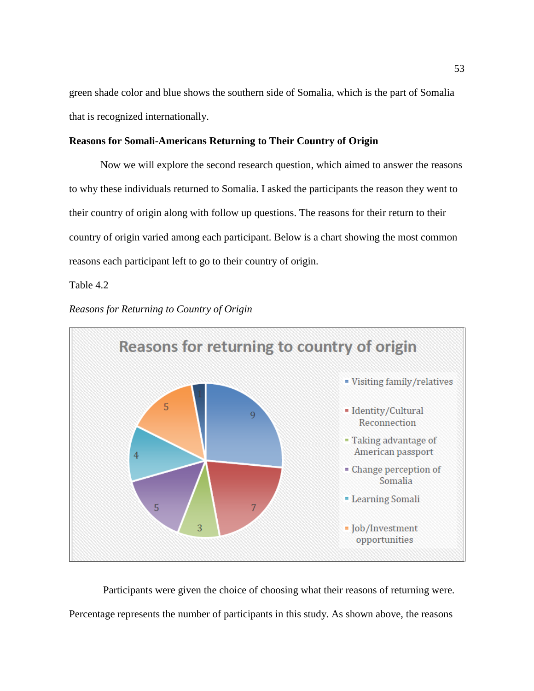green shade color and blue shows the southern side of Somalia, which is the part of Somalia that is recognized internationally.

# **Reasons for Somali-Americans Returning to Their Country of Origin**

Now we will explore the second research question, which aimed to answer the reasons to why these individuals returned to Somalia. I asked the participants the reason they went to their country of origin along with follow up questions. The reasons for their return to their country of origin varied among each participant. Below is a chart showing the most common reasons each participant left to go to their country of origin.

Table 4.2





Participants were given the choice of choosing what their reasons of returning were. Percentage represents the number of participants in this study. As shown above, the reasons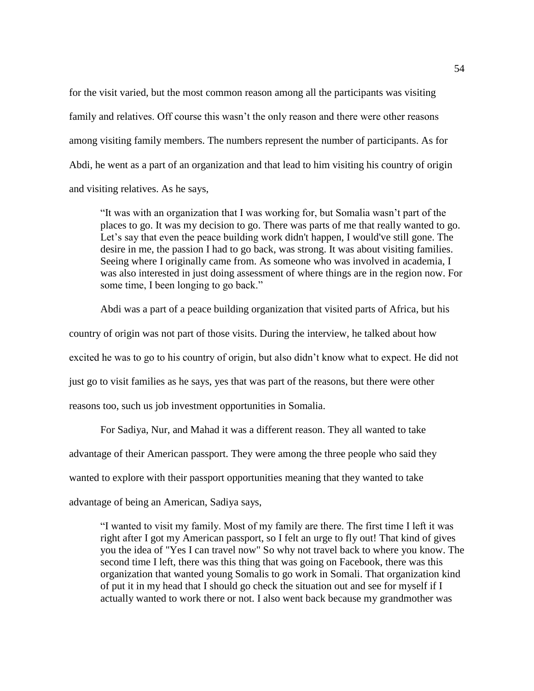for the visit varied, but the most common reason among all the participants was visiting family and relatives. Off course this wasn't the only reason and there were other reasons among visiting family members. The numbers represent the number of participants. As for Abdi, he went as a part of an organization and that lead to him visiting his country of origin and visiting relatives. As he says,

"It was with an organization that I was working for, but Somalia wasn't part of the places to go. It was my decision to go. There was parts of me that really wanted to go. Let's say that even the peace building work didn't happen, I would've still gone. The desire in me, the passion I had to go back, was strong. It was about visiting families. Seeing where I originally came from. As someone who was involved in academia, I was also interested in just doing assessment of where things are in the region now. For some time, I been longing to go back."

Abdi was a part of a peace building organization that visited parts of Africa, but his country of origin was not part of those visits. During the interview, he talked about how excited he was to go to his country of origin, but also didn't know what to expect. He did not just go to visit families as he says, yes that was part of the reasons, but there were other reasons too, such us job investment opportunities in Somalia.

For Sadiya, Nur, and Mahad it was a different reason. They all wanted to take advantage of their American passport. They were among the three people who said they wanted to explore with their passport opportunities meaning that they wanted to take advantage of being an American, Sadiya says,

"I wanted to visit my family. Most of my family are there. The first time I left it was right after I got my American passport, so I felt an urge to fly out! That kind of gives you the idea of "Yes I can travel now" So why not travel back to where you know. The second time I left, there was this thing that was going on Facebook, there was this organization that wanted young Somalis to go work in Somali. That organization kind of put it in my head that I should go check the situation out and see for myself if I actually wanted to work there or not. I also went back because my grandmother was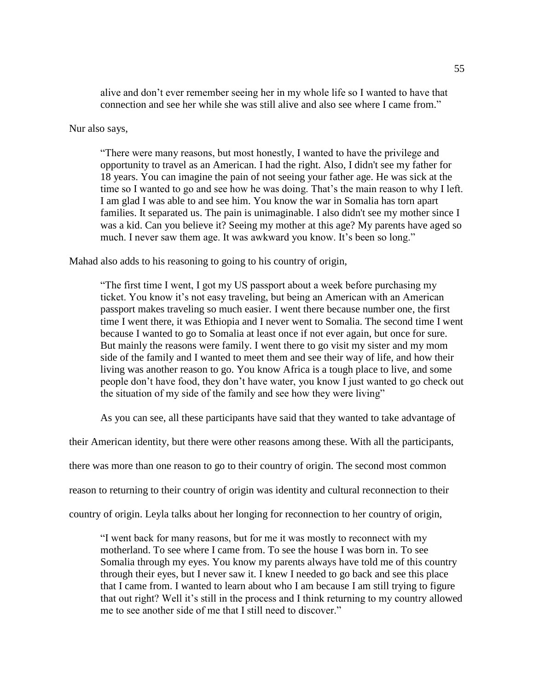alive and don't ever remember seeing her in my whole life so I wanted to have that connection and see her while she was still alive and also see where I came from."

Nur also says,

"There were many reasons, but most honestly, I wanted to have the privilege and opportunity to travel as an American. I had the right. Also, I didn't see my father for 18 years. You can imagine the pain of not seeing your father age. He was sick at the time so I wanted to go and see how he was doing. That's the main reason to why I left. I am glad I was able to and see him. You know the war in Somalia has torn apart families. It separated us. The pain is unimaginable. I also didn't see my mother since I was a kid. Can you believe it? Seeing my mother at this age? My parents have aged so much. I never saw them age. It was awkward you know. It's been so long."

Mahad also adds to his reasoning to going to his country of origin,

"The first time I went, I got my US passport about a week before purchasing my ticket. You know it's not easy traveling, but being an American with an American passport makes traveling so much easier. I went there because number one, the first time I went there, it was Ethiopia and I never went to Somalia. The second time I went because I wanted to go to Somalia at least once if not ever again, but once for sure. But mainly the reasons were family. I went there to go visit my sister and my mom side of the family and I wanted to meet them and see their way of life, and how their living was another reason to go. You know Africa is a tough place to live, and some people don't have food, they don't have water, you know I just wanted to go check out the situation of my side of the family and see how they were living"

As you can see, all these participants have said that they wanted to take advantage of

their American identity, but there were other reasons among these. With all the participants,

there was more than one reason to go to their country of origin. The second most common

reason to returning to their country of origin was identity and cultural reconnection to their

country of origin. Leyla talks about her longing for reconnection to her country of origin,

"I went back for many reasons, but for me it was mostly to reconnect with my motherland. To see where I came from. To see the house I was born in. To see Somalia through my eyes. You know my parents always have told me of this country through their eyes, but I never saw it. I knew I needed to go back and see this place that I came from. I wanted to learn about who I am because I am still trying to figure that out right? Well it's still in the process and I think returning to my country allowed me to see another side of me that I still need to discover."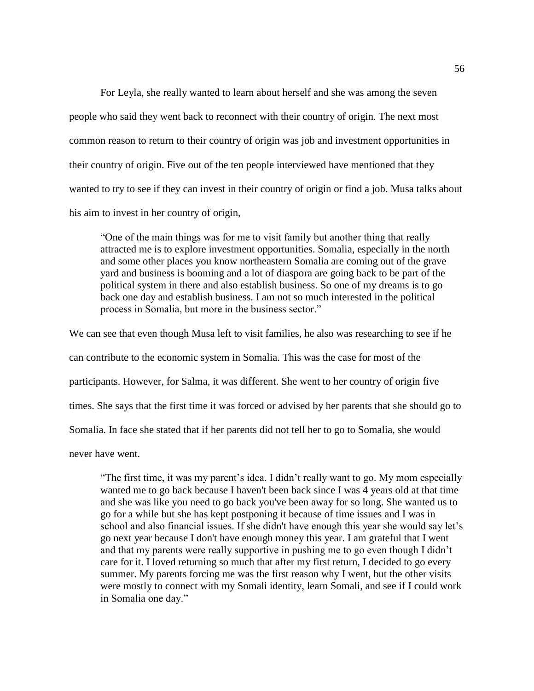For Leyla, she really wanted to learn about herself and she was among the seven people who said they went back to reconnect with their country of origin. The next most common reason to return to their country of origin was job and investment opportunities in their country of origin. Five out of the ten people interviewed have mentioned that they wanted to try to see if they can invest in their country of origin or find a job. Musa talks about his aim to invest in her country of origin,

"One of the main things was for me to visit family but another thing that really attracted me is to explore investment opportunities. Somalia, especially in the north and some other places you know northeastern Somalia are coming out of the grave yard and business is booming and a lot of diaspora are going back to be part of the political system in there and also establish business. So one of my dreams is to go back one day and establish business. I am not so much interested in the political process in Somalia, but more in the business sector."

We can see that even though Musa left to visit families, he also was researching to see if he can contribute to the economic system in Somalia. This was the case for most of the participants. However, for Salma, it was different. She went to her country of origin five times. She says that the first time it was forced or advised by her parents that she should go to Somalia. In face she stated that if her parents did not tell her to go to Somalia, she would

never have went.

"The first time, it was my parent's idea. I didn't really want to go. My mom especially wanted me to go back because I haven't been back since I was 4 years old at that time and she was like you need to go back you've been away for so long. She wanted us to go for a while but she has kept postponing it because of time issues and I was in school and also financial issues. If she didn't have enough this year she would say let's go next year because I don't have enough money this year. I am grateful that I went and that my parents were really supportive in pushing me to go even though I didn't care for it. I loved returning so much that after my first return, I decided to go every summer. My parents forcing me was the first reason why I went, but the other visits were mostly to connect with my Somali identity, learn Somali, and see if I could work in Somalia one day."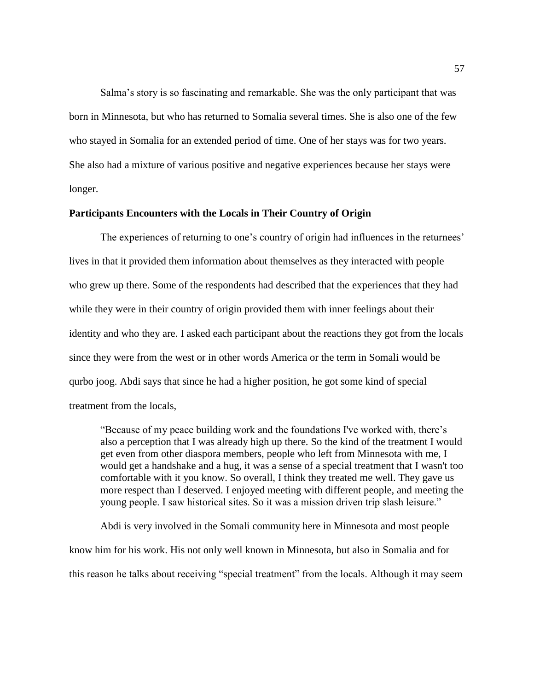Salma's story is so fascinating and remarkable. She was the only participant that was born in Minnesota, but who has returned to Somalia several times. She is also one of the few who stayed in Somalia for an extended period of time. One of her stays was for two years. She also had a mixture of various positive and negative experiences because her stays were longer.

# **Participants Encounters with the Locals in Their Country of Origin**

The experiences of returning to one's country of origin had influences in the returnees' lives in that it provided them information about themselves as they interacted with people who grew up there. Some of the respondents had described that the experiences that they had while they were in their country of origin provided them with inner feelings about their identity and who they are. I asked each participant about the reactions they got from the locals since they were from the west or in other words America or the term in Somali would be qurbo joog. Abdi says that since he had a higher position, he got some kind of special treatment from the locals,

"Because of my peace building work and the foundations I've worked with, there's also a perception that I was already high up there. So the kind of the treatment I would get even from other diaspora members, people who left from Minnesota with me, I would get a handshake and a hug, it was a sense of a special treatment that I wasn't too comfortable with it you know. So overall, I think they treated me well. They gave us more respect than I deserved. I enjoyed meeting with different people, and meeting the young people. I saw historical sites. So it was a mission driven trip slash leisure."

Abdi is very involved in the Somali community here in Minnesota and most people know him for his work. His not only well known in Minnesota, but also in Somalia and for this reason he talks about receiving "special treatment" from the locals. Although it may seem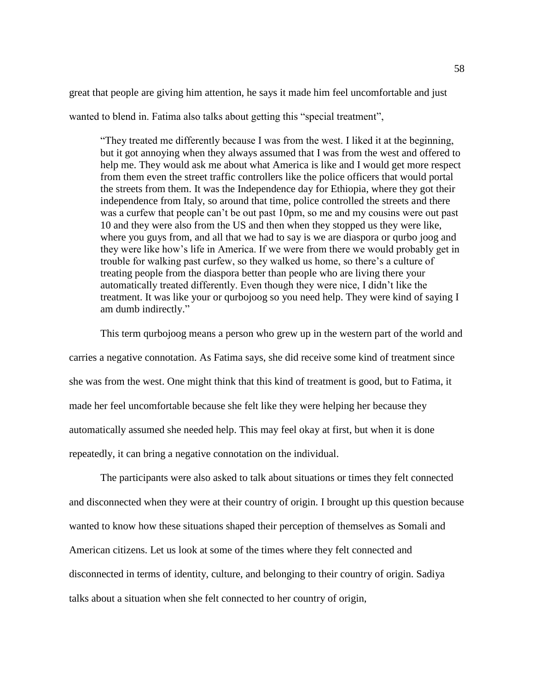great that people are giving him attention, he says it made him feel uncomfortable and just

wanted to blend in. Fatima also talks about getting this "special treatment",

"They treated me differently because I was from the west. I liked it at the beginning, but it got annoying when they always assumed that I was from the west and offered to help me. They would ask me about what America is like and I would get more respect from them even the street traffic controllers like the police officers that would portal the streets from them. It was the Independence day for Ethiopia, where they got their independence from Italy, so around that time, police controlled the streets and there was a curfew that people can't be out past 10pm, so me and my cousins were out past 10 and they were also from the US and then when they stopped us they were like, where you guys from, and all that we had to say is we are diaspora or qurbo joog and they were like how's life in America. If we were from there we would probably get in trouble for walking past curfew, so they walked us home, so there's a culture of treating people from the diaspora better than people who are living there your automatically treated differently. Even though they were nice, I didn't like the treatment. It was like your or qurbojoog so you need help. They were kind of saying I am dumb indirectly."

This term qurbojoog means a person who grew up in the western part of the world and carries a negative connotation. As Fatima says, she did receive some kind of treatment since she was from the west. One might think that this kind of treatment is good, but to Fatima, it made her feel uncomfortable because she felt like they were helping her because they automatically assumed she needed help. This may feel okay at first, but when it is done repeatedly, it can bring a negative connotation on the individual.

The participants were also asked to talk about situations or times they felt connected and disconnected when they were at their country of origin. I brought up this question because wanted to know how these situations shaped their perception of themselves as Somali and American citizens. Let us look at some of the times where they felt connected and disconnected in terms of identity, culture, and belonging to their country of origin. Sadiya talks about a situation when she felt connected to her country of origin,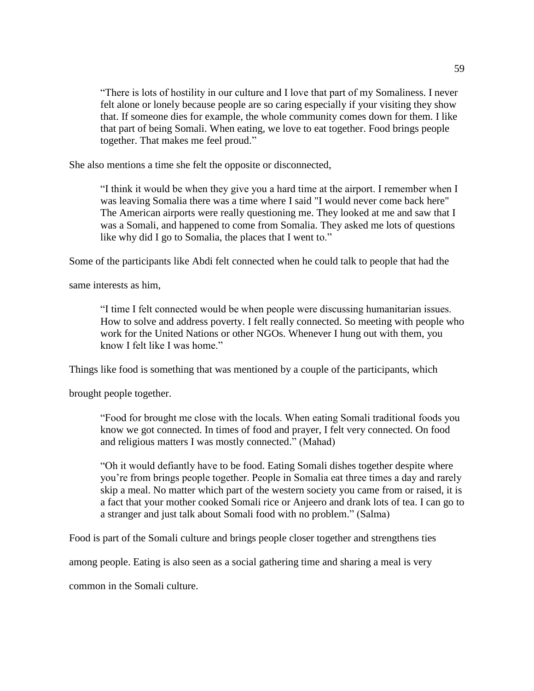"There is lots of hostility in our culture and I love that part of my Somaliness. I never felt alone or lonely because people are so caring especially if your visiting they show that. If someone dies for example, the whole community comes down for them. I like that part of being Somali. When eating, we love to eat together. Food brings people together. That makes me feel proud."

She also mentions a time she felt the opposite or disconnected,

"I think it would be when they give you a hard time at the airport. I remember when I was leaving Somalia there was a time where I said "I would never come back here" The American airports were really questioning me. They looked at me and saw that I was a Somali, and happened to come from Somalia. They asked me lots of questions like why did I go to Somalia, the places that I went to."

Some of the participants like Abdi felt connected when he could talk to people that had the

same interests as him,

"I time I felt connected would be when people were discussing humanitarian issues. How to solve and address poverty. I felt really connected. So meeting with people who work for the United Nations or other NGOs. Whenever I hung out with them, you know I felt like I was home."

Things like food is something that was mentioned by a couple of the participants, which

brought people together.

"Food for brought me close with the locals. When eating Somali traditional foods you know we got connected. In times of food and prayer, I felt very connected. On food and religious matters I was mostly connected." (Mahad)

"Oh it would defiantly have to be food. Eating Somali dishes together despite where you're from brings people together. People in Somalia eat three times a day and rarely skip a meal. No matter which part of the western society you came from or raised, it is a fact that your mother cooked Somali rice or Anjeero and drank lots of tea. I can go to a stranger and just talk about Somali food with no problem." (Salma)

Food is part of the Somali culture and brings people closer together and strengthens ties

among people. Eating is also seen as a social gathering time and sharing a meal is very

common in the Somali culture.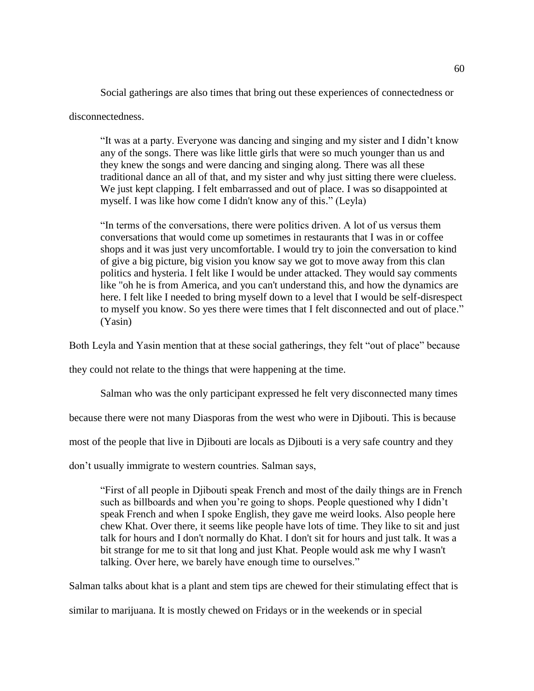Social gatherings are also times that bring out these experiences of connectedness or

disconnectedness.

"It was at a party. Everyone was dancing and singing and my sister and I didn't know any of the songs. There was like little girls that were so much younger than us and they knew the songs and were dancing and singing along. There was all these traditional dance an all of that, and my sister and why just sitting there were clueless. We just kept clapping. I felt embarrassed and out of place. I was so disappointed at myself. I was like how come I didn't know any of this." (Leyla)

"In terms of the conversations, there were politics driven. A lot of us versus them conversations that would come up sometimes in restaurants that I was in or coffee shops and it was just very uncomfortable. I would try to join the conversation to kind of give a big picture, big vision you know say we got to move away from this clan politics and hysteria. I felt like I would be under attacked. They would say comments like "oh he is from America, and you can't understand this, and how the dynamics are here. I felt like I needed to bring myself down to a level that I would be self-disrespect to myself you know. So yes there were times that I felt disconnected and out of place." (Yasin)

Both Leyla and Yasin mention that at these social gatherings, they felt "out of place" because

they could not relate to the things that were happening at the time.

Salman who was the only participant expressed he felt very disconnected many times

because there were not many Diasporas from the west who were in Djibouti. This is because

most of the people that live in Djibouti are locals as Djibouti is a very safe country and they

don't usually immigrate to western countries. Salman says,

"First of all people in Djibouti speak French and most of the daily things are in French such as billboards and when you're going to shops. People questioned why I didn't speak French and when I spoke English, they gave me weird looks. Also people here chew Khat. Over there, it seems like people have lots of time. They like to sit and just talk for hours and I don't normally do Khat. I don't sit for hours and just talk. It was a bit strange for me to sit that long and just Khat. People would ask me why I wasn't talking. Over here, we barely have enough time to ourselves."

Salman talks about khat is a plant and stem tips are chewed for their stimulating effect that is

similar to marijuana. It is mostly chewed on Fridays or in the weekends or in special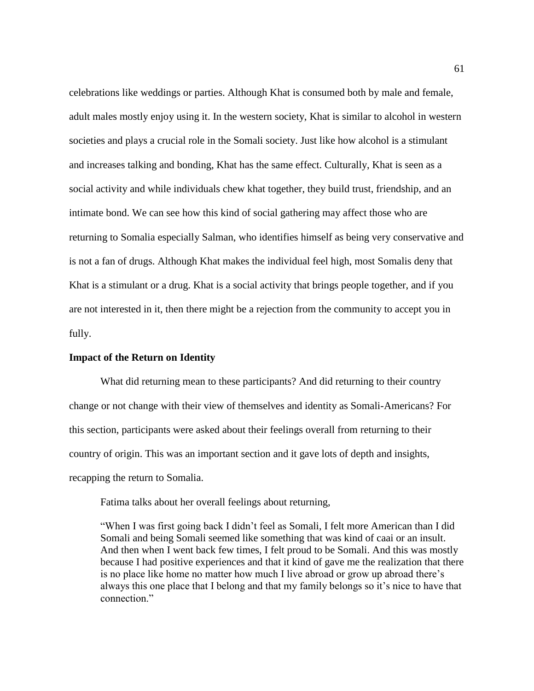celebrations like weddings or parties. Although Khat is consumed both by male and female, adult males mostly enjoy using it. In the western society, Khat is similar to alcohol in western societies and plays a crucial role in the Somali society. Just like how alcohol is a stimulant and increases talking and bonding, Khat has the same effect. Culturally, Khat is seen as a social activity and while individuals chew khat together, they build trust, friendship, and an intimate bond. We can see how this kind of social gathering may affect those who are returning to Somalia especially Salman, who identifies himself as being very conservative and is not a fan of drugs. Although Khat makes the individual feel high, most Somalis deny that Khat is a stimulant or a drug. Khat is a social activity that brings people together, and if you are not interested in it, then there might be a rejection from the community to accept you in fully.

## **Impact of the Return on Identity**

What did returning mean to these participants? And did returning to their country change or not change with their view of themselves and identity as Somali-Americans? For this section, participants were asked about their feelings overall from returning to their country of origin. This was an important section and it gave lots of depth and insights, recapping the return to Somalia.

Fatima talks about her overall feelings about returning,

"When I was first going back I didn't feel as Somali, I felt more American than I did Somali and being Somali seemed like something that was kind of caai or an insult. And then when I went back few times, I felt proud to be Somali. And this was mostly because I had positive experiences and that it kind of gave me the realization that there is no place like home no matter how much I live abroad or grow up abroad there's always this one place that I belong and that my family belongs so it's nice to have that connection."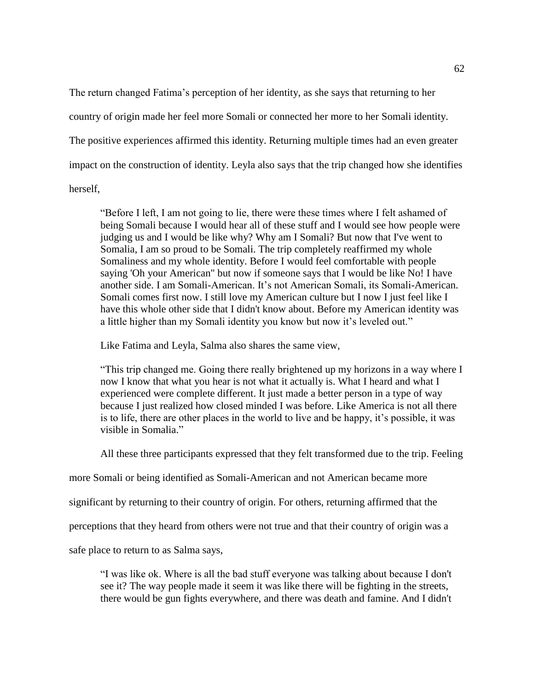The return changed Fatima's perception of her identity, as she says that returning to her country of origin made her feel more Somali or connected her more to her Somali identity. The positive experiences affirmed this identity. Returning multiple times had an even greater impact on the construction of identity. Leyla also says that the trip changed how she identifies

herself,

"Before I left, I am not going to lie, there were these times where I felt ashamed of being Somali because I would hear all of these stuff and I would see how people were judging us and I would be like why? Why am I Somali? But now that I've went to Somalia, I am so proud to be Somali. The trip completely reaffirmed my whole Somaliness and my whole identity. Before I would feel comfortable with people saying 'Oh your American" but now if someone says that I would be like No! I have another side. I am Somali-American. It's not American Somali, its Somali-American. Somali comes first now. I still love my American culture but I now I just feel like I have this whole other side that I didn't know about. Before my American identity was a little higher than my Somali identity you know but now it's leveled out."

Like Fatima and Leyla, Salma also shares the same view,

"This trip changed me. Going there really brightened up my horizons in a way where I now I know that what you hear is not what it actually is. What I heard and what I experienced were complete different. It just made a better person in a type of way because I just realized how closed minded I was before. Like America is not all there is to life, there are other places in the world to live and be happy, it's possible, it was visible in Somalia."

All these three participants expressed that they felt transformed due to the trip. Feeling

more Somali or being identified as Somali-American and not American became more

significant by returning to their country of origin. For others, returning affirmed that the

perceptions that they heard from others were not true and that their country of origin was a

safe place to return to as Salma says,

"I was like ok. Where is all the bad stuff everyone was talking about because I don't see it? The way people made it seem it was like there will be fighting in the streets, there would be gun fights everywhere, and there was death and famine. And I didn't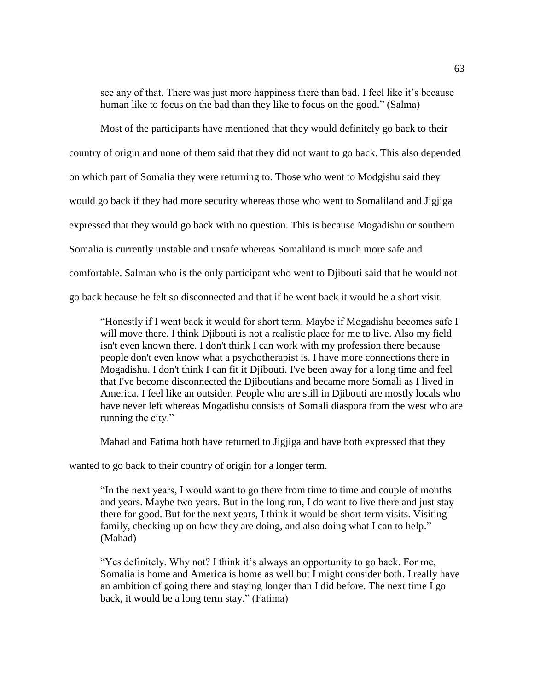see any of that. There was just more happiness there than bad. I feel like it's because human like to focus on the bad than they like to focus on the good." (Salma)

Most of the participants have mentioned that they would definitely go back to their country of origin and none of them said that they did not want to go back. This also depended on which part of Somalia they were returning to. Those who went to Modgishu said they would go back if they had more security whereas those who went to Somaliland and Jigjiga expressed that they would go back with no question. This is because Mogadishu or southern Somalia is currently unstable and unsafe whereas Somaliland is much more safe and comfortable. Salman who is the only participant who went to Djibouti said that he would not go back because he felt so disconnected and that if he went back it would be a short visit.

"Honestly if I went back it would for short term. Maybe if Mogadishu becomes safe I will move there. I think Djibouti is not a realistic place for me to live. Also my field isn't even known there. I don't think I can work with my profession there because people don't even know what a psychotherapist is. I have more connections there in Mogadishu. I don't think I can fit it Djibouti. I've been away for a long time and feel that I've become disconnected the Djiboutians and became more Somali as I lived in America. I feel like an outsider. People who are still in Djibouti are mostly locals who have never left whereas Mogadishu consists of Somali diaspora from the west who are running the city."

Mahad and Fatima both have returned to Jigjiga and have both expressed that they

wanted to go back to their country of origin for a longer term.

"In the next years, I would want to go there from time to time and couple of months and years. Maybe two years. But in the long run, I do want to live there and just stay there for good. But for the next years, I think it would be short term visits. Visiting family, checking up on how they are doing, and also doing what I can to help." (Mahad)

"Yes definitely. Why not? I think it's always an opportunity to go back. For me, Somalia is home and America is home as well but I might consider both. I really have an ambition of going there and staying longer than I did before. The next time I go back, it would be a long term stay." (Fatima)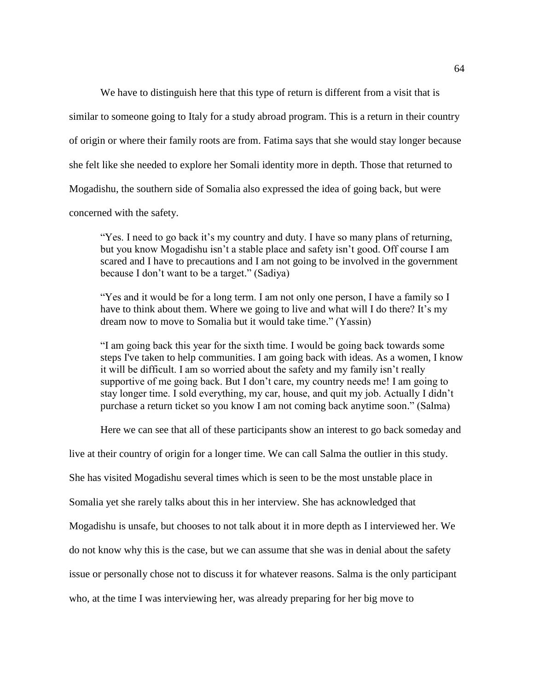We have to distinguish here that this type of return is different from a visit that is

similar to someone going to Italy for a study abroad program. This is a return in their country

of origin or where their family roots are from. Fatima says that she would stay longer because

she felt like she needed to explore her Somali identity more in depth. Those that returned to

Mogadishu, the southern side of Somalia also expressed the idea of going back, but were

concerned with the safety.

"Yes. I need to go back it's my country and duty. I have so many plans of returning, but you know Mogadishu isn't a stable place and safety isn't good. Off course I am scared and I have to precautions and I am not going to be involved in the government because I don't want to be a target." (Sadiya)

"Yes and it would be for a long term. I am not only one person, I have a family so I have to think about them. Where we going to live and what will I do there? It's my dream now to move to Somalia but it would take time." (Yassin)

"I am going back this year for the sixth time. I would be going back towards some steps I've taken to help communities. I am going back with ideas. As a women, I know it will be difficult. I am so worried about the safety and my family isn't really supportive of me going back. But I don't care, my country needs me! I am going to stay longer time. I sold everything, my car, house, and quit my job. Actually I didn't purchase a return ticket so you know I am not coming back anytime soon." (Salma)

Here we can see that all of these participants show an interest to go back someday and

live at their country of origin for a longer time. We can call Salma the outlier in this study.

She has visited Mogadishu several times which is seen to be the most unstable place in

Somalia yet she rarely talks about this in her interview. She has acknowledged that

Mogadishu is unsafe, but chooses to not talk about it in more depth as I interviewed her. We

do not know why this is the case, but we can assume that she was in denial about the safety

issue or personally chose not to discuss it for whatever reasons. Salma is the only participant

who, at the time I was interviewing her, was already preparing for her big move to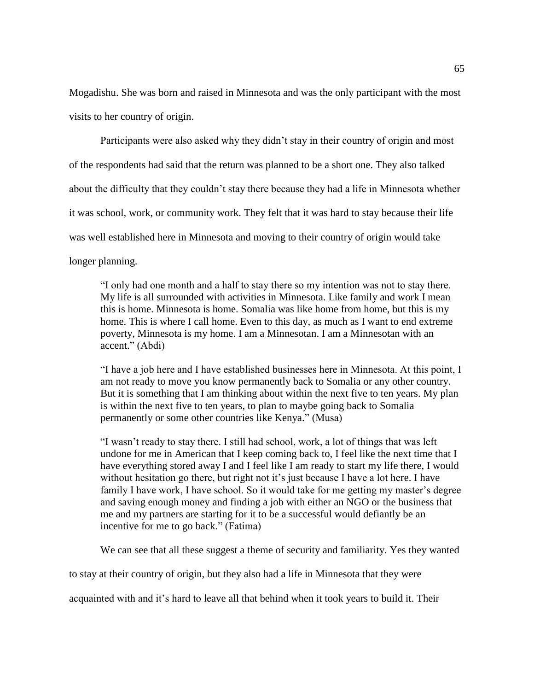Mogadishu. She was born and raised in Minnesota and was the only participant with the most visits to her country of origin.

Participants were also asked why they didn't stay in their country of origin and most of the respondents had said that the return was planned to be a short one. They also talked about the difficulty that they couldn't stay there because they had a life in Minnesota whether it was school, work, or community work. They felt that it was hard to stay because their life was well established here in Minnesota and moving to their country of origin would take longer planning.

"I only had one month and a half to stay there so my intention was not to stay there. My life is all surrounded with activities in Minnesota. Like family and work I mean this is home. Minnesota is home. Somalia was like home from home, but this is my home. This is where I call home. Even to this day, as much as I want to end extreme poverty, Minnesota is my home. I am a Minnesotan. I am a Minnesotan with an accent." (Abdi)

"I have a job here and I have established businesses here in Minnesota. At this point, I am not ready to move you know permanently back to Somalia or any other country. But it is something that I am thinking about within the next five to ten years. My plan is within the next five to ten years, to plan to maybe going back to Somalia permanently or some other countries like Kenya." (Musa)

"I wasn't ready to stay there. I still had school, work, a lot of things that was left undone for me in American that I keep coming back to, I feel like the next time that I have everything stored away I and I feel like I am ready to start my life there, I would without hesitation go there, but right not it's just because I have a lot here. I have family I have work, I have school. So it would take for me getting my master's degree and saving enough money and finding a job with either an NGO or the business that me and my partners are starting for it to be a successful would defiantly be an incentive for me to go back." (Fatima)

We can see that all these suggest a theme of security and familiarity. Yes they wanted

to stay at their country of origin, but they also had a life in Minnesota that they were

acquainted with and it's hard to leave all that behind when it took years to build it. Their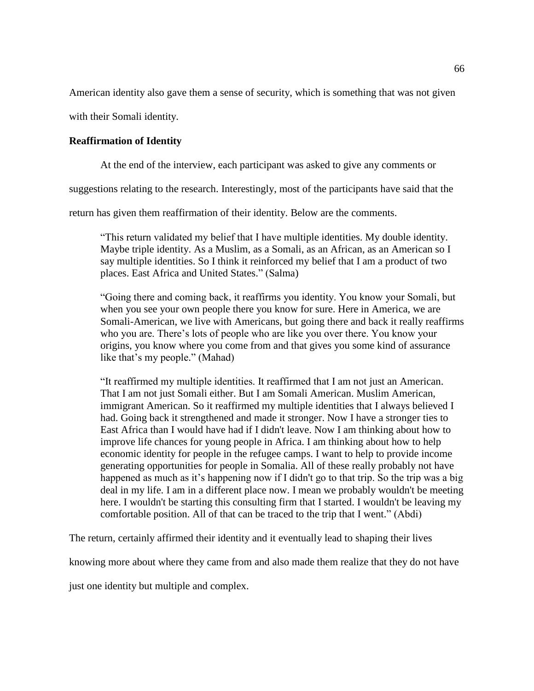American identity also gave them a sense of security, which is something that was not given

with their Somali identity.

# **Reaffirmation of Identity**

At the end of the interview, each participant was asked to give any comments or

suggestions relating to the research. Interestingly, most of the participants have said that the

return has given them reaffirmation of their identity. Below are the comments.

"This return validated my belief that I have multiple identities. My double identity. Maybe triple identity. As a Muslim, as a Somali, as an African, as an American so I say multiple identities. So I think it reinforced my belief that I am a product of two places. East Africa and United States." (Salma)

"Going there and coming back, it reaffirms you identity. You know your Somali, but when you see your own people there you know for sure. Here in America, we are Somali-American, we live with Americans, but going there and back it really reaffirms who you are. There's lots of people who are like you over there. You know your origins, you know where you come from and that gives you some kind of assurance like that's my people." (Mahad)

"It reaffirmed my multiple identities. It reaffirmed that I am not just an American. That I am not just Somali either. But I am Somali American. Muslim American, immigrant American. So it reaffirmed my multiple identities that I always believed I had. Going back it strengthened and made it stronger. Now I have a stronger ties to East Africa than I would have had if I didn't leave. Now I am thinking about how to improve life chances for young people in Africa. I am thinking about how to help economic identity for people in the refugee camps. I want to help to provide income generating opportunities for people in Somalia. All of these really probably not have happened as much as it's happening now if I didn't go to that trip. So the trip was a big deal in my life. I am in a different place now. I mean we probably wouldn't be meeting here. I wouldn't be starting this consulting firm that I started. I wouldn't be leaving my comfortable position. All of that can be traced to the trip that I went." (Abdi)

The return, certainly affirmed their identity and it eventually lead to shaping their lives

knowing more about where they came from and also made them realize that they do not have

just one identity but multiple and complex.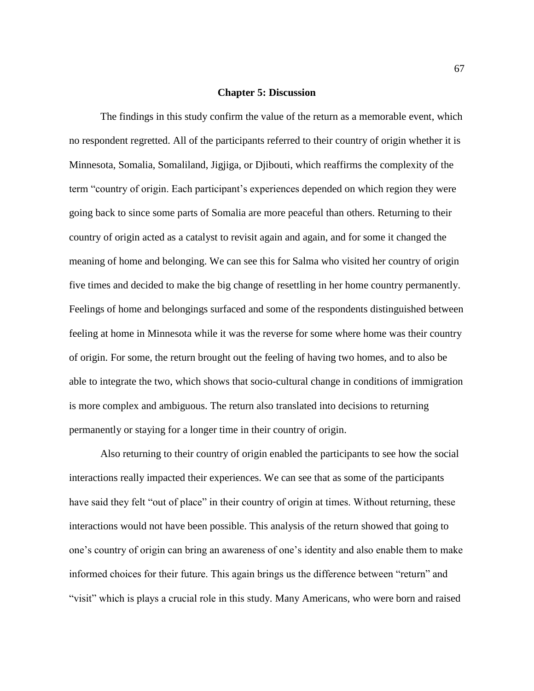#### **Chapter 5: Discussion**

The findings in this study confirm the value of the return as a memorable event, which no respondent regretted. All of the participants referred to their country of origin whether it is Minnesota, Somalia, Somaliland, Jigjiga, or Djibouti, which reaffirms the complexity of the term "country of origin. Each participant's experiences depended on which region they were going back to since some parts of Somalia are more peaceful than others. Returning to their country of origin acted as a catalyst to revisit again and again, and for some it changed the meaning of home and belonging. We can see this for Salma who visited her country of origin five times and decided to make the big change of resettling in her home country permanently. Feelings of home and belongings surfaced and some of the respondents distinguished between feeling at home in Minnesota while it was the reverse for some where home was their country of origin. For some, the return brought out the feeling of having two homes, and to also be able to integrate the two, which shows that socio-cultural change in conditions of immigration is more complex and ambiguous. The return also translated into decisions to returning permanently or staying for a longer time in their country of origin.

Also returning to their country of origin enabled the participants to see how the social interactions really impacted their experiences. We can see that as some of the participants have said they felt "out of place" in their country of origin at times. Without returning, these interactions would not have been possible. This analysis of the return showed that going to one's country of origin can bring an awareness of one's identity and also enable them to make informed choices for their future. This again brings us the difference between "return" and "visit" which is plays a crucial role in this study. Many Americans, who were born and raised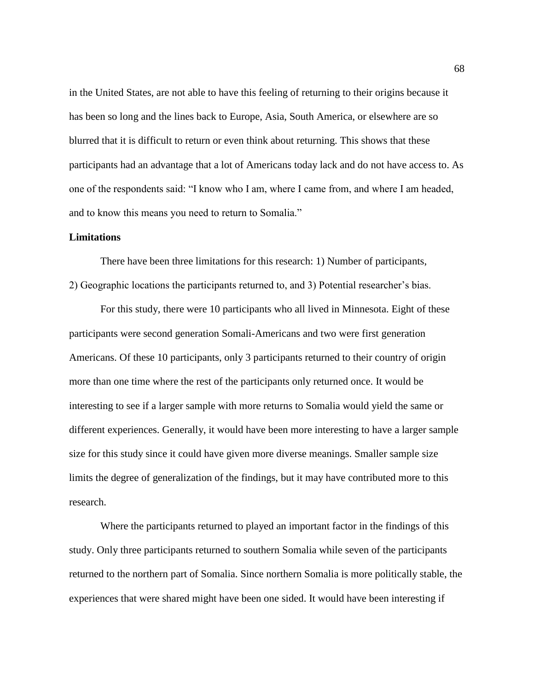in the United States, are not able to have this feeling of returning to their origins because it has been so long and the lines back to Europe, Asia, South America, or elsewhere are so blurred that it is difficult to return or even think about returning. This shows that these participants had an advantage that a lot of Americans today lack and do not have access to. As one of the respondents said: "I know who I am, where I came from, and where I am headed, and to know this means you need to return to Somalia."

### **Limitations**

There have been three limitations for this research: 1) Number of participants, 2) Geographic locations the participants returned to, and 3) Potential researcher's bias.

For this study, there were 10 participants who all lived in Minnesota. Eight of these participants were second generation Somali-Americans and two were first generation Americans. Of these 10 participants, only 3 participants returned to their country of origin more than one time where the rest of the participants only returned once. It would be interesting to see if a larger sample with more returns to Somalia would yield the same or different experiences. Generally, it would have been more interesting to have a larger sample size for this study since it could have given more diverse meanings. Smaller sample size limits the degree of generalization of the findings, but it may have contributed more to this research.

Where the participants returned to played an important factor in the findings of this study. Only three participants returned to southern Somalia while seven of the participants returned to the northern part of Somalia. Since northern Somalia is more politically stable, the experiences that were shared might have been one sided. It would have been interesting if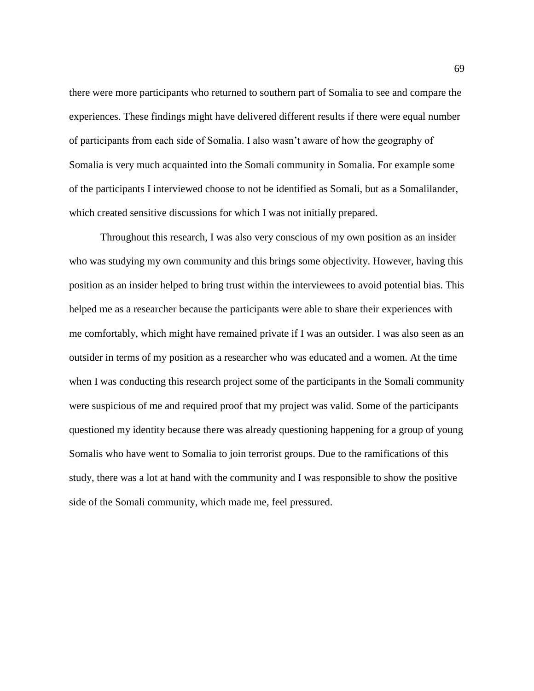there were more participants who returned to southern part of Somalia to see and compare the experiences. These findings might have delivered different results if there were equal number of participants from each side of Somalia. I also wasn't aware of how the geography of Somalia is very much acquainted into the Somali community in Somalia. For example some of the participants I interviewed choose to not be identified as Somali, but as a Somalilander, which created sensitive discussions for which I was not initially prepared.

Throughout this research, I was also very conscious of my own position as an insider who was studying my own community and this brings some objectivity. However, having this position as an insider helped to bring trust within the interviewees to avoid potential bias. This helped me as a researcher because the participants were able to share their experiences with me comfortably, which might have remained private if I was an outsider. I was also seen as an outsider in terms of my position as a researcher who was educated and a women. At the time when I was conducting this research project some of the participants in the Somali community were suspicious of me and required proof that my project was valid. Some of the participants questioned my identity because there was already questioning happening for a group of young Somalis who have went to Somalia to join terrorist groups. Due to the ramifications of this study, there was a lot at hand with the community and I was responsible to show the positive side of the Somali community, which made me, feel pressured.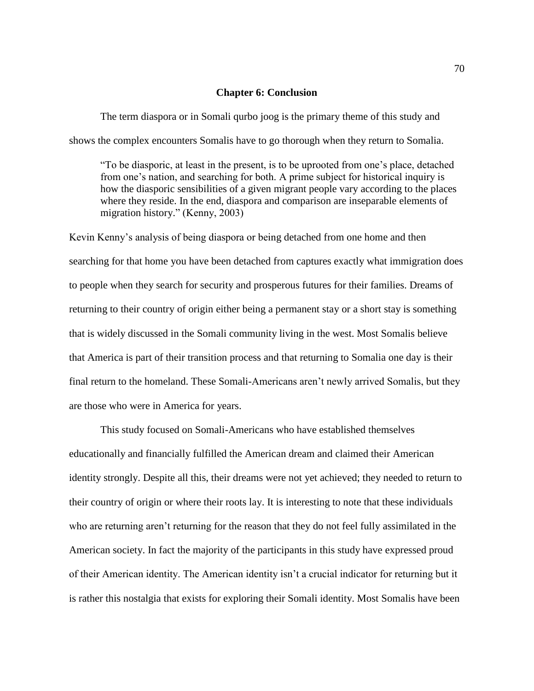### **Chapter 6: Conclusion**

The term diaspora or in Somali qurbo joog is the primary theme of this study and shows the complex encounters Somalis have to go thorough when they return to Somalia.

"To be diasporic, at least in the present, is to be uprooted from one's place, detached from one's nation, and searching for both. A prime subject for historical inquiry is how the diasporic sensibilities of a given migrant people vary according to the places where they reside. In the end, diaspora and comparison are inseparable elements of migration history." (Kenny, 2003)

Kevin Kenny's analysis of being diaspora or being detached from one home and then searching for that home you have been detached from captures exactly what immigration does to people when they search for security and prosperous futures for their families. Dreams of returning to their country of origin either being a permanent stay or a short stay is something that is widely discussed in the Somali community living in the west. Most Somalis believe that America is part of their transition process and that returning to Somalia one day is their final return to the homeland. These Somali-Americans aren't newly arrived Somalis, but they are those who were in America for years.

This study focused on Somali-Americans who have established themselves educationally and financially fulfilled the American dream and claimed their American identity strongly. Despite all this, their dreams were not yet achieved; they needed to return to their country of origin or where their roots lay. It is interesting to note that these individuals who are returning aren't returning for the reason that they do not feel fully assimilated in the American society. In fact the majority of the participants in this study have expressed proud of their American identity. The American identity isn't a crucial indicator for returning but it is rather this nostalgia that exists for exploring their Somali identity. Most Somalis have been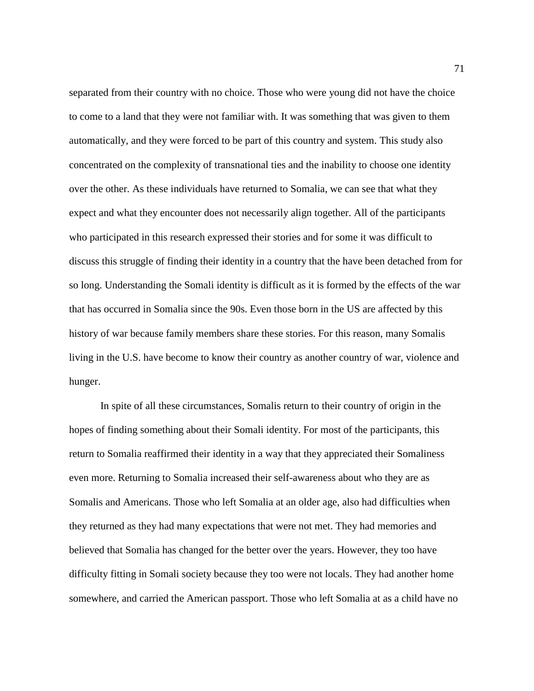separated from their country with no choice. Those who were young did not have the choice to come to a land that they were not familiar with. It was something that was given to them automatically, and they were forced to be part of this country and system. This study also concentrated on the complexity of transnational ties and the inability to choose one identity over the other. As these individuals have returned to Somalia, we can see that what they expect and what they encounter does not necessarily align together. All of the participants who participated in this research expressed their stories and for some it was difficult to discuss this struggle of finding their identity in a country that the have been detached from for so long. Understanding the Somali identity is difficult as it is formed by the effects of the war that has occurred in Somalia since the 90s. Even those born in the US are affected by this history of war because family members share these stories. For this reason, many Somalis living in the U.S. have become to know their country as another country of war, violence and hunger.

In spite of all these circumstances, Somalis return to their country of origin in the hopes of finding something about their Somali identity. For most of the participants, this return to Somalia reaffirmed their identity in a way that they appreciated their Somaliness even more. Returning to Somalia increased their self-awareness about who they are as Somalis and Americans. Those who left Somalia at an older age, also had difficulties when they returned as they had many expectations that were not met. They had memories and believed that Somalia has changed for the better over the years. However, they too have difficulty fitting in Somali society because they too were not locals. They had another home somewhere, and carried the American passport. Those who left Somalia at as a child have no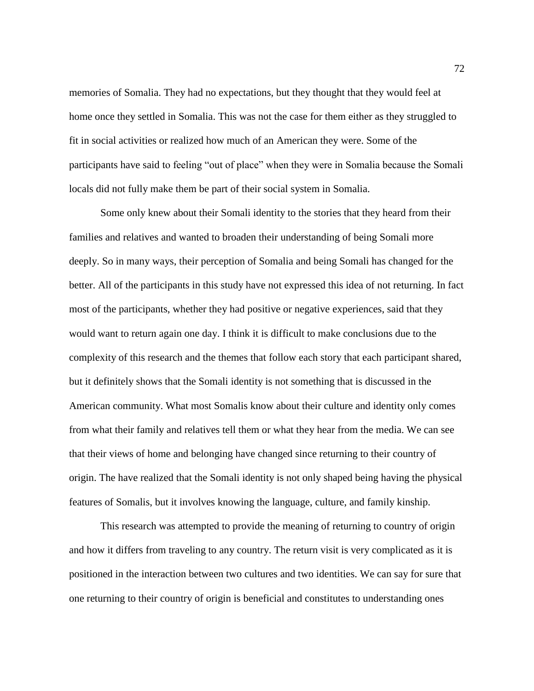memories of Somalia. They had no expectations, but they thought that they would feel at home once they settled in Somalia. This was not the case for them either as they struggled to fit in social activities or realized how much of an American they were. Some of the participants have said to feeling "out of place" when they were in Somalia because the Somali locals did not fully make them be part of their social system in Somalia.

Some only knew about their Somali identity to the stories that they heard from their families and relatives and wanted to broaden their understanding of being Somali more deeply. So in many ways, their perception of Somalia and being Somali has changed for the better. All of the participants in this study have not expressed this idea of not returning. In fact most of the participants, whether they had positive or negative experiences, said that they would want to return again one day. I think it is difficult to make conclusions due to the complexity of this research and the themes that follow each story that each participant shared, but it definitely shows that the Somali identity is not something that is discussed in the American community. What most Somalis know about their culture and identity only comes from what their family and relatives tell them or what they hear from the media. We can see that their views of home and belonging have changed since returning to their country of origin. The have realized that the Somali identity is not only shaped being having the physical features of Somalis, but it involves knowing the language, culture, and family kinship.

This research was attempted to provide the meaning of returning to country of origin and how it differs from traveling to any country. The return visit is very complicated as it is positioned in the interaction between two cultures and two identities. We can say for sure that one returning to their country of origin is beneficial and constitutes to understanding ones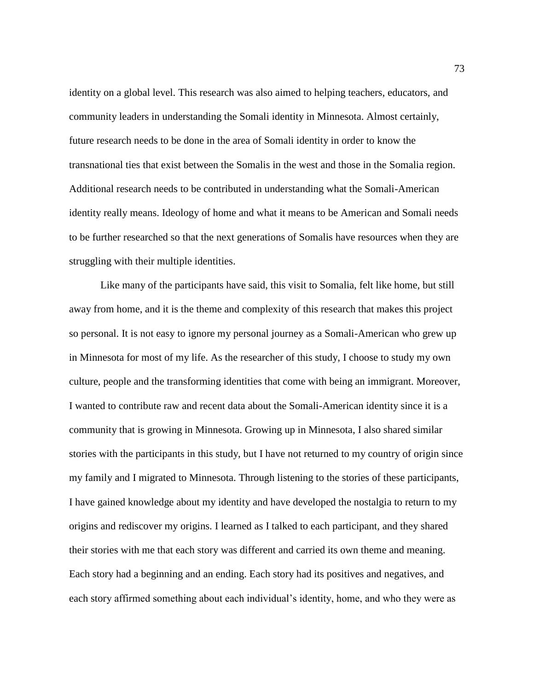identity on a global level. This research was also aimed to helping teachers, educators, and community leaders in understanding the Somali identity in Minnesota. Almost certainly, future research needs to be done in the area of Somali identity in order to know the transnational ties that exist between the Somalis in the west and those in the Somalia region. Additional research needs to be contributed in understanding what the Somali-American identity really means. Ideology of home and what it means to be American and Somali needs to be further researched so that the next generations of Somalis have resources when they are struggling with their multiple identities.

Like many of the participants have said, this visit to Somalia, felt like home, but still away from home, and it is the theme and complexity of this research that makes this project so personal. It is not easy to ignore my personal journey as a Somali-American who grew up in Minnesota for most of my life. As the researcher of this study, I choose to study my own culture, people and the transforming identities that come with being an immigrant. Moreover, I wanted to contribute raw and recent data about the Somali-American identity since it is a community that is growing in Minnesota. Growing up in Minnesota, I also shared similar stories with the participants in this study, but I have not returned to my country of origin since my family and I migrated to Minnesota. Through listening to the stories of these participants, I have gained knowledge about my identity and have developed the nostalgia to return to my origins and rediscover my origins. I learned as I talked to each participant, and they shared their stories with me that each story was different and carried its own theme and meaning. Each story had a beginning and an ending. Each story had its positives and negatives, and each story affirmed something about each individual's identity, home, and who they were as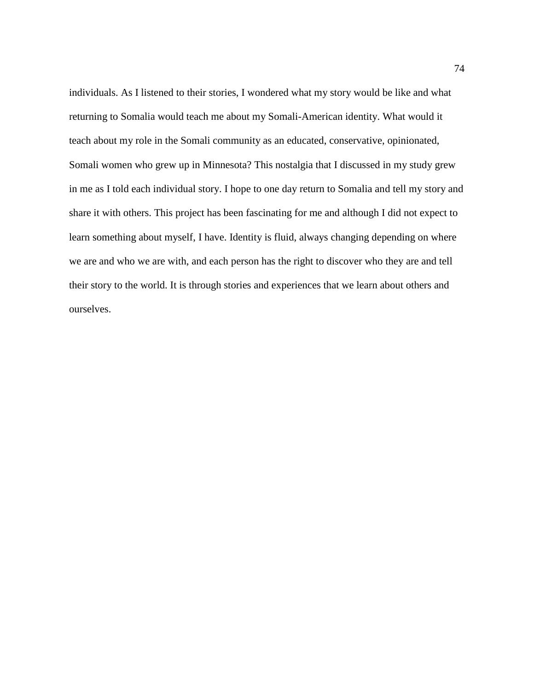individuals. As I listened to their stories, I wondered what my story would be like and what returning to Somalia would teach me about my Somali-American identity. What would it teach about my role in the Somali community as an educated, conservative, opinionated, Somali women who grew up in Minnesota? This nostalgia that I discussed in my study grew in me as I told each individual story. I hope to one day return to Somalia and tell my story and share it with others. This project has been fascinating for me and although I did not expect to learn something about myself, I have. Identity is fluid, always changing depending on where we are and who we are with, and each person has the right to discover who they are and tell their story to the world. It is through stories and experiences that we learn about others and ourselves.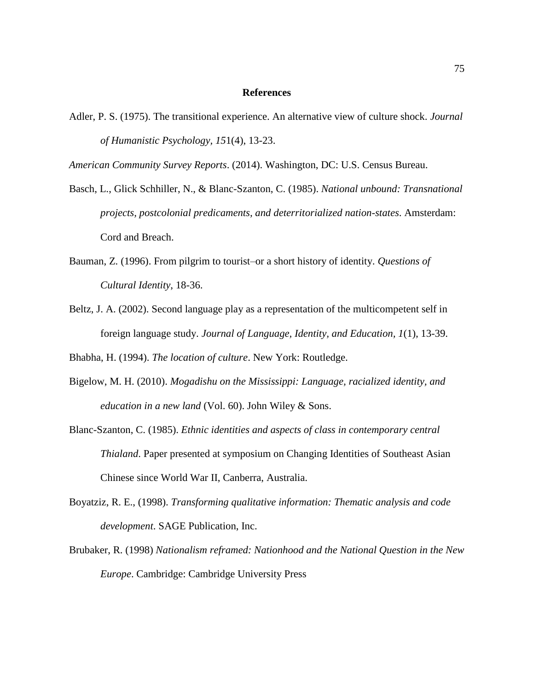## **References**

Adler, P. S. (1975). The transitional experience. An alternative view of culture shock. *Journal of Humanistic Psychology, 15*1(4), 13-23.

*American Community Survey Reports*. (2014). Washington, DC: U.S. Census Bureau.

Basch, L., Glick Schhiller, N., & Blanc-Szanton, C. (1985). *National unbound: Transnational projects, postcolonial predicaments, and deterritorialized nation-states*. Amsterdam: Cord and Breach.

- Bauman, Z. (1996). From pilgrim to tourist–or a short history of identity. *Questions of Cultural Identity*, 18-36.
- Beltz, J. A. (2002). Second language play as a representation of the multicompetent self in foreign language study. *Journal of Language, Identity, and Education, 1*(1), 13-39.

Bhabha, H. (1994). *The location of culture*. New York: Routledge.

- Bigelow, M. H. (2010). *Mogadishu on the Mississippi: Language, racialized identity, and education in a new land* (Vol. 60). John Wiley & Sons.
- Blanc-Szanton, C. (1985). *Ethnic identities and aspects of class in contemporary central Thialand*. Paper presented at symposium on Changing Identities of Southeast Asian Chinese since World War II, Canberra, Australia.
- Boyatziz, R. E., (1998). *Transforming qualitative information: Thematic analysis and code development*. SAGE Publication, Inc.
- Brubaker, R. (1998) *Nationalism reframed: Nationhood and the National Question in the New Europe*. Cambridge: Cambridge University Press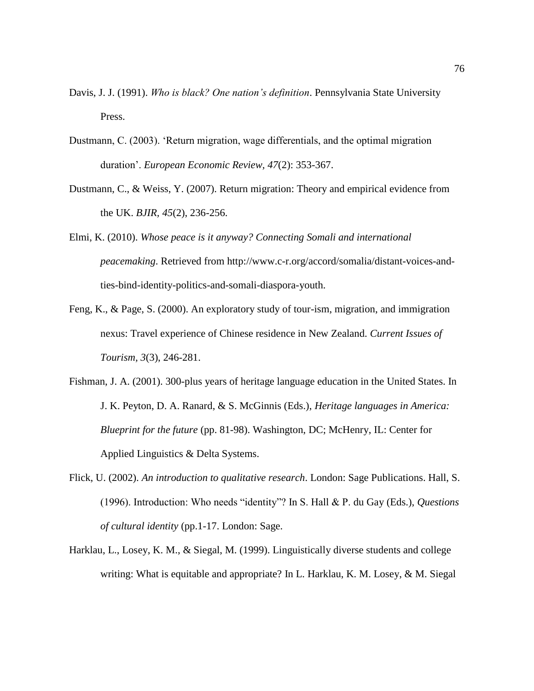- Davis, J. J. (1991). *Who is black? One nation's definition*. Pennsylvania State University Press.
- Dustmann, C. (2003). 'Return migration, wage differentials, and the optimal migration duration'. *European Economic Review, 47*(2): 353-367.
- Dustmann, C., & Weiss, Y. (2007). Return migration: Theory and empirical evidence from the UK. *BJIR, 45*(2), 236-256.
- Elmi, K. (2010). *Whose peace is it anyway? Connecting Somali and international peacemaking*. Retrieved from http://www.c-r.org/accord/somalia/distant-voices-andties-bind-identity-politics-and-somali-diaspora-youth.
- Feng, K., & Page, S. (2000). An exploratory study of tour-ism, migration, and immigration nexus: Travel experience of Chinese residence in New Zealand. *Current Issues of Tourism, 3*(3), 246-281.
- Fishman, J. A. (2001). 300-plus years of heritage language education in the United States. In J. K. Peyton, D. A. Ranard, & S. McGinnis (Eds.), *Heritage languages in America: Blueprint for the future* (pp. 81-98). Washington, DC; McHenry, IL: Center for Applied Linguistics & Delta Systems.
- Flick, U. (2002). *An introduction to qualitative research*. London: Sage Publications. Hall, S. (1996). Introduction: Who needs "identity"? In S. Hall & P. du Gay (Eds.), *Questions of cultural identity* (pp.1-17. London: Sage.
- Harklau, L., Losey, K. M., & Siegal, M. (1999). Linguistically diverse students and college writing: What is equitable and appropriate? In L. Harklau, K. M. Losey, & M. Siegal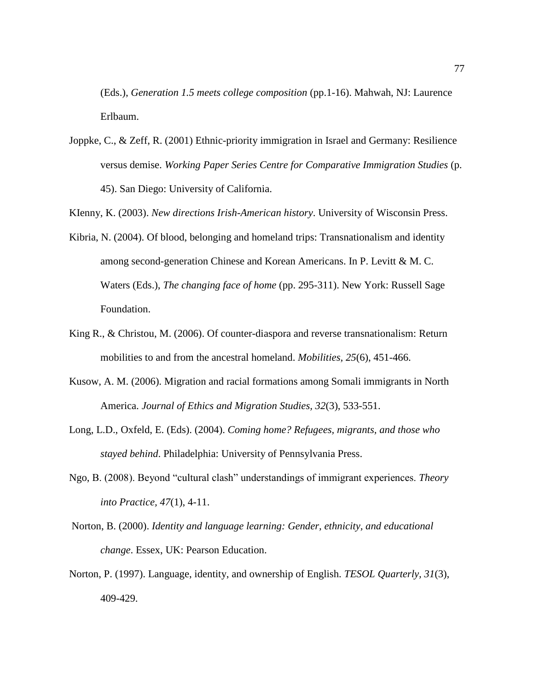(Eds.), *Generation 1.5 meets college composition* (pp.1-16). Mahwah, NJ: Laurence Erlbaum.

Joppke, C., & Zeff, R. (2001) Ethnic-priority immigration in Israel and Germany: Resilience versus demise. *Working Paper Series Centre for Comparative Immigration Studies* (p. 45). San Diego: University of California.

KIenny, K. (2003). *New directions Irish-American history*. University of Wisconsin Press.

- Kibria, N. (2004). Of blood, belonging and homeland trips: Transnationalism and identity among second-generation Chinese and Korean Americans. In P. Levitt & M. C. Waters (Eds.), *The changing face of home* (pp. 295-311). New York: Russell Sage Foundation.
- King R., & Christou, M. (2006). Of counter-diaspora and reverse transnationalism: Return mobilities to and from the ancestral homeland. *Mobilities, 25*(6), 451-466.
- Kusow, A. M. (2006). Migration and racial formations among Somali immigrants in North America. *Journal of Ethics and Migration Studies, 32*(3), 533-551.
- Long, L.D., Oxfeld, E. (Eds). (2004). *Coming home? Refugees, migrants, and those who stayed behind*. Philadelphia: University of Pennsylvania Press.
- Ngo, B. (2008). Beyond "cultural clash" understandings of immigrant experiences. *Theory into Practice, 47*(1), 4-11.
- Norton, B. (2000). *Identity and language learning: Gender, ethnicity, and educational change*. Essex, UK: Pearson Education.
- Norton, P. (1997). Language, identity, and ownership of English. *TESOL Quarterly, 31*(3), 409-429.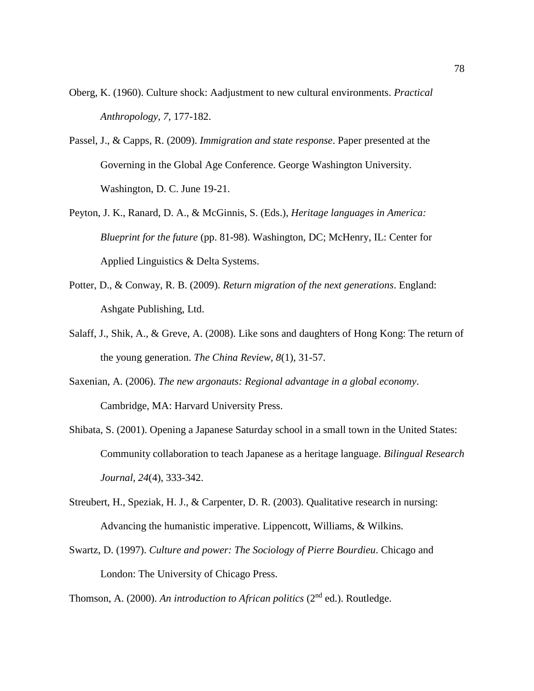- Oberg, K. (1960). Culture shock: Aadjustment to new cultural environments. *Practical Anthropology, 7*, 177-182.
- Passel, J., & Capps, R. (2009). *Immigration and state response*. Paper presented at the Governing in the Global Age Conference. George Washington University. Washington, D. C. June 19-21.
- Peyton, J. K., Ranard, D. A., & McGinnis, S. (Eds.), *Heritage languages in America: Blueprint for the future* (pp. 81-98). Washington, DC; McHenry, IL: Center for Applied Linguistics & Delta Systems.
- Potter, D., & Conway, R. B. (2009). *Return migration of the next generations*. England: Ashgate Publishing, Ltd.
- Salaff, J., Shik, A., & Greve, A. (2008). Like sons and daughters of Hong Kong: The return of the young generation. *The China Review, 8*(1), 31-57.
- Saxenian, A. (2006). *The new argonauts: Regional advantage in a global economy*. Cambridge, MA: Harvard University Press.
- Shibata, S. (2001). Opening a Japanese Saturday school in a small town in the United States: Community collaboration to teach Japanese as a heritage language. *Bilingual Research Journal, 24*(4), 333-342.
- Streubert, H., Speziak, H. J., & Carpenter, D. R. (2003). Qualitative research in nursing: Advancing the humanistic imperative. Lippencott, Williams, & Wilkins.
- Swartz, D. (1997). *Culture and power: The Sociology of Pierre Bourdieu*. Chicago and London: The University of Chicago Press.

Thomson, A. (2000). An introduction to African politics (2<sup>nd</sup> ed.). Routledge.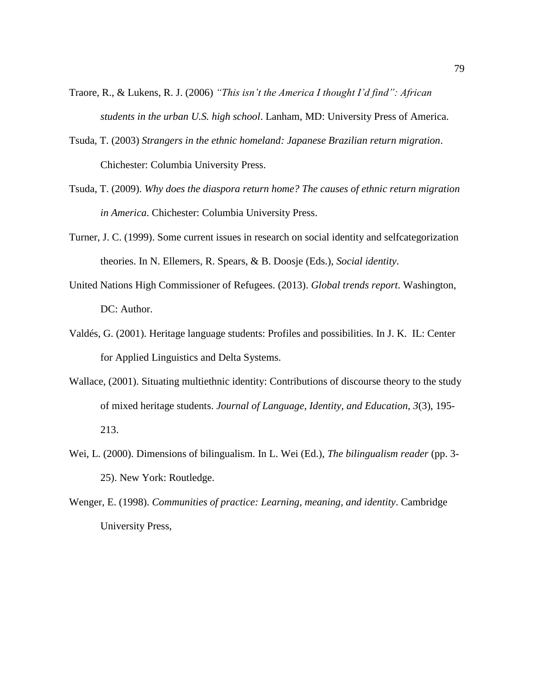- Traore, R., & Lukens, R. J. (2006) *"This isn't the America I thought I'd find": African students in the urban U.S. high school*. Lanham, MD: University Press of America.
- Tsuda, T. (2003) *Strangers in the ethnic homeland: Japanese Brazilian return migration*. Chichester: Columbia University Press.
- Tsuda, T. (2009). *Why does the diaspora return home? The causes of ethnic return migration in America*. Chichester: Columbia University Press.
- Turner, J. C. (1999). Some current issues in research on social identity and selfcategorization theories. In N. Ellemers, R. Spears, & B. Doosje (Eds.), *Social identity*.
- United Nations High Commissioner of Refugees. (2013). *Global trends report*. Washington, DC: Author.
- Valdés, G. (2001). Heritage language students: Profiles and possibilities. In J. K. IL: Center for Applied Linguistics and Delta Systems.
- Wallace, (2001). Situating multiethnic identity: Contributions of discourse theory to the study of mixed heritage students. *Journal of Language, Identity, and Education, 3*(3), 195- 213.
- Wei, L. (2000). Dimensions of bilingualism. In L. Wei (Ed.), *The bilingualism reader* (pp. 3- 25). New York: Routledge.
- Wenger, E. (1998). *Communities of practice: Learning, meaning, and identity*. Cambridge University Press,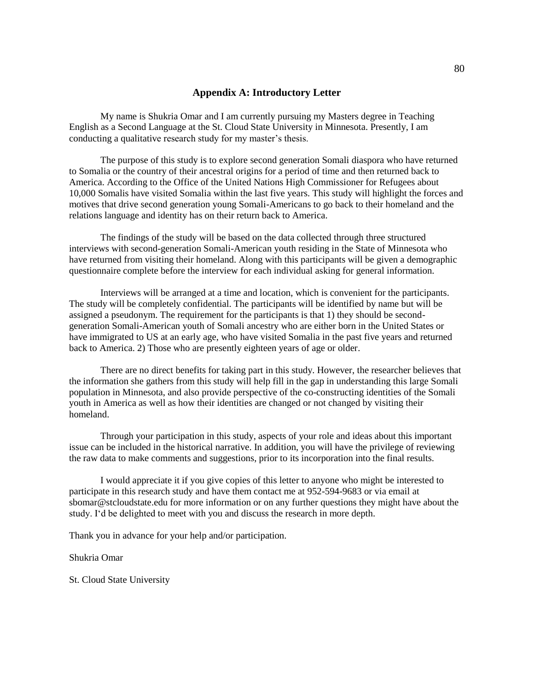## **Appendix A: Introductory Letter**

My name is Shukria Omar and I am currently pursuing my Masters degree in Teaching English as a Second Language at the St. Cloud State University in Minnesota. Presently, I am conducting a qualitative research study for my master's thesis.

The purpose of this study is to explore second generation Somali diaspora who have returned to Somalia or the country of their ancestral origins for a period of time and then returned back to America. According to the Office of the United Nations High Commissioner for Refugees about 10,000 Somalis have visited Somalia within the last five years. This study will highlight the forces and motives that drive second generation young Somali-Americans to go back to their homeland and the relations language and identity has on their return back to America.

The findings of the study will be based on the data collected through three structured interviews with second-generation Somali-American youth residing in the State of Minnesota who have returned from visiting their homeland. Along with this participants will be given a demographic questionnaire complete before the interview for each individual asking for general information.

Interviews will be arranged at a time and location, which is convenient for the participants. The study will be completely confidential. The participants will be identified by name but will be assigned a pseudonym. The requirement for the participants is that 1) they should be secondgeneration Somali-American youth of Somali ancestry who are either born in the United States or have immigrated to US at an early age, who have visited Somalia in the past five years and returned back to America. 2) Those who are presently eighteen years of age or older.

There are no direct benefits for taking part in this study. However, the researcher believes that the information she gathers from this study will help fill in the gap in understanding this large Somali population in Minnesota, and also provide perspective of the co-constructing identities of the Somali youth in America as well as how their identities are changed or not changed by visiting their homeland.

Through your participation in this study, aspects of your role and ideas about this important issue can be included in the historical narrative. In addition, you will have the privilege of reviewing the raw data to make comments and suggestions, prior to its incorporation into the final results.

I would appreciate it if you give copies of this letter to anyone who might be interested to participate in this research study and have them contact me at 952-594-9683 or via email at sbomar@stcloudstate.edu for more information or on any further questions they might have about the study. I'd be delighted to meet with you and discuss the research in more depth.

Thank you in advance for your help and/or participation.

Shukria Omar

St. Cloud State University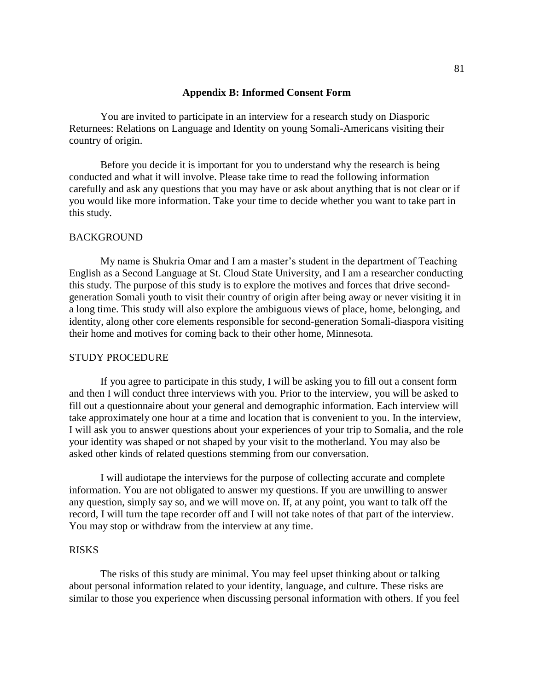## **Appendix B: Informed Consent Form**

You are invited to participate in an interview for a research study on Diasporic Returnees: Relations on Language and Identity on young Somali-Americans visiting their country of origin.

Before you decide it is important for you to understand why the research is being conducted and what it will involve. Please take time to read the following information carefully and ask any questions that you may have or ask about anything that is not clear or if you would like more information. Take your time to decide whether you want to take part in this study.

#### BACKGROUND

My name is Shukria Omar and I am a master's student in the department of Teaching English as a Second Language at St. Cloud State University, and I am a researcher conducting this study. The purpose of this study is to explore the motives and forces that drive secondgeneration Somali youth to visit their country of origin after being away or never visiting it in a long time. This study will also explore the ambiguous views of place, home, belonging, and identity, along other core elements responsible for second-generation Somali-diaspora visiting their home and motives for coming back to their other home, Minnesota.

### STUDY PROCEDURE

If you agree to participate in this study, I will be asking you to fill out a consent form and then I will conduct three interviews with you. Prior to the interview, you will be asked to fill out a questionnaire about your general and demographic information. Each interview will take approximately one hour at a time and location that is convenient to you. In the interview, I will ask you to answer questions about your experiences of your trip to Somalia, and the role your identity was shaped or not shaped by your visit to the motherland. You may also be asked other kinds of related questions stemming from our conversation.

I will audiotape the interviews for the purpose of collecting accurate and complete information. You are not obligated to answer my questions. If you are unwilling to answer any question, simply say so, and we will move on. If, at any point, you want to talk off the record, I will turn the tape recorder off and I will not take notes of that part of the interview. You may stop or withdraw from the interview at any time.

## RISKS

The risks of this study are minimal. You may feel upset thinking about or talking about personal information related to your identity, language, and culture. These risks are similar to those you experience when discussing personal information with others. If you feel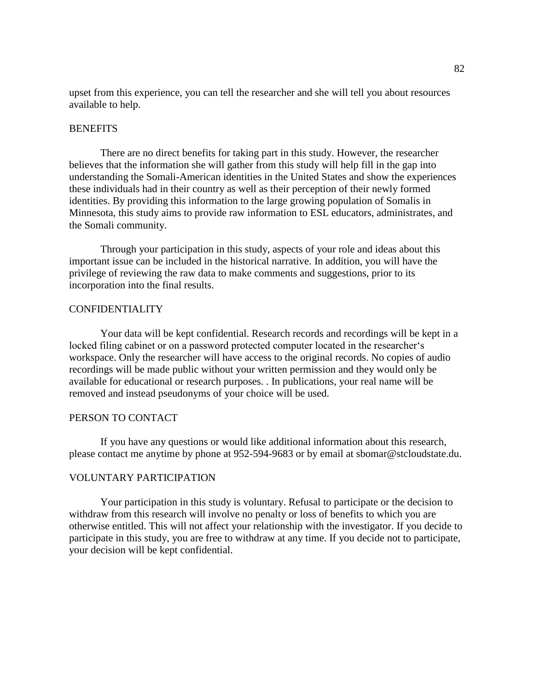upset from this experience, you can tell the researcher and she will tell you about resources available to help.

## **BENEFITS**

There are no direct benefits for taking part in this study. However, the researcher believes that the information she will gather from this study will help fill in the gap into understanding the Somali-American identities in the United States and show the experiences these individuals had in their country as well as their perception of their newly formed identities. By providing this information to the large growing population of Somalis in Minnesota, this study aims to provide raw information to ESL educators, administrates, and the Somali community.

Through your participation in this study, aspects of your role and ideas about this important issue can be included in the historical narrative. In addition, you will have the privilege of reviewing the raw data to make comments and suggestions, prior to its incorporation into the final results.

## CONFIDENTIALITY

Your data will be kept confidential. Research records and recordings will be kept in a locked filing cabinet or on a password protected computer located in the researcher's workspace. Only the researcher will have access to the original records. No copies of audio recordings will be made public without your written permission and they would only be available for educational or research purposes. . In publications, your real name will be removed and instead pseudonyms of your choice will be used.

## PERSON TO CONTACT

If you have any questions or would like additional information about this research, please contact me anytime by phone at 952-594-9683 or by email at sbomar@stcloudstate.du.

## VOLUNTARY PARTICIPATION

Your participation in this study is voluntary. Refusal to participate or the decision to withdraw from this research will involve no penalty or loss of benefits to which you are otherwise entitled. This will not affect your relationship with the investigator. If you decide to participate in this study, you are free to withdraw at any time. If you decide not to participate, your decision will be kept confidential.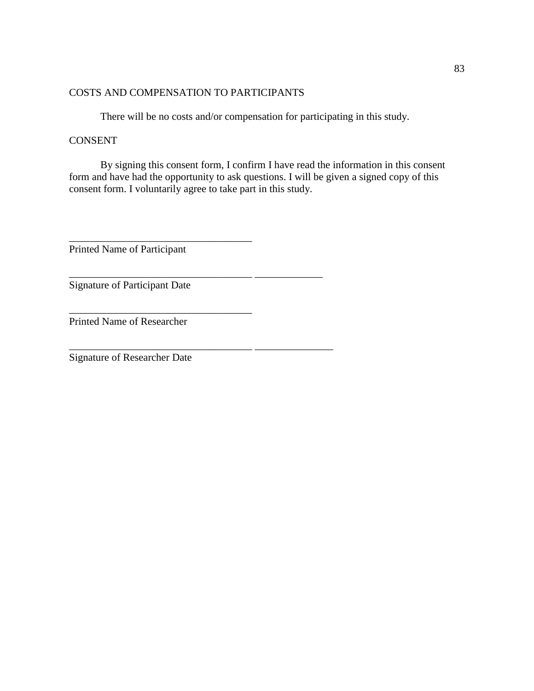## COSTS AND COMPENSATION TO PARTICIPANTS

There will be no costs and/or compensation for participating in this study.

## **CONSENT**

By signing this consent form, I confirm I have read the information in this consent form and have had the opportunity to ask questions. I will be given a signed copy of this consent form. I voluntarily agree to take part in this study.

Printed Name of Participant

\_\_\_\_\_\_\_\_\_\_\_\_\_\_\_\_\_\_\_\_\_\_\_\_\_\_\_\_\_\_\_\_\_\_\_

\_\_\_\_\_\_\_\_\_\_\_\_\_\_\_\_\_\_\_\_\_\_\_\_\_\_\_\_\_\_\_\_\_\_\_

\_\_\_\_\_\_\_\_\_\_\_\_\_\_\_\_\_\_\_\_\_\_\_\_\_\_\_\_\_\_\_\_\_\_\_ \_\_\_\_\_\_\_\_\_\_\_\_\_

\_\_\_\_\_\_\_\_\_\_\_\_\_\_\_\_\_\_\_\_\_\_\_\_\_\_\_\_\_\_\_\_\_\_\_ \_\_\_\_\_\_\_\_\_\_\_\_\_\_\_

Signature of Participant Date

Printed Name of Researcher

Signature of Researcher Date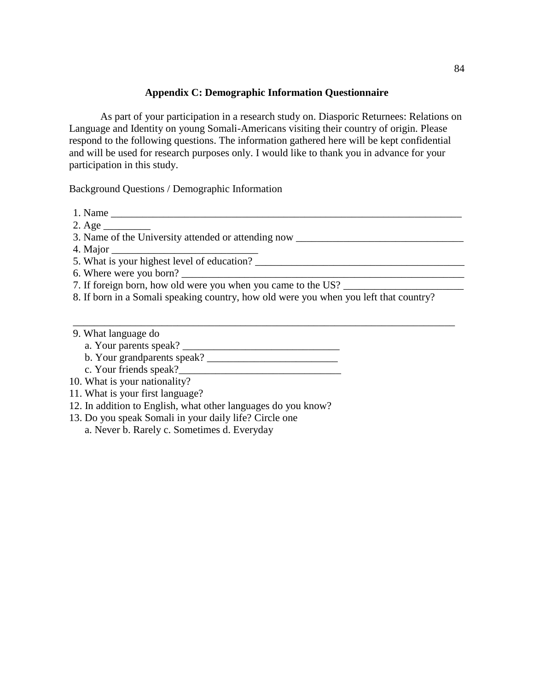## **Appendix C: Demographic Information Questionnaire**

As part of your participation in a research study on. Diasporic Returnees: Relations on Language and Identity on young Somali-Americans visiting their country of origin. Please respond to the following questions. The information gathered here will be kept confidential and will be used for research purposes only. I would like to thank you in advance for your participation in this study.

Background Questions / Demographic Information

1. Name \_\_\_\_\_\_\_\_\_\_\_\_\_\_\_\_\_\_\_\_\_\_\_\_\_\_\_\_\_\_\_\_\_\_\_\_\_\_\_\_\_\_\_\_\_\_\_\_\_\_\_\_\_\_\_\_\_\_\_\_\_\_\_\_\_\_\_

 $2. \text{Age}$ 

3. Name of the University attended or attending now \_\_\_\_\_\_\_\_\_\_\_\_\_\_\_\_\_\_\_\_\_\_\_\_\_\_\_\_\_

4. Major

5. What is your highest level of education?

6. Where were you born?

7. If foreign born, how old were you when you came to the US?

8. If born in a Somali speaking country, how old were you when you left that country?

\_\_\_\_\_\_\_\_\_\_\_\_\_\_\_\_\_\_\_\_\_\_\_\_\_\_\_\_\_\_\_\_\_\_\_\_\_\_\_\_\_\_\_\_\_\_\_\_\_\_\_\_\_\_\_\_\_\_\_\_\_\_\_\_\_\_\_\_\_\_\_\_\_

- 9. What language do
	- a. Your parents speak? \_\_\_\_\_\_\_\_\_\_\_\_\_\_\_\_\_\_\_\_\_\_\_\_\_\_\_\_\_\_

b. Your grandparents speak? \_\_\_\_\_\_\_\_\_\_\_\_\_\_\_\_\_\_\_\_\_\_\_\_\_

- c. Your friends speak?\_\_\_\_\_\_\_\_\_\_\_\_\_\_\_\_\_\_\_\_\_\_\_\_\_\_\_\_\_\_\_
- 10. What is your nationality?
- 11. What is your first language?
- 12. In addition to English, what other languages do you know?
- 13. Do you speak Somali in your daily life? Circle one

a. Never b. Rarely c. Sometimes d. Everyday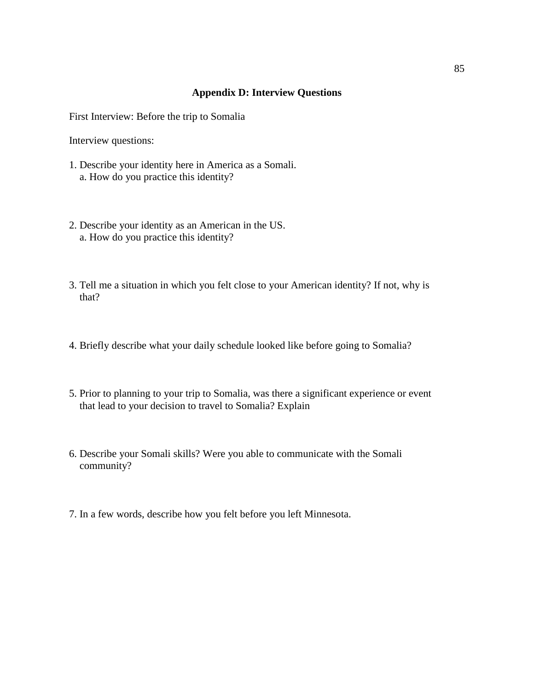## **Appendix D: Interview Questions**

First Interview: Before the trip to Somalia

Interview questions:

- 1. Describe your identity here in America as a Somali. a. How do you practice this identity?
- 2. Describe your identity as an American in the US. a. How do you practice this identity?
- 3. Tell me a situation in which you felt close to your American identity? If not, why is that?
- 4. Briefly describe what your daily schedule looked like before going to Somalia?
- 5. Prior to planning to your trip to Somalia, was there a significant experience or event that lead to your decision to travel to Somalia? Explain
- 6. Describe your Somali skills? Were you able to communicate with the Somali community?
- 7. In a few words, describe how you felt before you left Minnesota.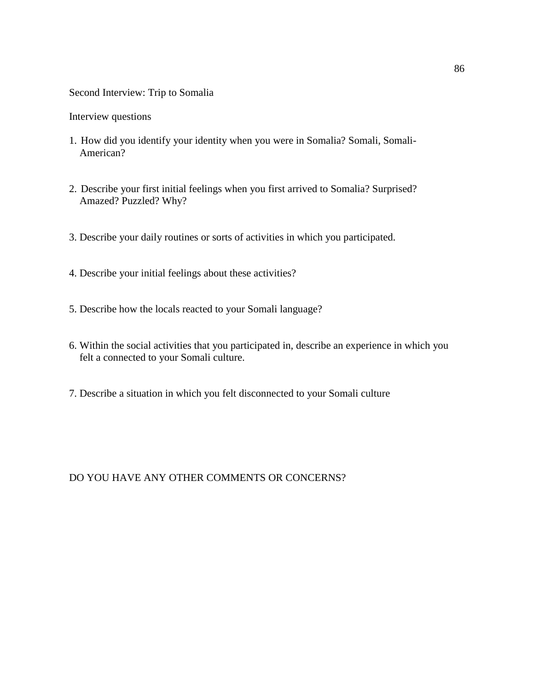## Second Interview: Trip to Somalia

Interview questions

- 1. How did you identify your identity when you were in Somalia? Somali, Somali- American?
- 2. Describe your first initial feelings when you first arrived to Somalia? Surprised? Amazed? Puzzled? Why?
- 3. Describe your daily routines or sorts of activities in which you participated.
- 4. Describe your initial feelings about these activities?
- 5. Describe how the locals reacted to your Somali language?
- 6. Within the social activities that you participated in, describe an experience in which you felt a connected to your Somali culture.
- 7. Describe a situation in which you felt disconnected to your Somali culture

DO YOU HAVE ANY OTHER COMMENTS OR CONCERNS?